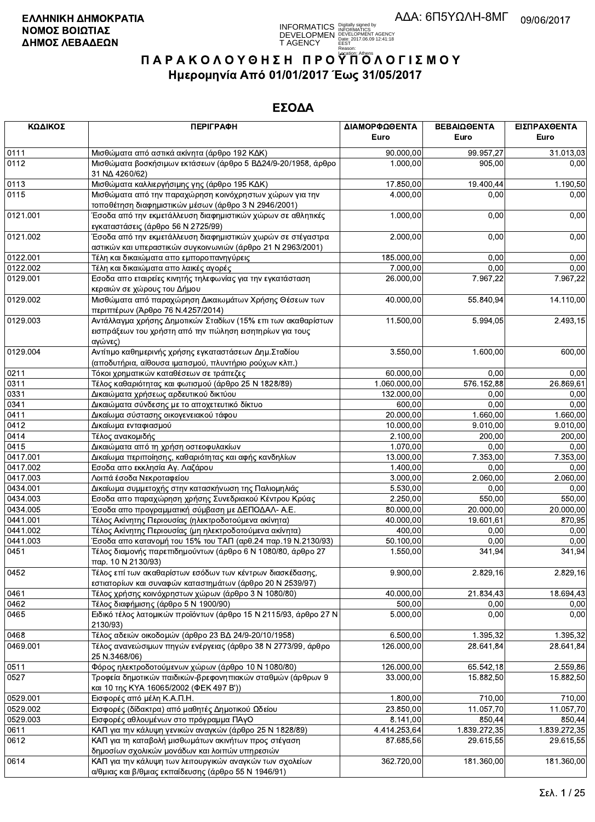

| ΚΩΔΙΚΟΣ  | <b>ПЕРІГРАФН</b>                                                                                                                    | ΔΙΑΜΟΡΦΩΘΕΝΤΑ | ΒΕΒΑΙΩΘΕΝΤΑ  | ΕΙΣΠΡΑΧΘΕΝΤΑ |
|----------|-------------------------------------------------------------------------------------------------------------------------------------|---------------|--------------|--------------|
|          |                                                                                                                                     | Euro          | Euro         | Euro         |
| 0111     | Μισθώματα από αστικά ακίνητα (άρθρο 192 ΚΔΚ)                                                                                        | 90.000,00     | 99.957,27    | 31.013,03    |
| 0112     | Μισθώματα βοσκήσιμων εκτάσεων (άρθρο 5 ΒΔ24/9-20/1958, άρθρο<br>31 NA 4260/62)                                                      | 1.000,00      | 905,00       | 0,00         |
| 0113     | Μισθώματα καλλιεργήσιμης γης (άρθρο 195 ΚΔΚ)                                                                                        | 17.850,00     | 19.400,44    | 1.190,50     |
| 0115     | Μισθώματα από την παραχώρηση κοινόχρηστων χώρων για την<br>τοποθέτηση διαφημιστικών μέσων (άρθρο 3 Ν 2946/2001)                     | 4.000,00      | 0,00         | 0,00         |
| 0121.001 | Έσοδα από την εκμετάλλευση διαφημιστικών χώρων σε αθλητικές<br>εγκαταστάσεις (άρθρο 56 Ν 2725/99)                                   | 1.000,00      | 0,00         | 0,00         |
| 0121.002 | Έσοδα από την εκμετάλλευση διαφημιστικών χωρών σε στέγαστρα<br>αστικών και υπεραστικών συγκοινωνιών (άρθρο 21 Ν 2963/2001)          | 2.000,00      | 0,00         | 0,00         |
| 0122.001 | Τέλη και δικαιώματα απο εμποροπανηγύρεις                                                                                            | 185.000,00    | 0,00         | 0,00         |
| 0122.002 | Τέλη και δικαιώματα απο λαικές αγορές                                                                                               | 7.000,00      | 0,00         | 0,00         |
| 0129.001 | Εσοδα απο εταιρείες κινητής τηλεφωνίας για την εγκατάσταση<br>κεραιών σε χώρους του Δήμου                                           | 26.000,00     | 7.967,22     | 7.967,22     |
| 0129.002 | Μισθώματα από παραχώρηση Δικαιωμάτων Χρήσης Θέσεων των<br>περιπτέρων (Άρθρο 76 Ν.4257/2014)                                         | 40.000,00     | 55.840,94    | 14.110,00    |
| 0129.003 | Αντάλλαγμα χρήσης Δημοτικών Σταδίων (15% επι των ακαθαρίστων<br>εισπράξεων του χρήστη από την πώληση εισητηρίων για τους<br>αγώνες) | 11.500,00     | 5.994,05     | 2.493,15     |
| 0129.004 | Αντίτιμο καθημερινής χρήσης εγκαταστάσεων Δημ. Σταδίου<br>(αποδυτήρια, αίθουσα ιματισμού, πλυντήριο ρούχων κλπ.)                    | 3.550,00      | 1.600,00     | 600,00       |
| 0211     | Τόκοι χρηματικών καταθέσεων σε τράπεζες                                                                                             | 60.000.00     | 0,00         | 0,00         |
| 0311     | Τέλος καθαριότητας και φωτισμού (άρθρο 25 Ν 1828/89)                                                                                | 1.060.000,00  | 576.152,88   | 26.869,61    |
| 0331     | Δικαιώματα χρήσεως αρδευτικού δικτύου                                                                                               | 132.000,00    | 0,00         | 0,00         |
| 0341     | Δικαιώματα σύνδεσης με το αποχετευτικό δίκτυο                                                                                       | 600,00        | 0,00         | 0,00         |
| 0411     | Δικαίωμα σύστασης οικογενειακού τάφου                                                                                               | 20.000,00     | 1.660,00     | 1.660,00     |
| 0412     | Δικαίωμα ενταφιασμού                                                                                                                | 10.000,00     | 9.010,00     | 9.010,00     |
| 0414     | Τέλος ανακομιδής                                                                                                                    | 2.100,00      | 200,00       | 200,00       |
| 0415     | Δικαιώματα από τη χρήση οστεοφυλακίων                                                                                               | 1.070,00      | 0,00         | 0,00         |
| 0417.001 | Δικαίωμα περιποίησης, καθαριότητας και αφής κανδηλίων                                                                               | 13.000,00     | 7.353,00     | 7.353,00     |
| 0417.002 | Εσοδα απο εκκλησία Αγ. Λαζάρου                                                                                                      | 1.400,00      | 0,00         | 0,00         |
| 0417.003 | Λοιπά έσοδα Νεκροταφείου                                                                                                            | 3.000,00      | 2.060,00     | 2.060,00     |
| 0434.001 | Δικαίωμα συμμετοχής στην κατασκήνωση της Παλιομηλιάς                                                                                | 5.530,00      | 0,00         | 0,00         |
| 0434.003 | Εσοδα απο παραχώρηση χρήσης Συνεδριακού Κέντρου Κρύας                                                                               | 2.250,00      | 550,00       | 550,00       |
| 0434.005 | Έσοδα απο προγραμματική σύμβαση με ΔΕΠΟΔΑΛ- Α.Ε.                                                                                    | 80.000,00     | 20.000,00    | 20.000,00    |
| 0441.001 | Τέλος Ακίνητης Περιουσίας (ηλεκτροδοτούμενα ακίνητα)                                                                                | 40.000,00     | 19.601,61    | 870.95       |
| 0441.002 | Τέλος Ακίνητης Περιουσίας (μη ηλεκτροδοτούμενα ακίνητα)                                                                             | 400,00        | 0,00         | 0,00         |
| 0441.003 | Έσοδα απο κατανομή του 15% του ΤΑΠ (αρθ.24 παρ.19 Ν.2130/93)                                                                        | 50.100,00     | 0,00         | 0,00         |
| 0451     | Τέλος διαμονής παρεπιδημούντων (άρθρο 6 Ν 1080/80, άρθρο 27<br>παρ. 10 Ν 2130/93)                                                   | 1.550,00      | 341,94       | 341,94       |
| 0452     | Τέλος επί των ακαθαρίστων εσόδων των κέντρων διασκέδασης,<br>εστιατορίων και συναφών καταστημάτων (άρθρο 20 Ν 2539/97)              | 9.900,00      | 2.829,16     | 2.829,16     |
| 0461     | Τέλος χρήσης κοινόχρηστων χώρων (άρθρο 3 Ν 1080/80)                                                                                 | 40.000.00     | 21.834,43    | 18.694,43    |
| 0462     | Τέλος διαφήμισης (άρθρο 5 Ν 1900/90)                                                                                                | 500,00        | 0,00         | 0,00         |
| 0465     | Ειδικό τέλος λατομικών προϊόντων (άρθρο 15 Ν 2115/93, άρθρο 27 Ν<br>2130/93)                                                        | 5.000,00      | 0.00         | 0,00         |
| 0468     | Τέλος αδειών οικοδομών (άρθρο 23 ΒΔ 24/9-20/10/1958)                                                                                | 6.500,00      | 1.395,32     | 1.395,32     |
| 0469.001 | Τέλος ανανεώσιμων πηγών ενέργειας (άρθρο 38 Ν 2773/99, άρθρο<br>25 N.3468/06)                                                       | 126.000,00    | 28.641,84    | 28.641,84    |
| 0511     | Φόρος ηλεκτροδοτούμενων χώρων (άρθρο 10 Ν 1080/80)                                                                                  | 126.000,00    | 65.542,18    | 2.559,86     |
| 0527     | Τροφεία δημοτικών παιδικών-βρεφονηπιακών σταθμών (άρθρων 9<br>και 10 της ΚΥΑ 16065/2002 (ΦΕΚ 497 Β'))                               | 33.000,00     | 15.882,50    | 15.882,50    |
| 0529.001 | Εισφορές από μέλη Κ.Α.Π.Η.                                                                                                          | 1.800,00      | 710,00       | 710,00       |
| 0529.002 | Εισφορές (δίδακτρα) από μαθητές Δημοτικού Ωδείου                                                                                    | 23.850,00     | 11.057,70    | 11.057,70    |
| 0529.003 | Εισφορές αθλουμένων στο πρόγραμμα ΠΑγΟ                                                                                              | 8.141,00      | 850,44       | 850,44       |
| 0611     | ΚΑΠ για την κάλυψη γενικών αναγκών (άρθρο 25 Ν 1828/89)                                                                             | 4.414.253,64  | 1.839.272,35 | 1.839.272,35 |
| 0612     | ΚΑΠ για τη καταβολή μισθωμάτων ακινήτων προς στέγαση<br>δημοσίων σχολικών μονάδων και λοιπών υπηρεσιών                              | 87.685,56     | 29.615,55    | 29.615,55    |
| 0614     | ΚΑΠ για την κάλυψη των λειτουργικών αναγκών των σχολείων<br>α/θμιας και β/θμιας εκπαίδευσης (άρθρο 55 Ν 1946/91)                    | 362.720,00    | 181.360,00   | 181.360,00   |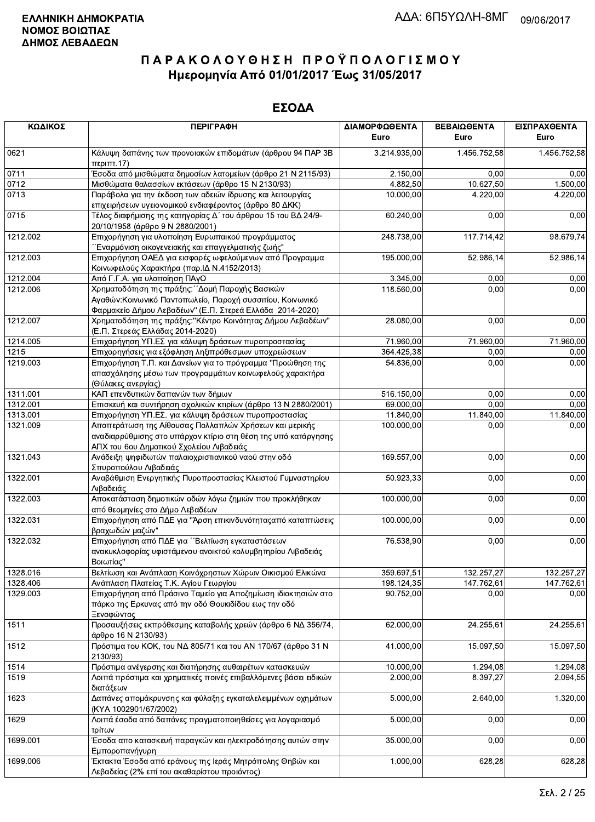| ΚΩΔΙΚΟΣ  | <b>ПЕРІГРАФН</b>                                                                                                                                                     | ΔΙΑΜΟΡΦΩΘΕΝΤΑ<br>Euro | ΒΕΒΑΙΩΘΕΝΤΑ<br>Euro      | ΕΙΣΠΡΑΧΘΕΝΤΑ<br>Euro     |
|----------|----------------------------------------------------------------------------------------------------------------------------------------------------------------------|-----------------------|--------------------------|--------------------------|
| 0621     | Κάλυψη δαπάνης των προνοιακών επιδομάτων (άρθρου 94 ΠΑΡ 3Β<br>περ <sub>1</sub> πτ.17                                                                                 | 3.214.935,00          | 1.456.752,58             | 1.456.752,58             |
| 0711     | Έσοδα από μισθώματα δημοσίων λατομείων (άρθρο 21 Ν 2115/93)                                                                                                          | 2.150,00              | 0,00                     | 0,00                     |
| 0712     | Μισθώματα θαλασσίων εκτάσεων (άρθρο 15 Ν 2130/93)                                                                                                                    | 4.882,50              | 10.627,50                | 1.500,00                 |
| 0713     | Παράβολα για την έκδοση των αδειών ίδρυσης και λειτουργίας                                                                                                           | 10.000,00             | 4.220,00                 | 4.220,00                 |
|          | επιχειρήσεων υγειονομικού ενδιαφέροντος (άρθρο 80 ΔΚΚ)                                                                                                               |                       |                          |                          |
| 0715     |                                                                                                                                                                      |                       |                          |                          |
|          | Τέλος διαφήμισης της κατηγορίας Δ΄ του άρθρου 15 του ΒΔ 24/9-<br>20/10/1958 (άρθρο 9 Ν 2880/2001)                                                                    | 60.240,00             | 0,00                     | 0,00                     |
| 1212.002 | Επιχορήγηση για υλοποίηση Ευρωπαικού προγράμματος<br>Έναρμόνιση οικογενειακής και επαγγελματικής ζωής"                                                               | 248.738,00            | 117.714,42               | 98.679,74                |
| 1212.003 | Επιχορήγηση ΟΑΕΔ για εισφορές ωφελούμενων από Προγραμμα<br>Κοινωφελούς Χαρακτήρα (παρ. ΙΔ Ν.4152/2013)                                                               | 195.000,00            | 52.986,14                | 52.986,14                |
| 1212.004 | Από Γ.Γ.Α. για υλοποίηση ΠΑγΟ                                                                                                                                        | 3.345,00              | 0,00                     | 0,00                     |
| 1212.006 | Χρηματοδότηση της πράξης: ΄ Δομή Παροχής Βασικών                                                                                                                     | 118.560,00            | 0,00                     | 0,00                     |
|          | Αγαθών: Κοινωνικό Παντοπωλείο, Παροχή συσσιτίου, Κοινωνικό<br>Φαρμακείο Δήμου Λεβαδέων" (Ε.Π. Στερεά Ελλάδα 2014-2020)                                               |                       |                          |                          |
| 1212.007 | Χρηματοδότηση της πράξης: "Κέντρο Κοινότητας Δήμου Λεβαδέων"<br>(Ε.Π. Στερεάς Ελλάδας 2014-2020)                                                                     | 28.080,00             | 0,00                     | 0,00                     |
| 1214.005 | Επιχορήγηση ΥΠ.ΕΣ για κάλυψη δράσεων πυροπροστασίας                                                                                                                  | 71.960,00             | 71.960,00                | 71.960,00                |
| 1215     | Επιχορηγήσεις για εξόφληση ληξιπρόθεσμων υποχρεώσεων                                                                                                                 | 364.425,38            | 0,00                     | 0,00                     |
| 1219.003 | Επιχορήγηση Τ.Π. και Δανείων για το πρόγραμμα "Προώθηση της                                                                                                          | 54.836.00             | 0,00                     | 0,00                     |
|          | απασχόλησης μέσω των προγραμμάτων κοινωφελούς χαρακτήρα                                                                                                              |                       |                          |                          |
|          | (Θύλακες ανεργίας)                                                                                                                                                   |                       |                          |                          |
| 1311.001 | ΚΑΠ επενδυτικών δαπανών των δήμων                                                                                                                                    | 516.150,00            | 0,00                     | 0,00                     |
| 1312.001 | Επισκευή και συντήρηση σχολικών κτιρίων (άρθρο 13 Ν 2880/2001)                                                                                                       | 69.000,00             | 0,00                     | 0,00                     |
| 1313.001 | Επιχορήγηση ΥΠ.ΕΣ. για κάλυψη δράσεων πυροπροστασίας                                                                                                                 | 11.840,00             | 11.840,00                | 11.840,00                |
| 1321.009 | Αποπεράτωση της Αίθουσας Πολλαπλών Χρήσεων και μερικής<br>αναδιαρρύθμισης στο υπάρχον κτίριο στη θέση της υπό κατάργησης<br>ΑΠΧ του 6ου Δημοτικού Σχολείου Λιβαδειάς | 100.000,00            | 0,00                     | 0,00                     |
| 1321.043 | Ανάδειξη ψηφιδωτών παλαιοχριστιανικού ναού στην οδό<br>Σπυροπούλου Λιβαδειάς                                                                                         | 169.557,00            | 0,00                     | 0,00                     |
| 1322.001 | Αναβάθμιση Ενεργητικής Πυροπροστασίας Κλειστού Γυμναστηρίου<br>Λιβαδειάς                                                                                             | 50.923,33             | 0,00                     | 0,00                     |
| 1322.003 | Αποκατάσταση δημοτικών οδών λόγω ζημιών που προκλήθηκαν<br>από θεομηνίες στο Δήμο Λεβαδέων                                                                           | 100.000,00            | 0,00                     | 0,00                     |
| 1322.031 | Επιχορήγηση από ΠΔΕ για "Άρση επικινδυνότητας από καταπτώσεις<br>βραχωδών μαζών"                                                                                     | 100.000,00            | 0,00                     | 0,00                     |
| 1322.032 | Επιχορήγηση από ΠΔΕ για ''Βελτίωση εγκαταστάσεων                                                                                                                     | 76.538,90             | 0,00                     | 0,00                     |
|          | ανακυκλοφορίας υφιστάμενου ανοικτού κολυμβητηρίου Λιβαδειάς<br>Βοιωτίας"                                                                                             |                       |                          |                          |
| 1328.016 |                                                                                                                                                                      | 359.697,51            |                          |                          |
| 1328.406 | Βελτίωση και Ανάπλαση Κοινόχρηστων Χώρων Οικισμού Ελικώνα<br>Ανάπλαση Πλατείας Τ.Κ. Αγίου Γεωργίου                                                                   | 198.124,35            | 132.257,27<br>147.762,61 | 132.257,27<br>147.762,61 |
| 1329.003 | Επιχορήγηση από Πράσινο Ταμείο για Αποζημίωση ιδιοκτησιών στο<br>πάρκο της Ερκυνας από την οδό Θουκιδίδου εως την οδό                                                | 90.752,00             | 0,00                     | 0,00                     |
| 1511     | Ξενοφώντος<br>Προσαυξήσεις εκπρόθεσμης καταβολής χρεών (άρθρο 6 ΝΔ 356/74,<br>άρθρο 16 Ν 2130/93)                                                                    | 62.000,00             | 24.255,61                | 24.255,61                |
| 1512     | Πρόστιμα του ΚΟΚ, του ΝΔ 805/71 και του ΑΝ 170/67 (άρθρο 31 Ν<br>2130/93)                                                                                            | 41.000,00             | 15.097,50                | 15.097,50                |
| 1514     | Πρόστιμα ανέγερσης και διατήρησης αυθαιρέτων κατασκευών                                                                                                              | 10.000,00             | 1.294,08                 | $\overline{1.294,08}$    |
| 1519     | Λοιπά πρόστιμα και χρηματικές ποινές επιβαλλόμενες βάσει ειδικών<br>διατάξεων                                                                                        | 2.000,00              | 8.397,27                 | 2.094,55                 |
| 1623     | Δαπάνες απομάκρυνσης και φύλαξης εγκαταλελειμμένων οχημάτων<br>(KYA 1002901/67/2002)                                                                                 | 5.000,00              | 2.640,00                 | 1.320,00                 |
| 1629     | Λοιπά έσοδα από δαπάνες πραγματοποιηθείσες για λογαριασμό<br>τρίτων                                                                                                  | 5.000,00              | 0,00                     | 0,00                     |
| 1699.001 | Έσοδα απο κατασκευή παραγκών και ηλεκτροδότησης αυτών στην<br>Εμποροπανήγυρη                                                                                         | 35.000,00             | 0,00                     | 0,00                     |
| 1699.006 | Έκτακτα Έσοδα από εράνους της Ιεράς Μητρόπολης Θηβών και<br>Λεβαδείας (2% επί του ακαθαρίστου προιόντος)                                                             | 1.000,00              | 628,28                   | 628,28                   |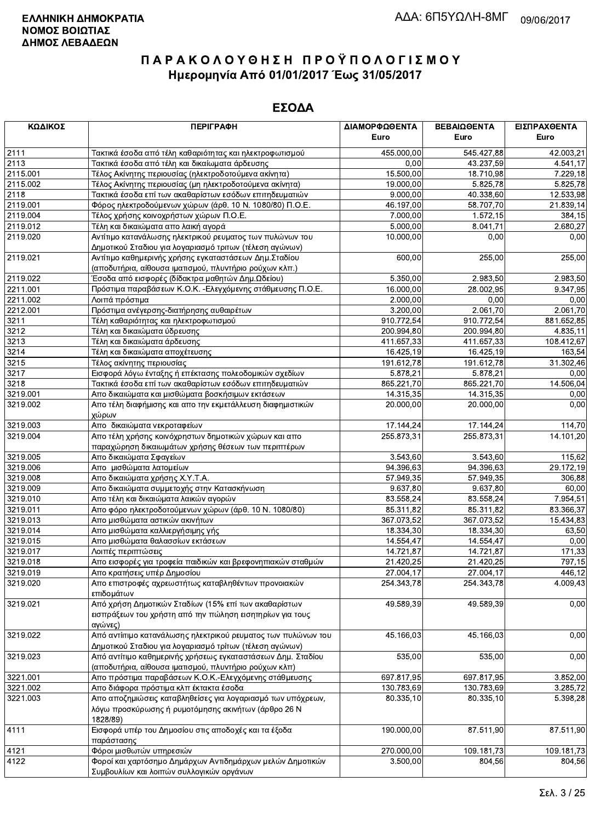| ΚΩΔΙΚΟΣ  | <b>ПЕРІГРАФН</b>                                                   | ΔΙΑΜΟΡΦΩΘΕΝΤΑ<br>Euro | ΒΕΒΑΙΩΘΕΝΤΑ<br>Euro | ΕΙΣΠΡΑΧΘΕΝΤΑ<br>Euro |
|----------|--------------------------------------------------------------------|-----------------------|---------------------|----------------------|
| 2111     | Τακτικά έσοδα από τέλη καθαριότητας και ηλεκτροφωτισμού            | 455,000.00            | 545.427,88          | 42.003,21            |
| 2113     | Τακτικά έσοδα από τέλη και δικαίωματα άρδευσης                     | 0,00                  | 43.237,59           | 4.541,17             |
| 2115.001 | Τέλος Ακίνητης περιουσίας (ηλεκτροδοτούμενα ακίνητα)               | 15.500,00             | 18.710,98           | 7.229,18             |
| 2115.002 | Τέλος Ακίνητης περιουσίας (μη ηλεκτροδοτούμενα ακίνητα)            | 19.000,00             | 5.825,78            | 5.825,78             |
| 2118     | Τακτικά έσοδα επί των ακαθαρίστων εσόδων επιτηδευματιών            | 9.000,00              | 40.338,60           | 12.533,98            |
| 2119.001 | Φόρος ηλεκτροδούμενων χώρων (άρθ. 10 Ν. 1080/80) Π.Ο.Ε.            | 46.197,00             | 58.707,70           | 21.839,14            |
| 2119.004 | Τέλος χρήσης κοινοχρήστων χώρων Π.Ο.Ε.                             | 7.000,00              | 1.572, 15           | 384,15               |
| 2119.012 | Τέλη και δικαιώματα απο λαική αγορά                                | 5.000,00              | 8.041,71            | 2.680,27             |
| 2119.020 | Αντίτιμο κατανάλωσης ηλεκτρικού ρευματος των πυλώνων του           | 10.000.00             | 0,00                | 0,00                 |
|          | Δημοτικού Σταδιου για λογαριασμό τριτων (τέλεση αγώνων)            |                       |                     |                      |
| 2119.021 | Αντίτιμο καθημερινής χρήσης εγκαταστάσεων Δημ. Σταδίου             | 600,00                | 255,00              | 255,00               |
|          | (αποδυτήρια, αίθουσα ιματισμού, πλυντήριο ρούχων κλπ.)             |                       |                     |                      |
| 2119.022 | Έσοδα από εισφορές (δίδακτρα μαθητών Δημ.Ωδείου)                   | 5.350,00              | 2.983,50            | 2.983,50             |
| 2211.001 | Πρόστιμα παραβάσεων Κ.Ο.Κ. - Ελεγχόμενης στάθμευσης Π.Ο.Ε.         | 16.000,00             | 28.002,95           | 9.347,95             |
| 2211.002 | Λοιπά πρόστιμα                                                     | 2.000,00              | 0,00                | 0,00                 |
| 2212.001 | Πρόστιμα ανέγερσης-διατήρησης αυθαιρέτων                           | 3.200,00              | 2.061,70            | 2.061,70             |
| 3211     | Τέλη καθαριότητας και ηλεκτροφωτισμού                              | 910.772,54            | 910.772,54          | 881.652,85           |
| 3212     | Τέλη και δικαιώματα ύδρευσης                                       | 200.994,80            | 200.994,80          | 4.835,11             |
| 3213     | Τέλη και δικαιώματα άρδευσης                                       | 411.657,33            | 411.657,33          | 108.412,67           |
| 3214     | Τέλη και δικαιώματα αποχέτευσης                                    | 16.425,19             | 16.425,19           | 163,54               |
| 3215     | Τέλος ακίνητης περιουσίας                                          | 191.612,78            | 191.612,78          | 31.302,46            |
| 3217     | Εισφορά λόγω ένταξης ή επέκτασης πολεοδομικών σχεδίων              | 5.878,21              | 5.878,21            | 0,00                 |
| 3218     | Τακτικά έσοδα επί των ακαθαρίστων εσόδων επιτηδευματιών            | 865.221,70            | 865.221,70          | 14.506,04            |
| 3219.001 | Απο δικαιώματα και μισθώματα βοσκήσιμων εκτάσεων                   | 14.315,35             | 14.315,35           | 0,00                 |
| 3219.002 | Απο τέλη διαφήμισης και απο την εκμετάλλευση διαφημιστικών         | 20.000,00             | 20.000.00           | 0,00                 |
|          | χώρων                                                              |                       |                     |                      |
| 3219.003 | Απο δικαιώματα νεκροταφείων                                        | 17.144,24             | 17.144,24           | 114,70               |
| 3219.004 | Απο τέλη χρήσης κοινόχρηστων δημοτικών χώρων και απο               | 255.873,31            | 255.873,31          | 14.101,20            |
|          | παραχώρηση δικαιωμάτων χρήσης θέσεων των περιπτέρων                |                       |                     |                      |
| 3219.005 | Απο δικαιώματα Σφαγείων                                            | 3.543,60              | 3.543,60            | 115,62               |
| 3219.006 | Απο μισθώματα λατομείων                                            | 94.396,63             | 94.396,63           | 29.172,19            |
| 3219.008 | Απο δικαιώματα χρήσης Χ.Υ.Τ.Α.                                     | 57.949,35             | 57.949,35           | 306,88               |
| 3219.009 | Απο δικαιώματα συμμετοχής στην Κατασκήνωση                         | 9.637,80              | 9.637,80            | 60,00                |
| 3219.010 | Απο τέλη και δικαιώματα λαικών αγορών                              | 83.558,24             | 83.558,24           | 7.954,51             |
| 3219.011 | Απο φόρο ηλεκτροδοτούμενων χώρων (άρθ. 10 Ν. 1080/80)              | 85.311,82             | 85.311,82           | 83.366,37            |
| 3219.013 | Απο μισθώματα αστικών ακινήτων                                     | 367.073,52            | 367.073,52          | 15.434,83            |
| 3219.014 | Απο μισθώματα καλλιεργήσιμης γής                                   | 18.334,30             | 18.334,30           | 63,50                |
| 3219.015 | Απο μισθώματα θαλασσίων εκτάσεων                                   | 14.554,47             | 14.554,47           | 0,00                 |
| 3219.017 | Λοιπές περιπτώσεις                                                 | 14.721,87             | 14.721,87           | 171,33               |
| 3219.018 | Απο εισφορές για τροφεία παιδικών και βρεφονηπιακών σταθμών        | 21.420,25             | 21.420,25           | 797,15               |
| 3219.019 | Απο κρατήσεις υπέρ Δημοσίου                                        | 27.004,17             | 27.004,17           | 446,12               |
| 3219.020 | Απο επιστροφές αχρεωστήτως καταβληθέντων προνοιακών                | 254.343,78            | 254.343,78          | 4.009,43             |
|          | επιδομάτων                                                         |                       |                     |                      |
| 3219.021 | Από χρήση Δημοτικών Σταδίων (15% επί των ακαθαρίστων               | 49.589,39             | 49.589,39           | 0,00                 |
|          | εισπράξεων του χρήστη από την πώληση εισητηρίων για τους           |                       |                     |                      |
|          | αγώνες)                                                            |                       |                     |                      |
| 3219.022 | Από αντίιτιμο κατανάλωσης ηλεκτρικού ρευματος των πυλώνων του      | 45.166,03             | 45.166.03           | 0,00                 |
|          | Δημοτικού Σταδιου για λογαριασμό τρίτων (τέλεση αγώνων)            |                       |                     |                      |
| 3219.023 | Από αντίτιμο καθημερινής χρήσεως εγκαταστάσεων Δημ. Σταδίου        | 535,00                | 535,00              | 0,00                 |
|          | (αποδυτήρια, αίθουσα ιματισμού, πλυντήριο ρούχων κλπ)              |                       |                     |                      |
| 3221.001 | Απο πρόστιμα παραβάσεων Κ.Ο.Κ.-Ελεγχόμενης στάθμευσης              | 697.817,95            | 697.817,95          | 3.852,00             |
| 3221.002 | Απο διάφορα πρόστιμα κλπ έκτακτα έσοδα                             | 130.783,69            | 130.783,69          | 3.285,72             |
| 3221.003 | Απο αποζημιώσεις καταβληθείσες για λογαριασμό των υπόχρεων,        | 80.335,10             | 80.335,10           | 5.398,28             |
|          | λόγω προσκύρωσης ή ρυμοτόμησης ακινήτων (άρθρο 26 Ν<br>1828/89)    |                       |                     |                      |
| 4111     | Εισφορά υπέρ του Δημοσίου στις αποδοχές και τα έξοδα<br>παράστασης | 190.000,00            | 87.511,90           | 87.511,90            |
| 4121     | Φόροι μισθωτών υπηρεσιών                                           | 270.000,00            | 109.181,73          | 109.181,73           |
| 4122     | Φοροί και χαρτόσημο Δημάρχων Αντιδημάρχων μελών Δημοτικών          | 3.500,00              | 804,56              | 804,56               |
|          | Συμβουλίων και λοιπών συλλονικών ορνάνων                           |                       |                     |                      |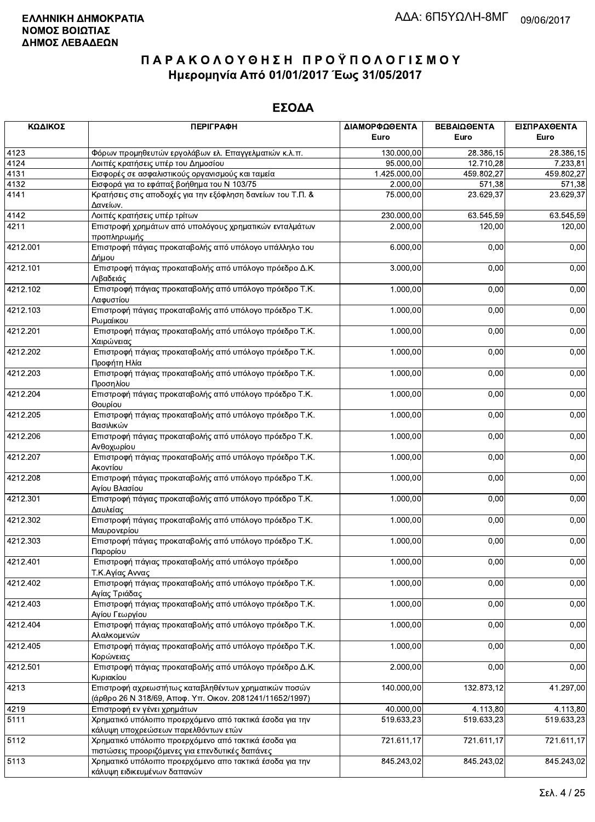| ΚΩΔΙΚΟΣ  | <b>ПЕРІГРАФН</b>                                                                                                 | ΔΙΑΜΟΡΦΩΘΕΝΤΑ<br>Euro   | ΒΕΒΑΙΩΘΕΝΤΑ<br>Euro | ΕΙΣΠΡΑΧΘΕΝΤΑ<br>Euro   |
|----------|------------------------------------------------------------------------------------------------------------------|-------------------------|---------------------|------------------------|
| 4123     | Φόρων προμηθευτών εργολάβων ελ. Επαγγελματιών κ.λ.π.                                                             | 130.000,00              | 28.386,15           | $\overline{28.386,15}$ |
| 4124     | Λοιπές κρατήσεις υπέρ του Δημοσίου                                                                               | 95.000,00               | 12.710,28           | 7.233,81               |
| 4131     | Εισφορές σε ασφαλιστικούς οργανισμούς και ταμεία                                                                 | 1.425.000,00            | 459.802,27          | 459.802,27             |
| 4132     | Εισφορά για το εφάπαξ βοήθημα του Ν 103/75                                                                       | 2.000,00                | 571,38              | 571,38                 |
| 4141     | Κρατήσεις στις αποδοχές για την εξόφληση δανείων του Τ.Π. &<br>Δανείων.                                          | 75.000,00               | 23.629,37           | 23.629,37              |
| 4142     | Λοιπές κρατήσεις υπέρ τρίτων                                                                                     | 230.000,00              | 63.545,59           | 63.545,59              |
| 4211     | Επιστροφή χρημάτων από υπολόγους χρηματικών ενταλμάτων<br>προπληρωμής                                            | 2.000,00                | 120,00              | 120,00                 |
| 4212.001 | Επιστροφή πάγιας προκαταβολής από υπόλογο υπάλληλο του<br>Δήμου                                                  | 6.000,00                | 0,00                | 0,00                   |
| 4212.101 | Επιστροφή πάγιας προκαταβολής από υπόλογο πρόεδρο Δ.Κ.<br>Λιβαδειάς                                              | 3.000,00                | 0,00                | 0,00                   |
| 4212.102 | Επιστροφή πάγιας προκαταβολής από υπόλογο πρόεδρο Τ.Κ.<br>Λαφυστίου                                              | 1.000,00                | 0,00                | 0,00                   |
| 4212.103 | Επιστροφή πάγιας προκαταβολής από υπόλογο πρόεδρο Τ.Κ.<br>Ρωμαίικου                                              | 1.000,00                | 0,00                | 0,00                   |
| 4212.201 | Επιστροφή πάγιας προκαταβολής από υπόλογο πρόεδρο Τ.Κ.<br>Χαιρώνειας                                             | 1.000,00                | 0,00                | 0,00                   |
| 4212.202 | Επιστροφή πάγιας προκαταβολής από υπόλογο πρόεδρο Τ.Κ.<br>Προφήτη Ηλία                                           | 1.000,00                | 0,00                | 0,00                   |
| 4212.203 | Επιστροφή πάγιας προκαταβολής από υπόλογο πρόεδρο Τ.Κ.<br>Προσηλίου                                              | 1.000,00                | 0,00                | 0,00                   |
| 4212.204 | Επιστροφή πάγιας προκαταβολής από υπόλογο πρόεδρο Τ.Κ.<br>Θουρίου                                                | 1.000,00                | 0,00                | 0,00                   |
| 4212.205 | Επιστροφή πάγιας προκαταβολής από υπόλογο πρόεδρο Τ.Κ.<br>Βασιλικών                                              | 1.000,00                | 0,00                | 0,00                   |
| 4212.206 | Επιστροφή πάγιας προκαταβολής από υπόλογο πρόεδρο Τ.Κ.<br>Ανθοχωρίου                                             | 1.000,00                | 0,00                | 0,00                   |
| 4212.207 | Επιστροφή πάγιας προκαταβολής από υπόλογο πρόεδρο Τ.Κ.<br>Ακοντίου                                               | 1.000,00                | 0,00                | 0,00                   |
| 4212.208 | Επιστροφή πάγιας προκαταβολής από υπόλογο πρόεδρο Τ.Κ.<br>Αγίου Βλασίου                                          | 1.000,00                | 0,00                | 0,00                   |
| 4212.301 | Επιστροφή πάγιας προκαταβολής από υπόλογο πρόεδρο Τ.Κ.<br>Δαυλείας                                               | 1.000,00                | 0,00                | 0,00                   |
| 4212.302 | Επιστροφή πάγιας προκαταβολής από υπόλογο πρόεδρο Τ.Κ.<br>Μαυρονερίου                                            | 1.000,00                | 0,00                | 0,00                   |
| 4212.303 | Επιστροφή πάγιας προκαταβολής από υπόλογο πρόεδρο Τ.Κ.<br>Παρορίου                                               | 1.000,00                | 0,00                | 0,00                   |
| 4212.401 | Επιστροφή πάγιας προκαταβολής από υπόλογο πρόεδρο<br>Τ.Κ.Αγίας Αννας                                             | 1.000,00                | 0,00                | 0,00                   |
| 4212.402 | Επιστροφή πάγιας προκαταβολής από υπόλογο πρόεδρο Τ.Κ.<br>Αγίας Τριάδας                                          | 1.000,00                | 0,00                | 0,00                   |
| 4212.403 | Επιστροφή πάγιας προκαταβολής από υπόλογο πρόεδρο Τ.Κ.<br>Αγίου Γεωργίου                                         | 1.000,00                | 0,00                | 0,00                   |
| 4212.404 | Επιστροφή πάγιας προκαταβολής από υπόλογο πρόεδρο Τ.Κ.<br>Αλαλκομενών                                            | 1.000,00                | 0,00                | 0,00                   |
| 4212.405 | Επιστροφή πάγιας προκαταβολής από υπόλογο πρόεδρο Τ.Κ.<br>Κορώνειας                                              | 1.000,00                | 0,00                | 0,00                   |
| 4212.501 | Επιστροφή πάγιας προκαταβολής από υπόλογο πρόεδρο Δ.Κ.<br>Κυριακίου                                              | 2.000,00                | 0,00                | 0,00                   |
| 4213     | Επιστροφή αχρεωστήτως καταβληθέντων χρηματικών ποσών<br>(άρθρο 26 Ν 318/69, Αποφ. Υπ. Οικον. 2081241/11652/1997) | 140.000,00              | 132.873,12          | 41.297,00              |
| 4219     | Επιστροφή εν γένει χρημάτων                                                                                      | 40.000,00               | 4.113,80            | 4.113,80               |
| 5111     | Χρηματικό υπόλοιπο προερχόμενο από τακτικά έσοδα για την<br>κάλυψη υποχρεώσεων παρελθόντων ετών                  | 519.633,23              | 519.633,23          | 519.633,23             |
| 5112     | Χρηματικό υπόλοιπο προερχόμενο από τακτικά έσοδα για<br>πιστώσεις προοριζόμενες για επενδυτικές δαπάνες          | $\overline{72}1.611,17$ | 721.611,17          | 721.611,17             |
| 5113     | Χρηματικό υπόλοιπο προερχόμενο απο τακτικά έσοδα για την<br>κάλιιμιη ειδικειμιένων δαπανών.                      | 845.243,02              | 845.243,02          | 845.243,02             |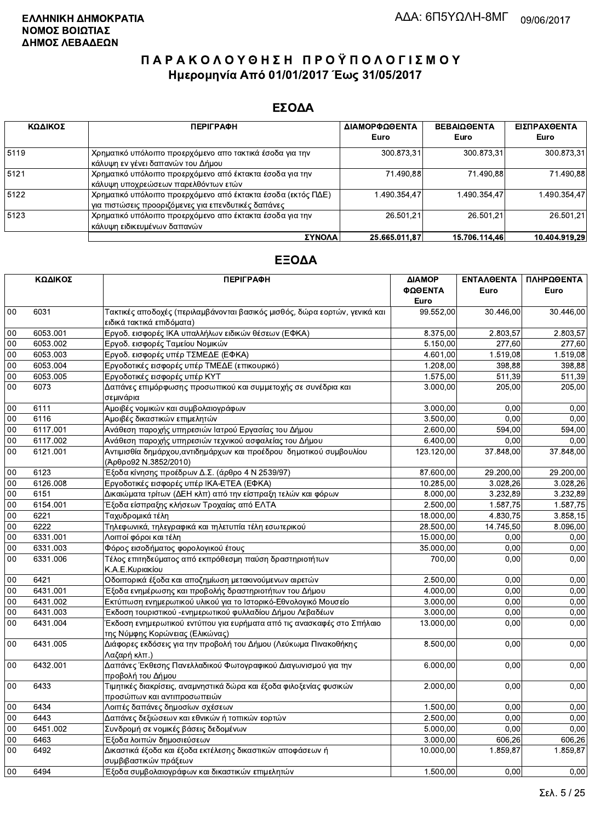### ΕΣΟΔΑ

| ΚΩΔΙΚΟΣ | <b>ПЕРІГРАФН</b>                                             | ΔΙΑΜΟΡΦΩΘΕΝΤΑ | <b>BEBAIOOENTA</b> | ΕΙΣΠΡΑΧΘΕΝΤΑ  |
|---------|--------------------------------------------------------------|---------------|--------------------|---------------|
|         |                                                              | Euro          | Euro               | Euro          |
| 5119    | Χρηματικό υπόλοιπο προερχόμενο απο τακτικά έσοδα για την     | 300.873,31    | 300.873.31         | 300.873,31    |
|         | κάλυψη εν γένει δαπανών του Δήμου                            |               |                    |               |
| 5121    | Χρηματικό υπόλοιπο προερχόμενο από έκτακτα έσοδα για την     | 71.490.88     | 71.490.88          | 71.490,88     |
|         | κάλυψη υποχρεώσεων παρελθόντων ετών                          |               |                    |               |
| 5122    | Χρηματικό υπόλοιπο προερχόμενο από έκτακτα έσοδα (εκτός ΠΔΕ) | 1.490.354.47  | 1.490.354.47       | 1.490.354.47  |
|         | για πιστώσεις προοριζόμενες για επενδυτικές δαπάνες          |               |                    |               |
| 5123    | Χρηματικό υπόλοιπο προερχόμενο απο έκτακτα έσοδα για την     | 26.501.21     | 26.501.21          | 26.501.21     |
|         | κάλυψη ειδικευμένων δαπανών                                  |               |                    |               |
|         | <b>ΣΥΝΟΛΑ</b>                                                | 25.665.011.87 | 15.706.114,46      | 10.404.919.29 |

|                 | ΚΩΔΙΚΟΣ  | <b>ПЕРІГРАФН</b>                                                                                          | ΔΙΑΜΟΡ     | <b>ENTAAOENTA</b> | ΠΛΗΡΩΘΕΝΤΑ |
|-----------------|----------|-----------------------------------------------------------------------------------------------------------|------------|-------------------|------------|
|                 |          |                                                                                                           | ΦΩΘΕΝΤΑ    | Euro              | Euro       |
|                 |          |                                                                                                           | Euro       |                   |            |
| 00              | 6031     | Τακτικές αποδοχές (περιλαμβάνονται βασικός μισθός, δώρα εορτών, γενικά και<br>ειδικά τακτικά επιδόματα)   | 99.552,00  | 30.446.00         | 30.446,00  |
| 00              | 6053.001 | Εργοδ. εισφορές ΙΚΑ υπαλλήλων ειδικών θέσεων (ΕΦΚΑ)                                                       | 8.375,00   | 2.803,57          | 2.803,57   |
| 00              | 6053.002 | Εργοδ. εισφορές Ταμείου Νομικών                                                                           | 5.150,00   | 277,60            | 277,60     |
| 00              | 6053.003 | Εργοδ. εισφορές υπέρ ΤΣΜΕΔΕ (ΕΦΚΑ)                                                                        | 4.601,00   | 1.519,08          | 1.519,08   |
| 00              | 6053.004 | Εργοδοτικές εισφορές υπέρ ΤΜΕΔΕ (επικουρικό)                                                              | 1.208,00   | 398,88            | 398,88     |
| $\overline{00}$ | 6053.005 | Εργοδοτικές εισφορές υπέρ ΚΥΤ                                                                             | 1.575,00   | 511,39            | 511,39     |
| 00              | 6073     | Δαπάνες επιμόρφωσης προσωπικού και συμμετοχής σε συνέδρια και<br>σεμινάρια                                | 3.000,00   | 205,00            | 205,00     |
| 00              | 6111     | Αμοιβές νομικών και συμβολαιογράφων                                                                       | 3.000,00   | 0.00              | 0,00       |
| 00              | 6116     | Αμοιβές δικαστικών επιμελητών                                                                             | 3.500,00   | 0.00              | 0,00       |
| 00              | 6117.001 | Ανάθεση παροχής υπηρεσιών Ιατρού Εργασίας του Δήμου                                                       | 2.600,00   | 594,00            | 594,00     |
| 00              | 6117.002 | Ανάθεση παροχής υπηρεσιών τεχνικού ασφαλείας του Δήμου                                                    | 6.400,00   | 0,00              | 0,00       |
| 00              | 6121.001 | Αντιμισθία δημάρχου, αντιδημάρχων και προέδρου δημοτικού συμβουλίου<br>(Άρθρο92 Ν.3852/2010)              | 123.120,00 | 37.848,00         | 37.848,00  |
| 00              | 6123     | Έξοδα κίνησης προέδρων Δ.Σ. (άρθρο 4 Ν 2539/97)                                                           | 87.600,00  | 29.200,00         | 29.200,00  |
| 00              | 6126.008 | Εργοδοτικές εισφορές υπέρ ΙΚΑ-ΕΤΕΑ (ΕΦΚΑ)                                                                 | 10.285,00  | 3.028,26          | 3.028,26   |
| 00              | 6151     | Δικαιώματα τρίτων (ΔΕΗ κλπ) από την είσπραξη τελών και φόρων                                              | 8.000,00   | 3.232,89          | 3.232,89   |
| 00              | 6154.001 | Έξοδα είσπραξης κλήσεων Τροχαίας από ΕΛΤΑ                                                                 | 2.500,00   | 1.587,75          | 1.587,75   |
| 00              | 6221     | Ταχυδρομικά τέλη                                                                                          | 18.000,00  | 4.830.75          | 3.858,15   |
| 00              | 6222     | Τηλεφωνικά, τηλεγραφικά και τηλετυπία τέλη εσωτερικού                                                     | 28.500,00  | 14.745,50         | 8.096,00   |
| 00              | 6331.001 | Λοιποί φόροι και τέλη                                                                                     | 15.000,00  | 0,00              | 0,00       |
| 00              | 6331.003 | Φόρος εισοδήματος φορολογικού έτους                                                                       | 35.000,00  | 0,00              | 0,00       |
| 00              | 6331.006 | Τέλος επιτηδεύματος από εκπρόθεσμη παύση δραστηριοτήτων<br>Κ.Α.Ε.Κυριακίου                                | 700,00     | 0.00              | 0,00       |
| 00              | 6421     | Οδοιπορικά έξοδα και αποζημίωση μετακινούμενων αιρετών                                                    | 2.500,00   | 0,00              | 0,00       |
| 00              | 6431.001 | Έξοδα ενημέρωσης και προβολής δραστηριοτήτων του Δήμου                                                    | 4.000,00   | 0,00              | 0,00       |
| 00              | 6431.002 | Εκτύπωση ενημερωτικού υλικού για το Ιστορικό-Εθνολογικό Μουσείο                                           | 3.000,00   | 0.00              | 0,00       |
| 00              | 6431.003 | Έκδοση τουριστικού -ενημερωτικού φυλλαδίου Δήμου Λεβαδέων                                                 | 3.000,00   | 0,00              | 0,00       |
| 00              | 6431.004 | Έκδοση ενημερωτικού εντύπου για ευρήματα από τις ανασκαφές στο Σπήλαιο<br>της Νύμφης Κορώνειας (Ελικώνας) | 13.000,00  | 0,00              | 0,00       |
| 00              | 6431.005 | Διάφορες εκδόσεις για την προβολή του Δήμου (Λεύκωμα Πινακοθήκης<br>Λαζαρή κλπ.)                          | 8.500,00   | 0,00              | 0,00       |
| 00              | 6432.001 | Δαπάνες Έκθεσης Πανελλαδικού Φωτογραφικού Διαγωνισμού για την<br>προβολή του Δήμου                        | 6.000,00   | 0,00              | 0,00       |
| 00              | 6433     | Τιμητικές διακρίσεις, αναμνηστικά δώρα και έξοδα φιλοξενίας φυσικών<br>προσώπων και αντιπροσωπειών        | 2.000,00   | 0,00              | 0,00       |
| $00\,$          | 6434     | Λοιπές δαπάνες δημοσίων σχέσεων                                                                           | 1.500.00   | 0.00              | 0,00       |
| 00              | 6443     | Δαπάνες δεξιώσεων και εθνικών ή τοπικών εορτών                                                            | 2.500,00   | 0.00              | 0.00       |
| 00              | 6451.002 | Συνδρομή σε νομικές βάσεις δεδομένων                                                                      | 5.000,00   | 0,00              | 0,00       |
| $\overline{00}$ | 6463     | Έξοδα λοιπών δημοσιεύσεων                                                                                 | 3.000,00   | 606,26            | 606,26     |
| 00              | 6492     | Δικαστικά έξοδα και έξοδα εκτέλεσης δικαστικών αποφάσεων ή<br>συμβιβαστικών πράξεων                       | 10.000,00  | 1.859,87          | 1.859,87   |
| 00              | 6494     | Έξοδα συμβολαιογράφων και δικαστικών επιμελητών                                                           | 1.500,00   | 0.00              | 0,00       |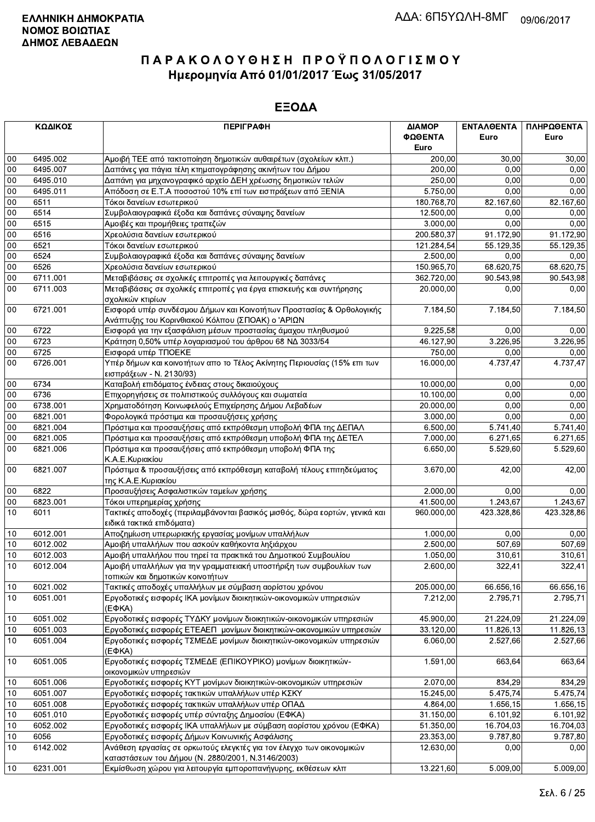|        | ΚΩΔΙΚΟΣ  | <b>ПЕРІГРАФН</b>                                                                                                          | ΔΙΑΜΟΡ<br>ΦΩΘΕΝΤΑ<br>Euro | ΕΝΤΑΛΘΕΝΤΑ<br>Euro | ΠΛΗΡΩΘΕΝΤΑ<br>Euro |
|--------|----------|---------------------------------------------------------------------------------------------------------------------------|---------------------------|--------------------|--------------------|
| 00     | 6495.002 | Αμοιβή ΤΕΕ από τακτοποίηση δημοτικών αυθαιρέτων (σχολείων κλπ.)                                                           | 200,00                    | 30,00              | 30,00              |
| $00\,$ | 6495.007 | Δαπάνες για πάγια τέλη κτηματογράφησης ακινήτων του Δήμου                                                                 | 200,00                    | 0.00               | 0.00               |
| $00\,$ | 6495.010 | Δαπάνη για μηχανογραφικό αρχείο ΔΕΗ χρέωσης δημοτικών τελών                                                               | 250,00                    | 0.00               | 0,00               |
| 00     | 6495.011 | Απόδοση σε Ε.Τ.Α ποσοστού 10% επί των εισπράξεων από ΞΕΝΙΑ                                                                | 5.750,00                  | 0,00               | 0,00               |
| 00     | 6511     | Τόκοι δανείων εσωτερικού                                                                                                  | 180.768,70                | 82.167,60          | 82.167,60          |
| 00     | 6514     | Συμβολαιογραφικά έξοδα και δαπάνες σύναψης δανείων                                                                        | 12.500,00                 | 0,00               | 0,00               |
| 00     | 6515     | Αμοιβές και προμήθειες τραπεζών                                                                                           | 3.000,00                  | 0,00               | 0,00               |
| $00\,$ | 6516     | Χρεολύσια δανείων εσωτερικού                                                                                              | 200.580,37                | 91.172,90          | 91.172,90          |
| $00\,$ | 6521     | Τόκοι δανείων εσωτερικού                                                                                                  | 121.284,54                | 55.129,35          | 55.129,35          |
| 00     | 6524     | Συμβολαιογραφικά έξοδα και δαπάνες σύναψης δανείων                                                                        | 2.500,00                  | 0,00               | 0,00               |
| 00     | 6526     | Χρεολύσια δανείων εσωτερικού                                                                                              | 150.965,70                | 68.620,75          | 68.620,75          |
| 00     | 6711.001 | Μεταβιβάσεις σε σχολικές επιτροπές για λειτουργικές δαπάνες                                                               | 362.720,00                | 90.543,98          | 90.543,98          |
| 00     | 6711.003 | Μεταβιβάσεις σε σχολικές επιτροπές για έργα επισκευής και συντήρησης<br>σχολικών κτιρίων                                  | 20.000,00                 | 0,00               | 0,00               |
| 00     | 6721.001 | Εισφορά υπέρ συνδέσμου Δήμων και Κοινοτήτων Προστασίας & Ορθολογικής<br>Ανάπτυξης του Κορινθιακού Κόλπου (ΣΠΟΑΚ) ο 'ΑΡΙΩΝ | 7.184,50                  | 7.184,50           | 7.184,50           |
| 00     | 6722     | Εισφορά για την εξασφάλιση μέσων προστασίας άμαχου πληθυσμού                                                              | 9.225,58                  | 0,00               | 0,00               |
| $00\,$ | 6723     | Κράτηση 0,50% υπέρ λογαριασμού του άρθρου 68 ΝΔ 3033/54                                                                   | 46.127,90                 | 3.226,95           | 3.226,95           |
| $00\,$ | 6725     | Εισφορά υπέρ ΤΠΟΕΚΕ                                                                                                       | 750,00                    | 0,00               | 0,00               |
| 00     | 6726.001 | Υπέρ δήμων και κοινοτήτων απο το Τέλος Ακίνητης Περιουσίας (15% επι των<br>εισπράξεων - Ν. 2130/93)                       | 16.000,00                 | 4.737,47           | 4.737,47           |
| $00\,$ | 6734     | Καταβολή επιδόματος ένδειας στους δικαιούχους                                                                             | 10.000,00                 | 0.00               | 0,00               |
| 00     | 6736     | Επιχορηγήσεις σε πολιτιστικούς συλλόγους και σωματεία                                                                     | 10.100,00                 | 0,00               | 0,00               |
| 00     | 6738.001 | Χρηματοδότηση Κοινωφελούς Επιχείρησης Δήμου Λεβαδέων                                                                      | 20.000,00                 | 0,00               | 0,00               |
| 00     | 6821.001 | Φορολογικά πρόστιμα και προσαυξήσεις χρήσης                                                                               | 3.000,00                  | 0.00               | 0,00               |
| $00\,$ | 6821.004 | Πρόστιμα και προσαυξήσεις από εκπρόθεσμη υποβολή ΦΠΑ της ΔΕΠΑΛ                                                            | 6.500,00                  | 5.741,40           | 5.741,40           |
| $00\,$ | 6821.005 | Πρόστιμα και προσαυξήσεις από εκπρόθεσμη υποβολή ΦΠΑ της ΔΕΤΕΛ                                                            | 7.000,00                  | 6.271,65           | 6.271,65           |
| 00     | 6821.006 | Πρόστιμα και προσαυξήσεις από εκπρόθεσμη υποβολή ΦΠΑ της<br>Κ.Α.Ε. Κυριακίου                                              | 6.650,00                  | 5.529,60           | 5.529,60           |
| $00\,$ | 6821.007 | Πρόστιμα & προσαυξήσεις από εκπρόθεσμη καταβολή τέλους επιτηδεύματος<br>της Κ.Α.Ε.Κυριακίου                               | 3.670,00                  | 42,00              | 42,00              |
| $00\,$ | 6822     | Προσαυξήσεις Ασφαλιστικών ταμείων χρήσης                                                                                  | 2.000,00                  | 0.00               | 0,00               |
| $00\,$ | 6823.001 | Τόκοι υπερημερίας χρήσης                                                                                                  | 41.500,00                 | 1.243,67           | 1.243,67           |
| 10     | 6011     | Τακτικές αποδοχές (περιλαμβάνονται βασικός μισθός, δώρα εορτών, γενικά και<br>ειδικά τακτικά επιδόματα)                   | 960.000.00                | 423.328,86         | 423.328,86         |
| 10     | 6012.001 | Αποζημίωση υπερωριακής εργασίας μονίμων υπαλλήλων                                                                         | 1.000,00                  | 0,00               | 0,00               |
| 10     | 6012.002 | Αμοιβή υπαλλήλων που ασκούν καθήκοντα ληξιάρχου                                                                           | 2.500,00                  | 507,69             | 507,69             |
| 10     | 6012.003 | Αμοιβή υπαλλήλου που τηρεί τα πρακτικά του Δημοτικού Συμβουλίου                                                           | 1.050,00                  | 310,61             | 310.61             |
| 10     | 6012.004 | Αμοιβή υπαλλήλων για την γραμματειακή υποστήριξη των συμβουλίων των<br>τοπικών και δημοτικών κοινοτήτων                   | 2.600,00                  | 322,41             | 322,41             |
| 10     | 6021.002 | Τακτικές αποδοχές υπαλλήλων με σύμβαση αορίστου χρόνου                                                                    | 205.000,00                | 66.656,16          | 66.656,16          |
| 10     | 6051.001 | Εργοδοτικές εισφορές ΙΚΑ μονίμων διοικητικών-οικονομικών υπηρεσιών<br>$(E\Phi KA)$                                        | 7.212,00                  | 2.795.71           | 2.795.71           |
| 10     | 6051.002 | Εργοδοτικές εισφορές ΤΥΔΚΥ μονίμων διοικητικών-οικονομικών υπηρεσιών                                                      | 45.900,00                 | 21.224,09          | 21.224,09          |
| 10     | 6051.003 | Εργοδοτικές εισφορές ΕΤΕΑΕΠ μονίμων διοικητικών-οικονομικών υπηρεσιών                                                     | 33.120,00                 | 11.826,13          | 11.826,13          |
| 10     | 6051.004 | Εργοδοτικές εισφορές ΤΣΜΕΔΕ μονίμων διοικητικών-οικονομικών υπηρεσιών<br>(E <sub>Φ</sub> KA)                              | 6.060.00                  | 2.527,66           | 2.527,66           |
| 10     | 6051.005 | Εργοδοτικές εισφορές ΤΣΜΕΔΕ (ΕΠΙΚΟΥΡΙΚΟ) μονίμων διοικητικών-<br>οικονομικών υπηρεσιών                                    | 1.591,00                  | 663,64             | 663,64             |
| 10     | 6051.006 | Εργοδοτικές εισφορές ΚΥΤ μονίμων διοικητικών-οικονομικών υπηρεσιών                                                        | 2.070,00                  | 834,29             | 834,29             |
| 10     | 6051.007 | Εργοδοτικές εισφορές τακτικών υπαλλήλων υπέρ ΚΣΚΥ                                                                         | 15.245,00                 | 5.475,74           | 5.475,74           |
| 10     | 6051.008 | Εργοδοτικές εισφορές τακτικών υπαλλήλων υπέρ ΟΠΑΔ                                                                         | 4.864,00                  | 1.656, 15          | 1.656,15           |
| 10     | 6051.010 | Εργοδοτικές εισφορές υπέρ σύνταξης Δημοσίου (ΕΦΚΑ)                                                                        | 31.150,00                 | 6.101,92           | 6.101,92           |
| 10     | 6052.002 | Εργοδοτικές εισφορές ΙΚΑ υπαλλήλων με σύμβαση αορίστου χρόνου (ΕΦΚΑ)                                                      | 51.350,00                 | 16.704,03          | 16.704,03          |
| 10     | 6056     | Εργοδοτικές εισφορές Δήμων Κοινωνικής Ασφάλισης                                                                           | 23.353,00                 | 9.787,80           | 9.787,80           |
| 10     | 6142.002 | Ανάθεση εργασίας σε ορκωτούς ελεγκτές για τον έλεγχο των οικονομικών<br>καταστάσεων του Δήμου (Ν. 2880/2001, Ν.3146/2003) | 12.630,00                 | 0,00               | 0,00               |
| 10     | 6231.001 | Εκμίσθωση χώρου για λειτουργία εμποροπανήγυρης, εκθέσεων κλπ                                                              | 13.221,60                 | 5.009,00           | 5.009,00           |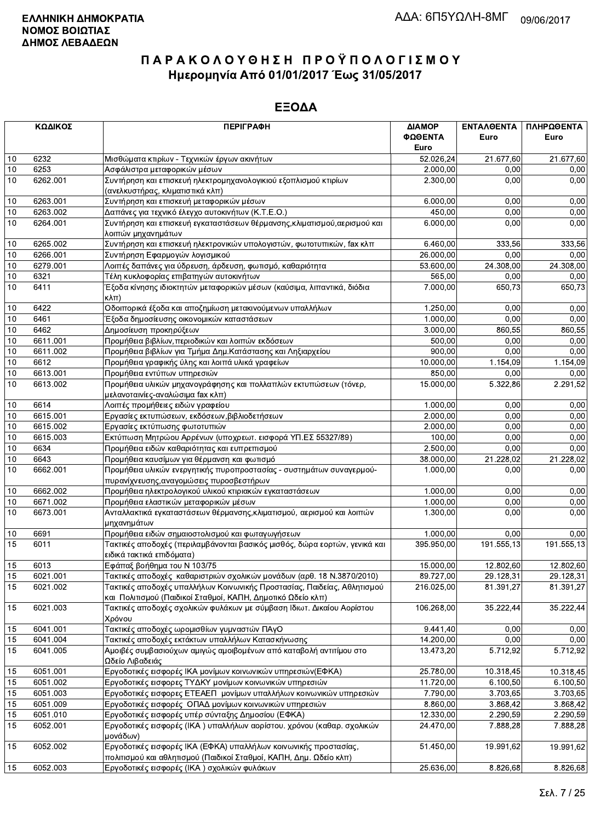|      | ΚΩΔΙΚΟΣ  | <b>ПЕРІГРАФН</b>                                                                                                                       | ΔΙΑΜΟΡ<br>ΦΩΘΕΝΤΑ<br>Euro | ΕΝΤΑΛΘΕΝΤΑ<br>Euro | ΠΛΗΡΩΘΕΝΤΑ<br>Euro |
|------|----------|----------------------------------------------------------------------------------------------------------------------------------------|---------------------------|--------------------|--------------------|
| 10   | 6232     | Μισθώματα κτιρίων - Τεχνικών έργων ακινήτων                                                                                            | 52.026,24                 | 21.677,60          | 21.677,60          |
| 10   | 6253     | Ασφάλιστρα μεταφορικών μέσων                                                                                                           | 2.000,00                  | 0,00               | 0,00               |
| 10   | 6262.001 | Συντήρηση και επισκευή ηλεκτρομηχανολογικιού εξοπλισμού κτιρίων                                                                        | 2.300,00                  | 0.00               | 0,00               |
|      |          | (ανελκυστήρας, κλιματιστικά κλπ)                                                                                                       |                           |                    |                    |
| 10   | 6263.001 | Συντήρηση και επισκευή μεταφορικών μέσων                                                                                               | 6.000,00                  | 0.00               | 0,00               |
| 10   | 6263.002 | Δαπάνες για τεχνικό έλεγχο αυτοκινήτων (Κ.Τ.Ε.Ο.)                                                                                      | 450,00                    | 0,00               | 0,00               |
| 10   | 6264.001 | Συντήρηση και επισκευή εγκαταστάσεων θέρμανσης, κλιματισμού, αερισμού και                                                              | 6.000,00                  | 0,00               | 0,00               |
|      |          | λοιπών μηχανημάτων                                                                                                                     |                           |                    |                    |
| 10   | 6265.002 | Συντήρηση και επισκευή ηλεκτρονικών υπολογιστών, φωτοτυπικών, fax κλπ                                                                  | 6.460,00                  | 333,56             | 333,56             |
| 10   | 6266.001 | Συντήρηση Εφαρμογών λογισμικού                                                                                                         | 26.000,00                 | 0,00               | 0,00               |
| $10$ | 6279.001 | Λοιπές δαπάνες για ύδρευση, άρδευση, φωτισμό, καθαριότητα                                                                              | $\overline{5}3.600,00$    | 24.308,00          | 24.308,00          |
| $10$ | 6321     | Τέλη κυκλοφορίας επιβατηγών αυτοκινήτων                                                                                                | 565,00                    | 0,00               | 0,00               |
| 10   | 6411     | Έξοδα κίνησης ιδιοκτητών μεταφορικών μέσων (καύσιμα, λιπαντικά, διόδια                                                                 | 7.000,00                  | 650,73             | 650,73             |
|      |          | κλπ)                                                                                                                                   |                           |                    |                    |
| 10   | 6422     | Οδοιπορικά έξοδα και αποζημίωση μετακινούμενων υπαλλήλων                                                                               | 1.250,00                  | 0.00               | 0,00               |
| 10   | 6461     | Έξοδα δημοσίευσης οικονομικών καταστάσεων                                                                                              | 1.000,00                  | 0,00               | 0,00               |
| $10$ | 6462     | Δημοσίευση προκηρύξεων                                                                                                                 | 3.000,00                  | 860,55             | 860,55             |
| $10$ | 6611.001 | Προμήθεια βιβλίων, περιοδικών και λοιπών εκδόσεων                                                                                      | 500,00                    | 0,00               | 0,00               |
| 10   | 6611.002 | Προμήθεια βιβλίων για Τμήμα Δημ.Κατάστασης και Ληξιαρχείου                                                                             | 900,00                    | 0,00               | 0,00               |
| $10$ | 6612     | Προμήθεια γραφικής ύλης και λοιπά υλικά γραφείων                                                                                       | 10.000,00                 | 1.154,09           | 1.154,09           |
| 10   | 6613.001 | Προμήθεια εντύπων υπηρεσιών                                                                                                            | 850,00                    | 0,00               | 0,00               |
| 10   | 6613.002 | Προμήθεια υλικών μηχανογράφησης και πολλαπλών εκτυπώσεων (τόνερ,                                                                       | 15.000,00                 | 5.322,86           | 2.291,52           |
|      |          | μελανοταινίες-αναλώσιμα fax κλπ)                                                                                                       |                           |                    |                    |
| 10   | 6614     | Λοιπές προμήθειες ειδών γραφείου                                                                                                       | 1.000,00                  | 0,00               | 0,00               |
| 10   | 6615.001 | Εργασίες εκτυπώσεων, εκδόσεων, βιβλιοδετήσεων                                                                                          | 2.000,00                  | 0,00               | 0,00               |
| 10   | 6615.002 | Εργασίες εκτύπωσης φωτοτυπιών                                                                                                          | 2.000,00                  | 0,00               | 0,00               |
| $10$ | 6615.003 | Εκτύπωση Μητρώου Αρρένων (υποχρεωτ. εισφορά ΥΠ.ΕΣ 55327/89)                                                                            | 100,00                    | 0,00               | 0,00               |
| 10   | 6634     | Προμήθεια ειδών καθαριότητας και ευπρεπισμού                                                                                           | 2.500,00                  | 0,00               | 0,00               |
| $10$ | 6643     | Προμήθεια καυσίμων για θέρμανση και φωτισμό                                                                                            | 38.000,00                 | 21.228,02          | 21.228,02          |
| 10   | 6662.001 | Προμήθεια υλικών ενεργητικής πυροπροστασίας - συστημάτων συναγερμού-<br>πυρανίχνευσης, αναγομώσεις πυροσβεστήρων                       | 1.000,00                  | 0,00               | 0,00               |
| $10$ | 6662.002 | Προμήθεια ηλεκτρολογικού υλικού κτιριακών εγκαταστάσεων                                                                                | 1.000,00                  | 0,00               | 0,00               |
| 10   | 6671.002 | Προμήθεια ελαστικών μεταφορικών μέσων                                                                                                  | 1.000,00                  | 0.00               | 0,00               |
| 10   | 6673.001 | Ανταλλακτικά εγκαταστάσεων θέρμανσης, κλιματισμού, αερισμού και λοιπών<br>μηχανημάτων                                                  | 1.300,00                  | 0,00               | 0,00               |
| 10   | 6691     | Προμήθεια ειδών σημαιοστολισμού και φωταγωγήσεων                                                                                       | 1.000,00                  | 0,00               | 0,00               |
| 15   | 6011     | Τακτικές αποδοχές (περιλαμβάνονται βασικός μισθός, δώρα εορτών, γενικά και<br>ειδικά τακτικά επιδόματα)                                | 395.950,00                | 191.555,13         | 191.555,13         |
| 15   | 6013     | Εφάπαξ βοήθημα του Ν 103/75                                                                                                            | 15.000,00                 | 12.802,60          | 12.802,60          |
| 15   | 6021.001 | Τακτικές αποδοχές καθαριστριών σχολικών μονάδων (αρθ. 18 Ν.3870/2010)                                                                  | 89.727,00                 | 29.128,31          | 29.128,31          |
| 15   | 6021.002 | Τακτικές αποδοχές υπαλλήλων Κοινωνικής Προστασίας, Παιδείας, Αθλητισμού<br>και Πολιτισμού (Παιδικοί Σταθμοί, ΚΑΠΗ, Δημοτικό Ωδείο κλπ) | 216.025,00                | 81.391,27          | 81.391,27          |
| 15   | 6021.003 | Τακτικές αποδοχές σχολικών φυλάκων με σύμβαση Ιδιωτ. Δικαίου Αορίστου<br>Χρόνου                                                        | 106.268,00                | 35.222,44          | 35.222,44          |
| 15   | 6041.001 | Τακτικές αποδοχές ωρομισθίων γυμναστών ΠΑγΟ                                                                                            | 9.441,40                  | 0,00               | 0,00               |
| 15   | 6041.004 | Τακτικές αποδοχές εκτάκτων υπαλλήλων Κατασκήνωσης                                                                                      | 14.200,00                 | 0.00               | 0,00               |
| 15   | 6041.005 | Αμοιβές συμβασιούχων αμιγώς αμοιβομένων από καταβολή αντιτίμου στο<br>Ωδείο Λιβαδειάς                                                  | 13.473,20                 | 5.712,92           | 5.712,92           |
| 15   | 6051.001 | Εργοδοτικές εισφορές ΙΚΑ μονίμων κοινωνικών υπηρεσιών(ΕΦΚΑ)                                                                            | 25.780,00                 | 10.318.45          | 10.318,45          |
| 15   | 6051.002 | Εργοδοτικές εισφορες ΤΥΔΚΥ μονίμων κοινωνικών υπηρεσιών                                                                                | 11.720,00                 | 6.100,50           | 6.100,50           |
| 15   | 6051.003 | Εργοδοτικές εισφορες ΕΤΕΑΕΠ μονίμων υπαλλήλων κοινωνικών υπηρεσιών                                                                     | 7.790,00                  | 3.703,65           | 3.703,65           |
| 15   | 6051.009 | Εργοδοτικές εισφορές ΟΠΑΔ μονίμων κοινωνικών υπηρεσιών                                                                                 | 8.860,00                  | 3.868,42           | 3.868,42           |
| 15   | 6051.010 | Εργοδοτικές εισφορές υπέρ σύνταξης Δημοσίου (ΕΦΚΑ)                                                                                     | 12.330,00                 | 2.290,59           | 2.290,59           |
| 15   | 6052.001 | Εργοδοτικές εισφορές (ΙΚΑ) υπαλλήλων αορίστου. χρόνου (καθαρ. σχολικών<br>μονάδων)                                                     | 24.470,00                 | 7.888,28           | 7.888,28           |
| 15   | 6052.002 | Εργοδοτικές εισφορές ΙΚΑ (ΕΦΚΑ) υπαλλήλων κοινωνικής προστασίας,<br>πολιτισμού και αθλητισμού (Παιδικοί Σταθμοί, ΚΑΠΗ, Δημ. Ωδείο κλπ) | 51.450,00                 | 19.991,62          | 19.991,62          |
| 15   | 6052.003 | Εργοδοτικές εισφορές (ΙΚΑ) σχολικών φυλάκων                                                                                            | 25.636,00                 | 8.826,68           | 8.826,68           |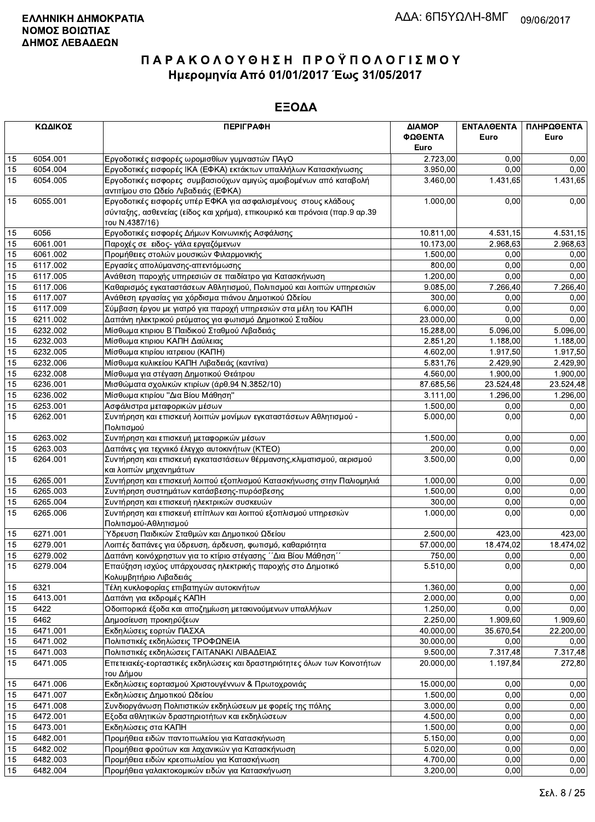|          | ΚΩΔΙΚΟΣ  | <b>ПЕРІГРАФН</b>                                                                                                            | ΔΙΑΜΟΡ                | ΕΝΤΑΛΘΕΝΤΑ | ΠΛΗΡΩΘΕΝΤΑ          |
|----------|----------|-----------------------------------------------------------------------------------------------------------------------------|-----------------------|------------|---------------------|
|          |          |                                                                                                                             | ΦΩΘΕΝΤΑ               | Euro       | Euro                |
|          |          |                                                                                                                             | Euro                  |            |                     |
| 15       | 6054.001 | Εργοδοτικές εισφορές ωρομισθίων γυμναστών ΠΑγΟ                                                                              | 2.723,00              | 0.00       | 0.00                |
| 15       | 6054.004 | Εργοδοτικές εισφορές ΙΚΑ (ΕΦΚΑ) εκτάκτων υπαλλήλων Κατασκήνωσης                                                             | 3.950,00              | 0,00       | 0.00                |
| 15       | 6054.005 | Εργοδοτικές εισφορες συμβασιούχων αμιγώς αμοιβομένων από καταβολή                                                           | 3.460,00              | 1.431,65   | 1.431,65            |
| 15       | 6055.001 | αντιτίμου στο Ωδείο Λιβαδειάς (ΕΦΚΑ)<br>Εργοδοτικές εισφορές υπέρ ΕΦΚΑ για ασφαλισμένους στους κλάδους                      | 1.000,00              | 0.00       | 0,00                |
|          |          | σύνταξης, ασθενείας (είδος και χρήμα), επικουρικό και πρόνοια (παρ.9 αρ.39                                                  |                       |            |                     |
|          |          | TOU N.4387/16)                                                                                                              |                       |            |                     |
| 15       | 6056     | Εργοδοτικές εισφορές Δήμων Κοινωνικής Ασφάλισης                                                                             | 10.811,00             | 4.531,15   | 4.531,15            |
| 15       | 6061.001 | Παροχές σε ειδος- γάλα εργαζόμενων                                                                                          | 10.173,00             | 2.968,63   | 2.968,63            |
| 15       | 6061.002 | Προμήθειες στολών μουσικών Φιλαρμονικής                                                                                     | 1.500,00              | 0,00       | 0,00                |
| 15       | 6117.002 | Εργασίες απολύμανσης-απεντόμωσης                                                                                            | 800,00                | 0,00       | 0,00                |
| 15       | 6117.005 | Ανάθεση παροχής υπηρεσιών σε παιδίατρο για Κατασκήνωση                                                                      | 1.200,00              | 0.00       | 0,00                |
| 15       | 6117.006 | Καθαρισμός εγκαταστάσεων Αθλητισμού, Πολιτισμού και λοιπών υπηρεσιών                                                        | 9.085,00              | 7.266,40   | 7.266,40            |
| 15       | 6117.007 | Ανάθεση εργασίας για χόρδισμα πιάνου Δημοτικού Ωδείου                                                                       | 300,00                | 0,00       | 0,00                |
| 15       | 6117.009 | Σύμβαση έργου με γιατρό για παροχή υπηρεσιών στα μέλη του ΚΑΠΗ                                                              | 6.000,00              | 0.00       | 0,00                |
| 15       | 6211.002 | Δαπάνη ηλεκτρικού ρεύματος για φωτισμό Δημοτικού Σταδίου                                                                    | 23.000.00             | 0,00       | 0,00                |
| 15       | 6232.002 | Μίσθωμα κτιριου Β΄ Παιδικού Σταθμού Λιβαδειάς                                                                               | 15.288,00             | 5.096,00   | 5.096,00            |
| 15       | 6232.003 | Μίσθωμα κτιριου ΚΑΠΗ Δαύλειας                                                                                               | 2.851,20              | 1.188,00   | 1.188,00            |
| 15       | 6232.005 | Μίσθωμα κτιρίου ιατρειου (ΚΑΠΗ)                                                                                             | 4.602,00              | 1.917,50   | 1.917,50            |
| 15       | 6232.006 | Μίσθωμα κυλικείου ΚΑΠΗ Λιβαδειάς (καντίνα)                                                                                  | 5.831,76              | 2.429,90   | 2.429.90            |
| 15       | 6232.008 | Μίσθωμα για στέγαση Δημοτικού Θεάτρου                                                                                       | 4.560,00              | 1.900,00   | 1.900,00            |
| 15       | 6236.001 | Μισθώματα σχολικών κτιρίων (άρθ.94 Ν.3852/10)                                                                               | 87.685,56             | 23.524,48  | 23.524,48           |
| 15       | 6236.002 | Μίσθωμα κτιρίου "Δια Βίου Μάθηση"                                                                                           | 3.111,00              | 1.296,00   | 1.296,00            |
| 15       | 6253.001 | Ασφάλιστρα μεταφορικών μέσων                                                                                                | 1.500,00              | 0,00       | 0,00                |
| 15       | 6262.001 | Συντήρηση και επισκευή λοιπών μονίμων εγκαταστάσεων Αθλητισμού -                                                            | 5.000,00              | 0,00       | 0,00                |
|          |          | Πολιτισμού                                                                                                                  |                       |            |                     |
| 15       | 6263.002 | Συντήρηση και επισκευή μεταφορικών μέσων                                                                                    | 1.500,00              | 0.00       | 0,00                |
| 15       | 6263.003 | Δαπάνες για τεχνιικό έλεγχο αυτοκινήτων (ΚΤΕΟ)                                                                              | 200,00                | 0,00       | 0.00                |
| 15       | 6264.001 | Συντήρηση και επισκευή εγκαταστάσεων θέρμανσης, κλιματισμού, αερισμού                                                       | 3.500,00              | 0.00       | 0,00                |
|          |          | και λοιπών μηχανημάτων                                                                                                      |                       |            |                     |
| 15       | 6265.001 | Συντήρηση και επισκευή λοιπού εξοπλισμού Κατασκήνωσης στην Παλιομηλιά                                                       | 1.000,00              | 0,00       | 0,00                |
| 15       | 6265.003 | Συντήρηση συστημάτων κατάσβεσης-πυρόσβεσης                                                                                  | 1.500,00              | 0,00       | 0,00                |
| 15       | 6265.004 | Συντήρηση και επισκευή ηλεκτρικών συσκευών                                                                                  | 300,00                | 0,00       | 0,00                |
| 15       | 6265.006 | Συντήρηση και επισκευή επίπλων και λοιπού εξοπλισμού υπηρεσιών                                                              | 1.000,00              | 0,00       | 0,00                |
|          | 6271.001 | Πολιτισμού-Αθλητισμού                                                                                                       |                       | 423,00     |                     |
| 15<br>15 | 6279.001 | Ύδρευση Παιδικών Σταθμών και Δημοτικού Ωδείου                                                                               | 2.500,00<br>57.000,00 | 18.474,02  | 423,00<br>18.474,02 |
| 15       | 6279.002 | Λοιπές δαπάνες για ύδρευση, άρδευση, φωτισμό, καθαριότητα<br>Δαπάνη κοινόχρηστων για το κτίριο στέγασης ΄΄Δια Βίου Μάθηση΄΄ | 750,00                | 0,00       | 0,00                |
| 15       | 6279.004 | Επαύξηση ισχύος υπάρχουσας ηλεκτρικής παροχής στο Δημοτικό                                                                  | $\overline{5.510,00}$ | 0,00       | 0,00                |
|          |          | Κολυμβητήριο Λιβαδειάς                                                                                                      |                       |            |                     |
| 15       | 6321     | Τέλη κυκλοφορίας επιβατηγών αυτοκινήτων                                                                                     | 1.360,00              | 0,00       | 0,00                |
| 15       | 6413.001 | Δαπάνη για εκδρομές ΚΑΠΗ                                                                                                    | 2.000,00              | 0,00       | 0,00                |
| 15       | 6422     | Οδοιπορικά έξοδα και αποζημίωση μετακινούμενων υπαλλήλων                                                                    | 1.250,00              | 0,00       | 0,00                |
| 15       | 6462     | Δημοσίευση προκηρύξεων                                                                                                      | 2.250,00              | 1.909,60   | 1.909,60            |
| 15       | 6471.001 | Εκδηλώσεις εορτών ΠΑΣΧΑ                                                                                                     | 40.000,00             | 35.670,54  | 22.200,00           |
| 15       | 6471.002 | Πολιτιστικές εκδηλώσεις ΤΡΟΦΩΝΕΙΑ                                                                                           | 30.000,00             | 0,00       | 0,00                |
| 15       | 6471.003 | Πολιτιστικές εκδηλώσεις ΓΑΙΤΑΝΑΚΙ ΛΙΒΑΔΕΙΑΣ                                                                                 | 9.500,00              | 7.317,48   | 7.317,48            |
| 15       | 6471.005 | Επετειακές-εορταστικές εκδηλώσεις και δραστηριότητες όλων των Κοινοτήτων                                                    | 20.000,00             | 1.197,84   | 272,80              |
|          |          | του Δήμου                                                                                                                   |                       |            |                     |
| 15       | 6471.006 | Εκδηλώσεις εορτασμού Χριστουγέννων & Πρωτοχρονιάς                                                                           | 15.000,00             | 0,00       | 0,00                |
| 15       | 6471.007 | Εκδηλώσεις Δημοτικού Ωδείου                                                                                                 | 1.500,00              | 0,00       | 0,00                |
| 15       | 6471.008 | Συνδιοργάνωση Πολιτιστικών εκδηλώσεων με φορείς της πόλης                                                                   | 3.000,00              | 0,00       | 0,00                |
| 15       | 6472.001 | Εξοδα αθλητικών δραστηριοτήτων και εκδηλώσεων                                                                               | 4.500,00              | 0,00       | 0,00                |
| 15       | 6473.001 | Εκδηλώσεις στα ΚΑΠΗ                                                                                                         | 1.500,00              | 0,00       | 0,00                |
| 15       | 6482.001 | Προμήθεια ειδών παντοπωλείου για Κατασκήνωση                                                                                | 5.150,00              | 0,00       | 0,00                |
| 15       | 6482.002 | Προμήθεια φρούτων και λαχανικών για Κατασκήνωση                                                                             | 5.020,00              | 0,00       | 0,00                |
| 15       | 6482.003 | Προμήθεια ειδών κρεοπωλείου για Κατασκήνωση                                                                                 | 4.700,00              | 0,00       | 0,00                |
| 15       | 6482.004 | Προμήθεια γαλακτοκομικών ειδών για Κατασκήνωση                                                                              | 3.200,00              | 0,00       | 0,00                |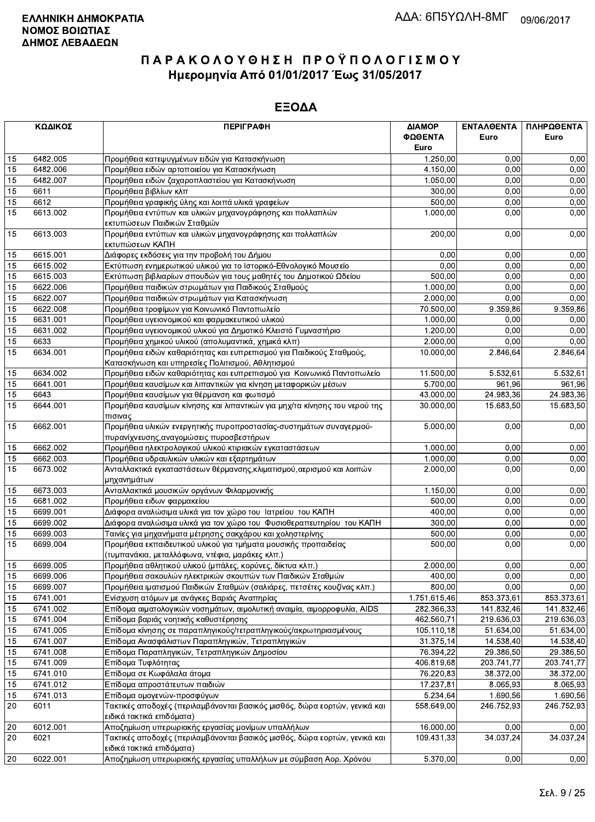|    | ΚΩΔΙΚΟΣ  | <b>ПЕРІГРАФН</b>                                                           | ΔΙΑΜΟΡ       | ΕΝΤΑΛΘΕΝΤΑ | ΠΛΗΡΩΘΕΝΤΑ |
|----|----------|----------------------------------------------------------------------------|--------------|------------|------------|
|    |          |                                                                            | ΦΩΘΕΝΤΑ      | Euro       | Euro       |
|    |          |                                                                            | Euro         |            |            |
| 15 | 6482.005 | Προμήθεια κατεψυγμένων ειδών για Κατασκήνωση                               | 1.250,00     | 0,00       | 0,00       |
| 15 | 6482.006 | Προμήθεια ειδών αρτοποιείου για Κατασκήνωση                                | 4.150,00     | 0,00       | 0,00       |
| 15 | 6482.007 | Προμήθεια ειδών ζαχαροπλαστείου για Κατασκήνωση                            | 1.050,00     | 0,00       | 0,00       |
| 15 | 6611     | Προμήθεια βιβλίων κλπ                                                      | 300,00       | 0,00       | 0,00       |
| 15 | 6612     | Προμήθεια γραφικής ύλης και λοιπά υλικά γραφείων                           | 500,00       | 0,00       | 0,00       |
| 15 | 6613.002 | Προμήθεια εντύπων και υλικών μηχανογράφησης και πολλαπλών                  | 1.000,00     | 0,00       | 0,00       |
|    |          | εκτυπώσεων Παιδικών Σταθμών                                                |              |            |            |
| 15 | 6613.003 | Προμήθεια εντύπων και υλικών μηχανογράφησης και πολλαπλών                  | 200,00       | 0,00       | 0,00       |
|    |          | εκτυπώσεων ΚΑΠΗ                                                            |              |            |            |
| 15 | 6615.001 | Διάφορες εκδόσεις για την προβολή του Δήμου                                | 0,00         | 0,00       | 0,00       |
| 15 | 6615.002 | Εκτύπωση ενημερωτικού υλικού για το Ιστορικό-Εθνολογικό Μουσείο            | 0,00         | 0,00       | 0,00       |
| 15 | 6615.003 | Εκτύπωση βιβλιαρίων σπουδών για τους μαθητές του Δημοτικού Ωδείου          | 500,00       | 0,00       | 0,00       |
| 15 | 6622.006 | Προμήθεια παιδικών στρωμάτων για Παιδικούς Σταθμούς                        | 1.000,00     | 0,00       | 0,00       |
| 15 | 6622.007 | Προμήθεια παιδικών στρωμάτων για Κατασκήνωση                               | 2.000,00     | 0,00       | 0,00       |
| 15 | 6622.008 | Προμήθεια τροφίμων για Κοινωνικό Παντοπωλείο                               | 70.500,00    | 9.359,86   | 9.359,86   |
| 15 | 6631.001 | Προμήθεια υγειονομικού και φαρμακευτικού υλικού                            | 1.000,00     | 0,00       | 0,00       |
| 15 | 6631.002 | Προμήθεια υγειονομικού υλικού για Δημοτικό Κλειστό Γυμναστήριο             | 1.200,00     | 0.00       | 0,00       |
| 15 | 6633     | Προμήθεια χημικού υλικού (απολυμαντικά, χημικά κλπ)                        | 2.000,00     | 0,00       | 0,00       |
| 15 | 6634.001 | Προμήθεια ειδών καθαριότητας και ευπρεπισμού για Παιδικούς Σταθμούς,       | 10.000,00    | 2.846,64   | 2.846,64   |
|    |          | Κατασκήνωση και υπηρεσίες Πολιτισμού, Αθλητισμού                           |              |            |            |
| 15 | 6634.002 | Προμήθεια ειδών καθαριότητας και ευπρεπισμού για Κοινωνικό Παντοπωλείο     | 11.500,00    | 5.532,61   | 5.532,61   |
| 15 | 6641.001 | Προμήθεια καυσίμων και λιπαντικών για κίνηση μεταφορικών μέσων             | 5.700,00     | 961,96     | 961,96     |
| 15 | 6643     | Προμήθεια καυσίμων για θέρμανση και φωτισμό                                | 43.000,00    | 24.983,36  | 24.983,36  |
| 15 | 6644.001 | Προμήθεια καυσίμων κίνησης και λιπαντικών για μηχ/τα κίνησης του νερού της | 30.000,00    | 15.683,50  | 15.683,50  |
|    |          | πισινας                                                                    |              |            |            |
| 15 | 6662.001 | Προμήθεια υλικών ενεργητικής πυροπροστασίας-συστημάτων συναγερμού-         | 5.000,00     | 0,00       | 0,00       |
|    |          | πυρανίχνευσης, αναγομώσεις πυροσβεστήρων                                   |              |            |            |
| 15 | 6662.002 | Προμήθεια ηλεκτρολογικού υλικού κτιριακών εγκαταστάσεων                    | 1.000,00     | 0.00       | 0,00       |
| 15 | 6662.003 | Προμήθεια υδραυλικών υλικών και εξαρτημάτων                                | 1.000,00     | 0,00       | 0,00       |
| 15 | 6673.002 | Ανταλλακτικά εγκαταστάσεων θέρμανσης, κλιματισμού, αερισμού και λοιπών     | 2.000,00     | 0,00       | 0,00       |
|    |          | μηχανημάτων                                                                |              |            |            |
| 15 | 6673.003 | Ανταλλακτικά μουσικών οργάνων Φιλαρμονικής                                 | 1.150,00     | 0,00       | 0,00       |
| 15 | 6681.002 | Προμήθεια ειδων φαρμακείου                                                 | 500,00       | 0,00       | 0,00       |
| 15 | 6699.001 | Διάφορα αναλώσιμα υλικά για τον χώρο του Ιατρείου του ΚΑΠΗ                 | 400,00       | 0,00       | 0,00       |
| 15 | 6699.002 | Διάφορα αναλώσιμα υλικά για τον χώρο του Φυσιοθεραπευτηρίου του ΚΑΠΗ       | 300,00       | 0,00       | 0,00       |
| 15 | 6699.003 | Ταινίες για μηχανήματα μέτρησης σακχάρου και χοληστερίνης                  | 500,00       | 0,00       | 0,00       |
| 15 | 6699.004 | Προμήθεια εκπαιδευτικού υλικού για τμήματα μουσικής προπαιδείας            | 500.00       | 0,00       | 0,00       |
|    |          | (τυμπανάκια, μεταλλόφωνα, ντέφια, μαράκες κλπ.)                            |              |            |            |
| 15 | 6699.005 | Προμήθεια αθλητικού υλικού (μπάλες, κορύνες, δίκτυα κλπ.)                  | 2.000,00     | 0.00       | 0,00       |
| 15 | 6699.006 | Προμήθεια σακουλών ηλεκτρικών σκουπών των Παιδικών Σταθμών                 | 400,00       | 0,00       | 0,00       |
| 15 | 6699.007 | Προμήθεια ιματισμού Παιδικών Σταθμών (σαλιάρες, πετσέτες κουζίνας κλπ.)    | 800,00       | 0,00       | 0,00       |
| 15 | 6741.001 | Ενίσχυση ατόμων με ανάγκες Βαριάς Αναπηρίας                                | 1.751.615,46 | 853.373,61 | 853.373,61 |
| 15 | 6741.002 | Επίδομα αιματολογικών νοσημάτων, αιμολυτική αναιμία, αιμορροφυλία, AIDS    | 282.366,33   | 141.832,46 | 141.832,46 |
| 15 | 6741.004 | Επίδομα βαριάς νοητικής καθυστέρησης                                       | 462.560,71   | 219.636,03 | 219.636,03 |
| 15 | 6741.005 | Επίδομα κίνησης σε παραπληγικούς/τετραπληγικούς/ακρωτηριασμένους           | 105.110,18   | 51.634,00  | 51.634,00  |
| 15 | 6741.007 | Επίδομα Ανασφάλιστων Παραπληγικών, Τετραπληγικών                           | 31.375,14    | 14.538,40  | 14.538,40  |
| 15 | 6741.008 | Επίδομα Παραπληγικών, Τετραπληγικών Δημοσίου                               | 76.394,22    | 29.386,50  | 29.386,50  |
| 15 | 6741.009 | Επίδομα Τυφλότητας                                                         | 406.819,68   | 203.741,77 | 203.741,77 |
| 15 | 6741.010 | Επίδομα σε Κωφάλαλα άτομα                                                  | 76.220,83    | 38.372,00  | 38.372,00  |
| 15 | 6741.012 | Επίδομα απροστάτευτων παιδιών                                              | 17.237,81    | 8.065,93   | 8.065,93   |
| 15 | 6741.013 | Επίδομα ομογενών-προσφύγων                                                 | 5.234,64     | 1.690,56   | 1.690,56   |
| 20 | 6011     | Τακτικές αποδοχές (περιλαμβάνονται βασικός μισθός, δώρα εορτών, γενικά και | 558.649,00   | 246.752,93 | 246.752,93 |
|    |          | ειδικά τακτικά επιδόματα)                                                  |              |            |            |
| 20 | 6012.001 | Αποζημίωση υπερωριακής εργασίας μονίμων υπαλλήλων                          | 16.000,00    | 0,00       | 0,00       |
| 20 | 6021     | Τακτικές αποδοχές (περιλαμβάνονται βασικός μισθός, δώρα εορτών, γενικά και | 109.431,33   | 34.037,24  | 34.037,24  |
|    |          | ειδικά τακτικά επιδόματα)                                                  |              |            |            |
| 20 | 6022.001 | Αποζημίωση υπερωριακής εργασίας υπαλλήλων με σύμβαση Αορ. Χρόνου           | 5.370,00     | 0,00       | 0,00       |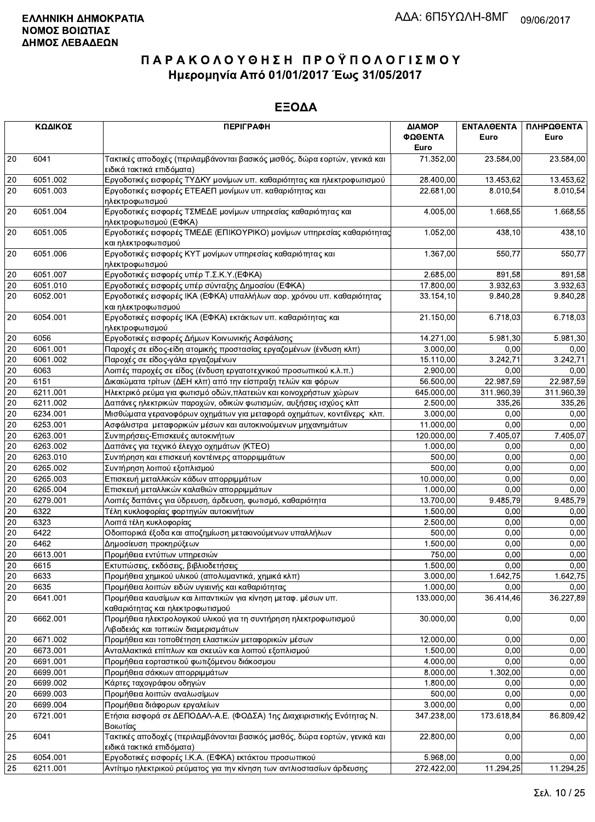|    | ΚΩΔΙΚΟΣ  | <b>ПЕРІГРАФН</b>                                                                                        | ΔΙΑΜΟΡ<br>ΦΩΘΕΝΤΑ | ΕΝΤΑΛΘΕΝΤΑ<br>Euro | ΠΛΗΡΩΘΕΝΤΑ<br>Euro |
|----|----------|---------------------------------------------------------------------------------------------------------|-------------------|--------------------|--------------------|
|    |          |                                                                                                         | Euro              |                    |                    |
| 20 | 6041     | Τακτικές αποδοχές (περιλαμβάνονται βασικός μισθός, δώρα εορτών, γενικά και<br>ειδικά τακτικά επιδόματα) | 71.352,00         | 23.584,00          | 23.584,00          |
| 20 | 6051.002 | Εργοδοτικές εισφορές ΤΥΔΚΥ μονίμων υπ. καθαριότητας και ηλεκτροφωτισμού                                 | 28.400,00         | 13.453,62          | 13.453,62          |
| 20 | 6051.003 | Εργοδοτικές εισφορές ΕΤΕΑΕΠ μονίμων υπ. καθαριότητας και<br>ηλεκτροφωτισμού                             | 22.681,00         | 8.010.54           | 8.010,54           |
| 20 | 6051.004 | Εργοδοτικές εισφορές ΤΣΜΕΔΕ μονίμων υπηρεσίας καθαριότητας και<br>ηλεκτροφωτισμού (ΕΦΚΑ)                | 4.005,00          | 1.668,55           | 1.668,55           |
| 20 | 6051.005 | Εργοδοτικές εισφορές ΤΜΕΔΕ (ΕΠΙΚΟΥΡΙΚΟ) μονίμων υπηρεσίας καθαριότητας<br>και ηλεκτροφωτισμού           | 1.052,00          | 438,10             | 438,10             |
| 20 | 6051.006 | Εργοδοτικές εισφορές ΚΥΤ μονίμων υπηρεσίας καθαριότητας και<br>ηλεκτροφωτισμού                          | 1.367,00          | 550,77             | 550,77             |
| 20 | 6051.007 | Εργοδοτικές εισφορές υπέρ Τ.Σ.Κ.Υ. (ΕΦΚΑ)                                                               | 2.685,00          | 891,58             | 891,58             |
| 20 | 6051.010 | Εργοδοτικές εισφορές υπέρ σύνταξης Δημοσίου (ΕΦΚΑ)                                                      | 17.800,00         | 3.932,63           | 3.932,63           |
| 20 | 6052.001 | Εργοδοτικές εισφορές ΙΚΑ (ΕΦΚΑ) υπαλλήλων αορ. χρόνου υπ. καθαριότητας<br>και ηλεκτροφωτισμού           | 33.154,10         | 9.840,28           | 9.840,28           |
| 20 | 6054.001 | Εργοδοτικές εισφορές ΙΚΑ (ΕΦΚΑ) εκτάκτων υπ. καθαριότητας και<br>ηλεκτροφωτισμού                        | 21.150,00         | 6.718,03           | 6.718,03           |
| 20 | 6056     | Εργοδοτικές εισφορές Δήμων Κοινωνικής Ασφάλισης                                                         | 14.271,00         | 5.981,30           | 5.981,30           |
| 20 | 6061.001 | Παροχές σε είδος-είδη ατομικής προστασίας εργαζομένων (ένδυση κλπ)                                      | 3.000,00          | 0,00               | 0,00               |
| 20 | 6061.002 | Παροχές σε είδος-γάλα εργαζομένων                                                                       | 15.110,00         | 3.242,71           | 3.242,71           |
| 20 | 6063     | Λοιπές παροχές σε είδος (ένδυση εργατοτεχνικού προσωπικού κ.λ.π.)                                       | 2.900,00          | 0,00               | 0,00               |
| 20 | 6151     | Δικαιώματα τρίτων (ΔΕΗ κλπ) από την είσπραξη τελών και φόρων                                            | 56.500,00         | 22.987,59          | 22.987,59          |
| 20 | 6211.001 | Ηλεκτρικό ρεύμα για φωτισμό οδών, πλατειών και κοινοχρήστων χώρων                                       | 645.000,00        | 311.960,39         | 311.960,39         |
| 20 | 6211.002 | Δαπάνες ηλεκτρικών παροχών, οδικών φωτισμών, αυξήσεις ισχύος κλπ                                        | 2.500,00          | 335,26             | 335,26             |
| 20 | 6234.001 | Μισθώματα γερανοφόρων οχημάτων για μεταφορά οχημάτων, κοντέϊνερς κλπ.                                   | 3.000,00          | 0,00               | 0,00               |
| 20 | 6253.001 | Ασφάλιστρα μεταφορικών μέσων και αυτοκινούμενων μηχανημάτων                                             | 11.000,00         | 0,00               | 0,00               |
|    |          |                                                                                                         |                   |                    |                    |
| 20 | 6263.001 | Συντηρήσεις-Επισκευές αυτοκινήτων                                                                       | 120.000,00        | 7.405,07           | 7.405,07           |
| 20 | 6263.002 | Δαπάνες για τεχνικό έλεγχο οχημάτων (ΚΤΕΟ)                                                              | 1.000,00          | 0,00               | 0,00               |
| 20 | 6263.010 | Συντήρηση και επισκευή κοντέινερς απορριμμάτων                                                          | 500,00            | 0.00               | 0,00               |
| 20 | 6265.002 | Συντήρηση λοιπού εξοπλισμού                                                                             | 500,00            | 0,00               | 0,00               |
| 20 | 6265.003 | Επισκευή μεταλλικών κάδων απορριμμάτων                                                                  | 10.000,00         | 0,00               | 0,00               |
| 20 | 6265.004 | Επισκευή μεταλλικών καλαθιών απορριμμάτων                                                               | 1.000,00          | 0,00               | 0,00               |
| 20 | 6279.001 | Λοιπές δαπάνες για ύδρευση, άρδευση, φωτισμό, καθαριότητα                                               | 13.700,00         | 9.485,79           | 9.485,79           |
| 20 | 6322     | Τέλη κυκλοφορίας φορτηγών αυτοκινήτων                                                                   | 1.500,00          | 0,00               | 0,00               |
| 20 | 6323     | Λοιπά τέλη κυκλοφορίας                                                                                  | 2.500,00          | 0,00               | 0,00               |
| 20 | 6422     | Οδοιπορικά έξοδα και αποζημίωση μετακινούμενων υπαλλήλων                                                | 500,00            | 0,00               | 0,00               |
| 20 | 6462     | Δημοσίευση προκηρύξεων                                                                                  | 1.500,00          | 0,00               | 0,00               |
| 20 | 6613.001 | Προμήθεια εντύπων υπηρεσιών                                                                             | 750,00            | 0,00               | 0,00               |
| 20 | 6615     | Εκτυπώσεις, εκδόσεις, βιβλιοδετήσεις                                                                    | 1.500,00          | 0.00               | 0,00               |
| 20 | 6633     | Προμήθεια χημικού υλικού (απολυμαντικά, χημικά κλπ)                                                     | 3.000,00          | 1.642,75           | 1.642,75           |
| 20 | 6635     | Προμήθεια λοιπών ειδών υγιεινής και καθαριότητας                                                        | 1.000,00          | 0,00               | 0,00               |
| 20 | 6641.001 | Προμήθεια καυσίμων και λιπαντικών για κίνηση μεταφ. μέσων υπ.<br>καθαριότητας και ηλεκτροφωτισμού       | 133.000,00        | 36.414,46          | 36.227,89          |
| 20 | 6662.001 | Προμήθεια ηλεκτρολογικού υλικού για τη συντήρηση ηλεκτροφωτισμού<br>Λιβαδειάς και τοπικών διαμερισμάτων | 30.000,00         | 0,00               | 0,00               |
| 20 | 6671.002 | Προμήθεια και τοποθέτηση ελαστικών μεταφορικών μέσων                                                    | 12.000,00         | 0,00               | 0,00               |
| 20 | 6673.001 | Ανταλλακτικά επίπλων και σκευών και λοιπού εξοπλισμού                                                   | 1.500,00          | 0,00               | 0,00               |
| 20 | 6691.001 | Προμήθεια εορταστικού φωτιζόμενου διάκοσμου                                                             | 4.000,00          | 0,00               | 0,00               |
| 20 | 6699.001 | Προμήθεια σάκκων απορριμμάτων                                                                           | 8.000,00          | 1.302,00           | 0,00               |
| 20 | 6699.002 | Κάρτες ταχογράφου οδηγών                                                                                | 1.800,00          | 0,00               | 0,00               |
| 20 | 6699.003 | Προμήθεια λοιπών αναλωσίμων                                                                             | 500,00            | 0,00               | 0,00               |
| 20 | 6699.004 | Προμήθεια διάφορων εργαλείων                                                                            | 3.000,00          | 0,00               | 0.00               |
| 20 | 6721.001 | Ετήσια εισφορά σε ΔΕΠΟΔΑΛ-Α.Ε. (ΦΟΔΣΑ) 1ης Διαχειριστικής Ενότητας Ν.                                   | 347.238,00        | 173.618,84         | 86.809,42          |
|    |          | Βοιωτίας                                                                                                |                   |                    |                    |
| 25 | 6041     | Τακτικές αποδοχές (περιλαμβάνονται βασικός μισθός, δώρα εορτών, γενικά και<br>ειδικά τακτικά επιδόματα) | 22.800,00         | 0,00               | 0,00               |
| 25 | 6054.001 | Εργοδοτικές εισφορές Ι.Κ.Α. (ΕΦΚΑ) εκτάκτου προσωπικού                                                  | 5.968,00          | 0,00               | 0,00               |
| 25 | 6211.001 | Αντίτιμο ηλεκτρικού ρεύματος για την κίνηση των αντλιοστασίων άρδευσης                                  | 272.422,00        | 11.294,25          | 11.294,25          |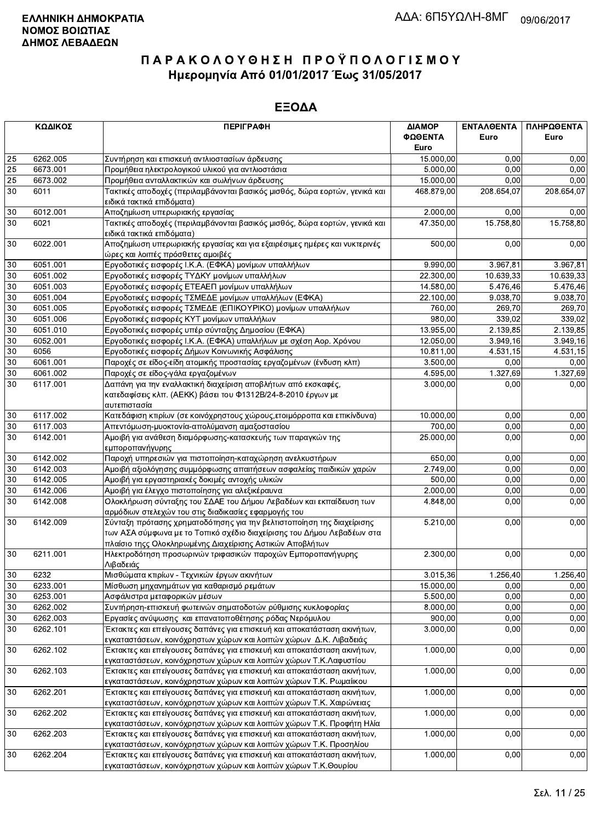|                 | ΚΩΔΙΚΟΣ  | <b>ПЕРІГРАФН</b>                                                           | ΔΙΑΜΟΡ     | ΕΝΤΑΛΘΕΝΤΑ | ΠΛΗΡΩΘΕΝΤΑ |
|-----------------|----------|----------------------------------------------------------------------------|------------|------------|------------|
|                 |          |                                                                            | ΦΩΘΕΝΤΑ    | Euro       | Euro       |
|                 |          |                                                                            | Euro       |            |            |
| 25              | 6262.005 | Συντήρηση και επισκευή αντλιοστασίων άρδευσης                              | 15.000,00  | 0,00       | 0,00       |
| 25              | 6673.001 | Προμήθεια ηλεκτρολογικού υλικού για αντλιοστάσια                           | 5.000,00   | 0.00       | 0,00       |
| $\overline{25}$ | 6673.002 | Προμήθεια ανταλλακτικών και σωλήνων άρδευσης                               | 15.000,00  | 0,00       | 0,00       |
| 30              | 6011     | Τακτικές αποδοχές (περιλαμβάνονται βασικός μισθός, δώρα εορτών, γενικά και | 468.879,00 | 208.654,07 | 208.654,07 |
|                 |          | ειδικά τακτικά επιδόματα)                                                  |            |            |            |
| 30              | 6012.001 | Αποζημίωση υπερωριακής εργασίας                                            | 2.000,00   | 0,00       | 0,00       |
| 30              | 6021     | Τακτικές αποδοχές (περιλαμβάνονται βασικός μισθός, δώρα εορτών, γενικά και | 47.350,00  | 15.758,80  | 15.758,80  |
|                 |          | ειδικά τακτικά επιδόματα)                                                  |            |            |            |
| 30              | 6022.001 | Αποζημίωση υπερωριακής εργασίας και για εξαιρέσιμες ημέρες και νυκτερινές  | 500,00     | 0,00       | 0,00       |
|                 |          | ώρες και λοιπές πρόσθετες αμοιβές                                          |            |            |            |
| 30              | 6051.001 | Εργοδοτικές εισφορές Ι.Κ.Α. (ΕΦΚΑ) μονίμων υπαλλήλων                       | 9.990,00   | 3.967,81   | 3.967,81   |
| 30              | 6051.002 | Εργοδοτικές εισφορές ΤΥΔΚΥ μονίμων υπαλλήλων                               | 22.300,00  | 10.639,33  | 10.639,33  |
| 30              | 6051.003 | Εργοδοτικές εισφορές ΕΤΕΑΕΠ μονίμων υπαλλήλων                              | 14.580,00  | 5.476,46   | 5.476,46   |
| 30              | 6051.004 | Εργοδοτικές εισφορές ΤΣΜΕΔΕ μονίμων υπαλλήλων (ΕΦΚΑ)                       | 22.100,00  | 9.038,70   | 9.038,70   |
| 30              | 6051.005 | Εργοδοτικές εισφορές ΤΣΜΕΔΕ (ΕΠΙΚΟΥΡΙΚΟ) μονίμων υπαλλήλων                 | 760,00     | 269,70     | 269,70     |
| 30              | 6051.006 | Εργοδοτικές εισφορές ΚΥΤ μονίμων υπαλλήλων                                 | 980,00     | 339,02     | 339,02     |
| 30              | 6051.010 | Εργοδοτικές εισφορές υπέρ σύνταξης Δημοσίου (ΕΦΚΑ)                         | 13.955,00  | 2.139,85   | 2.139,85   |
| 30              | 6052.001 | Εργοδοτικές εισφορές Ι.Κ.Α. (ΕΦΚΑ) υπαλλήλων με σχέση Αορ. Χρόνου          | 12.050,00  | 3.949,16   | 3.949,16   |
| 30              | 6056     | Εργοδοτικές εισφορές Δήμων Κοινωνικής Ασφάλισης                            | 10.811,00  | 4.531,15   | 4.531,15   |
| 30              | 6061.001 | Παροχές σε είδος-είδη ατομικής προστασίας εργαζομένων (ένδυση κλπ)         | 3.500,00   | 0,00       | 0,00       |
| 30              | 6061.002 | Παροχές σε είδος-γάλα εργαζομένων                                          | 4.595,00   | 1.327,69   | 1.327,69   |
| 30              | 6117.001 | Δαπάνη για την εναλλακτική διαχείριση αποβλήτων από εκσκαφές,              | 3.000,00   | 0.00       | 0,00       |
|                 |          | κατεδαφίσεις κλπ. (ΑΕΚΚ) βάσει του Φ1312Β/24-8-2010 έργων με               |            |            |            |
|                 |          | αυτεπιστασία                                                               |            |            |            |
| 30              | 6117.002 | Κατεδάφιση κτιρίων (σε κοινόχρηστους χώρους, ετοιμόρροπα και επικίνδυνα)   | 10.000,00  | 0,00       | 0,00       |
| 30              | 6117.003 | Απεντόμωση-μυοκτονία-απολύμανση αμαξοστασίου                               | 700,00     | 0,00       | 0,00       |
| 30              | 6142.001 | Αμοιβή για ανάθεση διαμόρφωσης-κατασκευής των παραγκών της                 | 25.000,00  | 0,00       | 0,00       |
|                 |          | εμποροπανήγυρης                                                            |            |            |            |
| 30              | 6142.002 | Παροχή υπηρεσιών για πιστοποίηση-καταχώρηση ανελκυστήρων                   | 650,00     | 0,00       | 0,00       |
| 30              | 6142.003 | Αμοιβή αξιολόγησης συμμόρφωσης απαιτήσεων ασφαλείας παιδικών χαρών         | 2.749,00   | 0,00       | 0,00       |
| 30              | 6142.005 | Αμοιβή για εργαστηριακές δοκιμές αντοχής υλικών                            | 500,00     | 0,00       | 0,00       |
| 30              | 6142.006 | Αμοιβή για έλεγχο πιστοποίησης για αλεξικέραυνα                            | 2.000,00   | 0,00       | 0,00       |
| 30              | 6142.008 | Ολοκλήρωση σύνταξης του ΣΔΑΕ του Δήμου Λεβαδέων και εκπαίδευση των         | 4.848,00   | 0,00       | 0,00       |
|                 |          | αρμόδιων στελεχών του στις διαδικασίες εφαρμογής του                       |            |            |            |
| 30              | 6142.009 | Σύνταξη πρότασης χρηματοδότησης για την βελτιστοποίηση της διαχείρισης     | 5.210,00   | 0,00       | 0,00       |
|                 |          | των ΑΣΑ σύμφωνα με το Τοπικό σχέδιο διαχείρισης του Δήμου Λεβαδέων στα     |            |            |            |
|                 |          | πλαίσιο τηςς Ολοκληρωμένης Διαχείρισης Αστικών Αποβλήτων                   |            |            |            |
| 30              | 6211.001 | Ηλεκτροδότηση προσωρινών τριφασικών παροχών Εμποροπανήγυρης                | 2.300,00   | 0,00       | 0,00       |
|                 |          | ∣Λιβαδειάς                                                                 |            |            |            |
| $30\,$          | 6232     | Μισθώματα κτιρίων - Τεχνικών έργων ακινήτων                                | 3.015,36   | 1.256,40   | 1.256,40   |
| 30              | 6233.001 | Μίσθωση μηχανημάτων για καθαρισμό ρεμάτων                                  | 15.000,00  | 0,00       | 0,00       |
| 30              | 6253.001 | Ασφάλιστρα μεταφορικών μέσων                                               | 5.500,00   | 0,00       | 0,00       |
| 30              | 6262.002 | Συντήρηση-επισκευή φωτεινών σηματοδοτών ρύθμισης κυκλοφορίας               | 8.000,00   | 0,00       | 0,00       |
| 30              | 6262.003 | Εργασίες ανύψωσης και επανατοποθέτησης ρόδας Νερόμυλου                     | 900,00     | 0,00       | 0,00       |
| 30              | 6262.101 | Έκτακτες και επείγουσες δαπάνες για επισκευή και αποκατάσταση ακινήτων,    | 3.000,00   | 0,00       | 0,00       |
|                 |          | εγκαταστάσεων, κοινόχρηστων χώρων και λοιπών χώρων Δ.Κ. Λιβαδειάς          |            |            |            |
| 30              | 6262.102 | Έκτακτες και επείγουσες δαπάνες για επισκευή και αποκατάσταση ακινήτων,    | 1.000,00   | 0,00       | 0,00       |
|                 |          | εγκαταστάσεων, κοινόχρηστων χώρων και λοιπών χώρων Τ.Κ.Λαφυστίου           |            |            |            |
| 30              | 6262.103 | Έκτακτες και επείγουσες δαπάνες για επισκευή και αποκατάσταση ακινήτων,    | 1.000,00   | 0,00       | 0,00       |
|                 |          | εγκαταστάσεων, κοινόχρηστων χώρων και λοιπών χώρων Τ.Κ. Ρωμαίικου          |            |            |            |
| 30              | 6262.201 | Έκτακτες και επείγουσες δαπάνες για επισκευή και αποκατάσταση ακινήτων,    | 1.000,00   | 0,00       | 0,00       |
|                 |          | εγκαταστάσεων, κοινόχρηστων χώρων και λοιπών χώρων Τ.Κ. Χαιρώνειας         |            |            |            |
| 30              | 6262.202 | Έκτακτες και επείγουσες δαπάνες για επισκευή και αποκατάσταση ακινήτων,    | 1.000,00   | 0,00       | 0,00       |
|                 |          | εγκαταστάσεων, κοινόχρηστων χώρων και λοιπών χώρων Τ.Κ. Προφήτη Ηλία       |            |            |            |
| 30              | 6262.203 | Έκτακτες και επείγουσες δαπάνες για επισκευή και αποκατάσταση ακινήτων,    | 1.000,00   | 0,00       | 0,00       |
|                 |          | εγκαταστάσεων, κοινόχρηστων χώρων και λοιπών χώρων Τ.Κ. Προσηλίου          |            |            |            |
| 30              | 6262.204 | Έκτακτες και επείγουσες δαπάνες για επισκευή και αποκατάσταση ακινήτων,    | 1.000,00   | 0,00       | 0,00       |
|                 |          | εγκαταστάσεων, κοινόχρηστων χώρων και λοιπών χώρων Τ.Κ.Θουρίου             |            |            |            |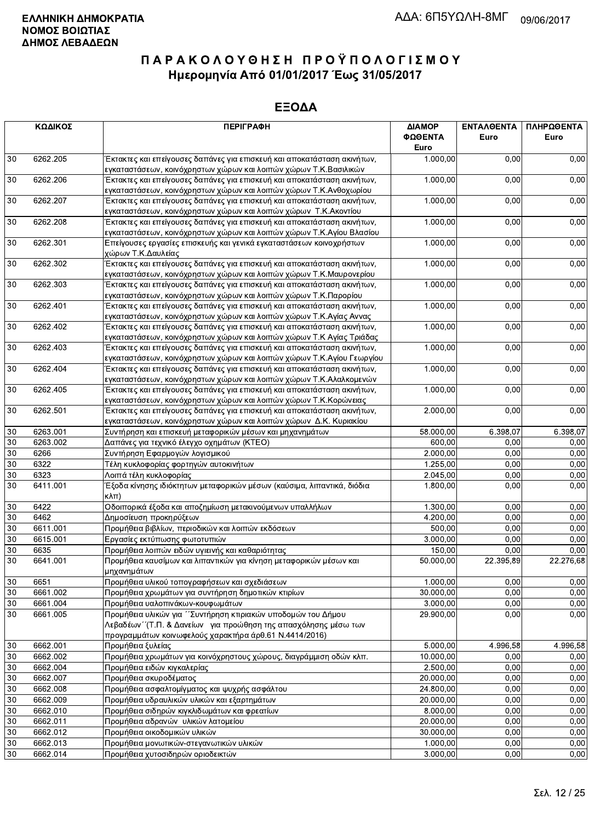|    | ΚΩΔΙΚΟΣ                                                                                                                                                  | <b>ПЕРІГРАФН</b>                                                                                                                                                                            | ΔΙΑΜΟΡ<br>ΦΩΘΕΝΤΑ<br>Euro | <b>ENTAA@ENTA</b><br>Euro | ΠΛΗΡΩΘΕΝΤΑ<br>Euro |
|----|----------------------------------------------------------------------------------------------------------------------------------------------------------|---------------------------------------------------------------------------------------------------------------------------------------------------------------------------------------------|---------------------------|---------------------------|--------------------|
| 30 | 6262.205                                                                                                                                                 | Έκτακτες και επείγουσες δαπάνες για επισκευή και αποκατάσταση ακινήτων,<br>εγκαταστάσεων, κοινόχρηστων χώρων και λοιπών χώρων Τ.Κ.Βασιλικών                                                 | 1.000,00                  | 0,00                      | 0,00               |
| 30 | 6262.206<br>Έκτακτες και επείγουσες δαπάνες για επισκευή και αποκατάσταση ακινήτων,<br>εγκαταστάσεων, κοινόχρηστων χώρων και λοιπών χώρων Τ.Κ.Ανθοχωρίου |                                                                                                                                                                                             | 1.000,00                  | 0,00                      | 0,00               |
| 30 | 6262.207                                                                                                                                                 | Έκτακτες και επείγουσες δαπάνες για επισκευή και αποκατάσταση ακινήτων,<br>εγκαταστάσεων, κοινόχρηστων χώρων και λοιπών χώρων Τ.Κ.Ακοντίου                                                  | 1.000,00                  | 0,00                      | 0,00               |
| 30 | 6262.208                                                                                                                                                 | Έκτακτες και επείγουσες δαπάνες για επισκευή και αποκατάσταση ακινήτων,<br>εγκαταστάσεων, κοινόχρηστων χώρων και λοιπών χώρων Τ.Κ.Αγίου Βλασίου                                             | 1.000,00                  | 0,00                      | 0,00               |
| 30 | 6262.301<br>Επείγουσες εργασίες επισκευής και γενικά εγκαταστάσεων κοινοχρήστων<br>χώρων Τ.Κ.Δαυλείας                                                    |                                                                                                                                                                                             | 1.000,00                  | 0,00                      | 0,00               |
| 30 | 6262.302                                                                                                                                                 | Έκτακτες και επείγουσες δαπάνες για επισκευή και αποκατάσταση ακινήτων,<br>εγκαταστάσεων, κοινόχρηστων χώρων και λοιπών χώρων Τ.Κ.Μαυρονερίου                                               | 1.000,00                  | 0,00                      | 0,00               |
| 30 | 6262.303                                                                                                                                                 | Έκτακτες και επείγουσες δαπάνες για επισκευή και αποκατάσταση ακινήτων,<br>εγκαταστάσεων, κοινόχρηστων χώρων και λοιπών χώρων Τ.Κ.Παρορίου                                                  | 1.000,00                  | 0,00                      | 0,00               |
| 30 | 6262.401                                                                                                                                                 | Έκτακτες και επείγουσες δαπάνες για επισκευή και αποκατάσταση ακινήτων,<br>εγκαταστάσεων, κοινόχρηστων χώρων και λοιπών χώρων Τ.Κ.Αγίας Αννας                                               | 1.000,00                  | 0,00                      | 0,00               |
| 30 | 6262.402                                                                                                                                                 | Έκτακτες και επείγουσες δαπάνες για επισκευή και αποκατάσταση ακινήτων,<br>εγκαταστάσεων, κοινόχρηστων χώρων και λοιπών χώρων Τ.Κ Αγίας Τριάδας                                             | 1.000,00                  | 0,00                      | 0,00               |
| 30 | 6262.403                                                                                                                                                 | Έκτακτες και επείγουσες δαπάνες για επισκευή και αποκατάσταση ακινήτων,<br>εγκαταστάσεων, κοινόχρηστων χώρων και λοιπών χώρων Τ.Κ.Αγίου Γεωργίου                                            | 1.000,00                  | 0,00                      | 0,00               |
| 30 | 6262.404                                                                                                                                                 | Έκτακτες και επείγουσες δαπάνες για επισκευή και αποκατάσταση ακινήτων,<br>εγκαταστάσεων, κοινόχρηστων χώρων και λοιπών χώρων Τ.Κ.Αλαλκομενών                                               | 1.000,00                  | 0,00                      | 0,00               |
| 30 | 6262.405                                                                                                                                                 | Έκτακτες και επείγουσες δαπάνες για επισκευή και αποκατάσταση ακινήτων,<br>εγκαταστάσεων, κοινόχρηστων χώρων και λοιπών χώρων Τ.Κ.Κορώνειας                                                 | 1.000,00                  | 0,00                      | 0,00               |
| 30 | 6262.501                                                                                                                                                 | Έκτακτες και επείγουσες δαπάνες για επισκευή και αποκατάσταση ακινήτων,<br>εγκαταστάσεων, κοινόχρηστων χώρων και λοιπών χώρων Δ.Κ. Κυριακίου                                                | 2.000,00                  | 0,00                      | 0,00               |
| 30 | 6263.001                                                                                                                                                 | Συντήρηση και επισκευή μεταφορικών μέσων και μηχανημάτων                                                                                                                                    | 58.000,00                 | 6.398,07                  | 6.398,07           |
| 30 | 6263.002                                                                                                                                                 | Δαπάνες για τεχνικό έλεγχο οχημάτων (ΚΤΕΟ)                                                                                                                                                  | 600,00                    | 0,00                      | 0,00               |
| 30 | 6266                                                                                                                                                     | Συντήρηση Εφαρμογών λογισμικού                                                                                                                                                              | 2.000,00                  | 0,00                      | 0,00               |
| 30 | 6322                                                                                                                                                     | Τέλη κυκλοφορίας φορτηγών αυτοκινήτων                                                                                                                                                       | 1.255,00                  | 0,00                      | 0,00               |
| 30 | 6323                                                                                                                                                     | Λοιπά τέλη κυκλοφορίας                                                                                                                                                                      | 2.045,00                  | 0,00                      | 0,00               |
| 30 | 6411.001                                                                                                                                                 | Έξοδα κίνησης ιδιόκτητων μεταφορικών μέσων (καύσιμα, λιπαντικά, διόδια<br>$K\lambda\pi$ )                                                                                                   | 1.800,00                  | 0,00                      | 0,00               |
| 30 | 6422                                                                                                                                                     | Οδοιπορικά έξοδα και αποζημίωση μετακινούμενων υπαλλήλων                                                                                                                                    | 1.300,00                  | 0.00                      | 0,00               |
| 30 | 6462                                                                                                                                                     | Δημοσίευση προκηρύξεων                                                                                                                                                                      | 4.200,00                  | 0,00                      | 0,00               |
| 30 | 6611.001                                                                                                                                                 | Προμήθεια βιβλίων, περιοδικών και λοιπών εκδόσεων                                                                                                                                           | 500,00                    | 0,00                      | 0,00               |
| 30 | 6615.001                                                                                                                                                 | Εργασίες εκτύπωσης φωτοτυπιών                                                                                                                                                               | 3.000,00                  | 0,00                      | 0,00               |
| 30 | 6635                                                                                                                                                     | Προμήθεια λοιπών ειδών υγιεινής και καθαριότητας                                                                                                                                            | 150,00                    | 0,00                      | 0,00               |
| 30 | 6641.001                                                                                                                                                 | Προμήθεια καυσίμων και λιπαντικών για κίνηση μεταφορικών μέσων και<br>μηχανημάτων                                                                                                           | 50.000,00                 | 22.395,89                 | 22.276,68          |
| 30 | 6651                                                                                                                                                     | Προμήθεια υλικού τοπογραφήσεων και σχεδιάσεων                                                                                                                                               | 1.000,00                  | 0,00                      | 0,00               |
| 30 | 6661.002                                                                                                                                                 | Προμήθεια χρωμάτων για συντήρηση δημοτικών κτιρίων                                                                                                                                          | 30.000,00                 | 0,00                      | 0,00               |
| 30 | 6661.004                                                                                                                                                 | Προμήθεια υαλοπινάκων-κουφωμάτων                                                                                                                                                            | 3.000,00                  | 0,00                      | 0,00               |
| 30 | 6661.005                                                                                                                                                 | Προμήθεια υλικών για ΄΄ Συντήρηση κτιριακών υποδομών του Δήμου<br>Λεβαδέων "(Τ.Π. & Δανείων για προώθηση της απασχόλησης μέσω των<br>προγραμμάτων κοινωφελούς χαρακτήρα άρθ.61 Ν.4414/2016) | 29.900,00                 | 0,00                      | 0,00               |
| 30 | 6662.001                                                                                                                                                 | Προμήθεια ξυλείας                                                                                                                                                                           | 5.000,00                  | 4.996,58                  | 4.996,58           |
| 30 | 6662.002                                                                                                                                                 | Προμήθεια χρωμάτων για κοινόχρηστους χώρους, διαγράμμιση οδών κλπ.                                                                                                                          | 10.000,00                 | 0,00                      | 0,00               |
| 30 | 6662.004                                                                                                                                                 | Προμήθεια ειδών κιγκαλερίας                                                                                                                                                                 | 2.500,00                  | 0,00                      | 0,00               |
| 30 | 6662.007                                                                                                                                                 | Προμήθεια σκυροδέματος                                                                                                                                                                      | 20.000,00                 | 0,00                      | 0,00               |
| 30 | 6662.008                                                                                                                                                 | Προμήθεια ασφαλτομίγματος και ψυχρής ασφάλτου                                                                                                                                               | 24.800,00                 | 0,00                      | 0,00               |
| 30 | 6662.009                                                                                                                                                 | Προμήθεια υδραυλικών υλικών και εξαρτημάτων                                                                                                                                                 | 20.000,00                 | 0,00                      | 0,00               |
| 30 | 6662.010                                                                                                                                                 | Προμήθεια σιδηρών κιγκλιδωμάτων και φρεατίων                                                                                                                                                | 8.000,00                  | 0,00                      | 0,00               |
| 30 | 6662.011                                                                                                                                                 | Προμήθεια αδρανών υλικών λατομείου                                                                                                                                                          | 20.000,00                 | 0,00                      | 0,00               |
| 30 | 6662.012                                                                                                                                                 | Προμήθεια οικοδομικών υλικών                                                                                                                                                                | 30.000,00                 | 0,00                      | 0,00               |
| 30 | 6662.013                                                                                                                                                 | Προμήθεια μονωτικών-στεγανωτικών υλικών                                                                                                                                                     | 1.000,00                  | 0,00                      | 0,00               |
| 30 | 6662.014                                                                                                                                                 | Προμήθεια χυτοσιδηρών οριοδεικτών                                                                                                                                                           | 3.000,00                  | 0,00                      | 0,00               |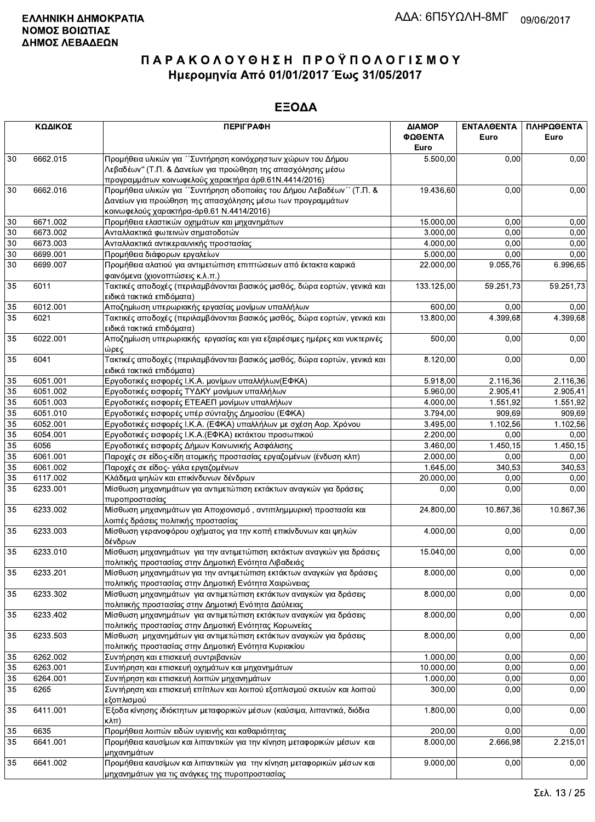|                 | ΚΩΔΙΚΟΣ                         | <b>ПЕРІГРАФН</b>                                                                                                                    | ΔΙΑΜΟΡ<br>ΦΩΘΕΝΤΑ     | <b>ENTAAOENTA</b><br>Euro | ΠΛΗΡΩΘΕΝΤΑ<br>Euro |
|-----------------|---------------------------------|-------------------------------------------------------------------------------------------------------------------------------------|-----------------------|---------------------------|--------------------|
|                 |                                 |                                                                                                                                     | Euro                  |                           |                    |
| 30              | 6662.015                        | Προμήθεια υλικών για ''Συντήρηση κοινόχρηστων χώρων του Δήμου<br>Λεβαδέων" (Τ.Π. & Δανείων για προώθηση της απασχόλησης μέσω        | 5.500,00              | 0.00                      | 0,00               |
| 30              | 6662.016                        | προγραμμάτων κοινωφελούς χαρακτήρα άρθ.61Ν.4414/2016)                                                                               | 19.436,60             | 0,00                      | 0,00               |
|                 |                                 | Προμήθεια υλικών για "Συντήρηση οδοποιίας του Δήμου Λεβαδέων" (Τ.Π. &<br>Δανείων για προώθηση της απασχόλησης μέσω των προγραμμάτων |                       |                           |                    |
|                 |                                 | κοινωφελούς χαρακτήρα-άρθ.61 Ν.4414/2016)                                                                                           |                       |                           |                    |
| 30<br>30        | 6671.002<br>6673.002            | Προμήθεια ελαστικών οχημάτων και μηχανημάτων                                                                                        | 15.000,00<br>3.000,00 | 0,00<br>0.00              | 0,00               |
| 30              | 6673.003                        | Ανταλλακτικά φωτεινών σηματοδοτών<br>Ανταλλακτικά αντικεραυνικής προστασίας                                                         | 4.000,00              | 0,00                      | 0,00<br>0,00       |
| 30              | 6699.001                        | Προμήθεια διάφορων εργαλείων                                                                                                        | 5.000,00              | 0,00                      | 0,00               |
| 30              | 6699.007                        | Προμήθεια αλατιού για αντιμετώπιση επιπτώσεων από έκτακτα καιρικά                                                                   | 22.000,00             | 9.055,76                  | 6.996,65           |
|                 | φαινόμενα (χιονοπτώσεις κ.λ.π.) |                                                                                                                                     |                       |                           |                    |
| 35              | 6011                            | Τακτικές αποδοχές (περιλαμβάνονται βασικός μισθός, δώρα εορτών, γενικά και<br>ειδικά τακτικά επιδόματα)                             | 133.125,00            | 59.251,73                 | 59.251,73          |
| 35              | 6012.001                        | Αποζημίωση υπερωριακής εργασίας μονίμων υπαλλήλων                                                                                   | 600,00                | 0,00                      | 0,00               |
| 35              | 6021                            | Τακτικές αποδοχές (περιλαμβάνονται βασικός μισθός, δώρα εορτών, γενικά και                                                          | 13.800,00             | 4.399,68                  | 4.399,68           |
|                 |                                 | ειδικά τακτικά επιδόματα)                                                                                                           |                       |                           |                    |
| 35              | 6022.001                        | Αποζημίωση υπερωριακής εργασίας και για εξαιρέσιμες ημέρες και νυκτερινές<br>ώρες                                                   | 500,00                | 0,00                      | 0,00               |
| 35              | 6041                            | Τακτικές αποδοχές (περιλαμβάνονται βασικός μισθός, δώρα εορτών, γενικά και<br>ειδικά τακτικά επιδόματα)                             | 8.120,00              | 0,00                      | 0,00               |
| 35              | 6051.001                        | Εργοδοτικές εισφορές Ι.Κ.Α. μονίμων υπαλλήλων(ΕΦΚΑ)                                                                                 | 5.918,00              | 2.116,36                  | 2.116,36           |
| 35              | 6051.002                        | Εργοδοτικές εισφορές ΤΥΔΚΥ μονίμων υπαλλήλων                                                                                        | 5.960,00              | 2.905.41                  | 2.905,41           |
| 35              | 6051.003                        | Εργοδοτικές εισφορές ΕΤΕΑΕΠ μονίμων υπαλλήλων                                                                                       | 4.000,00              | 1.551,92                  | 1.551,92           |
| $\overline{35}$ | 6051.010                        | Εργοδοτικές εισφορές υπέρ σύνταξης Δημοσίου (ΕΦΚΑ)                                                                                  | 3.794,00              | 909,69                    | 909,69             |
| 35              | 6052.001                        | Εργοδοτικές εισφορές Ι.Κ.Α. (ΕΦΚΑ) υπαλλήλων με σχέση Αορ. Χρόνου                                                                   | 3.495,00              | 1.102,56                  | 1.102,56           |
| 35              | 6054.001                        | Εργοδοτικές εισφορές Ι.Κ.Α. (ΕΦΚΑ) εκτάκτου προσωπικού                                                                              | 2.200,00              | 0,00                      | 0,00               |
| 35              | 6056                            | Εργοδοτικές εισφορές Δήμων Κοινωνικής Ασφάλισης                                                                                     | 3.460,00              | 1.450,15                  | 1.450,15           |
| 35              | 6061.001                        | Παροχές σε είδος-είδη ατομικής προστασίας εργαζομένων (ένδυση κλπ)                                                                  | 2.000,00              | 0,00                      | 0,00               |
| $\overline{35}$ | 6061.002                        | Παροχές σε είδος- γάλα εργαζομένων                                                                                                  | 1.645,00              | 340.53                    | 340,53             |
| 35              | 6117.002                        | Κλάδεμα ψηλών και επικίνδυνων δένδρων                                                                                               | 20.000,00             | 0,00                      | 0,00               |
| 35              | 6233.001                        | Μίσθωση μηχανημάτων για αντιμετώπιση εκτάκτων αναγκών για δράσεις<br>πυροπροστασίας                                                 | 0,00                  | 0,00                      | 0,00               |
| 35              | 6233.002                        | Μίσθωση μηχανημάτων για Αποχιονισμό, αντιπλημμυρική προστασία και<br>λοιπές δράσεις πολιτικής προστασίας                            | 24.800,00             | 10.867,36                 | 10.867,36          |
| 35              | 6233.003                        | Μίσθωση γερανοφόρου οχήματος για την κοπή επικίνδυνων και ψηλών<br>δένδρων                                                          | 4.000,00              | 0,00                      | 0,00               |
| 35              | 6233.010                        | Μίσθωση μηχανημάτων για την αντιμετώπιση εκτάκτων αναγκών για δράσεις<br>πολιτικής προστασίας στην Δημοτική Ενότητα Λιβαδειάς       | 15.040,00             | 0,00                      | 0,00               |
| 35              | 6233.201                        | Μίσθωση μηχανημάτων για την αντιμετώπιση εκτάκτων αναγκών για δράσεις<br>πολιτικής προστασίας στην Δημοτική Ενότητα Χαιρώνειας      | 8.000,00              | 0,00                      | 0,00               |
| 35              | 6233.302                        | Μίσθωση μηχανημάτων για αντιμετώπιση εκτάκτων αναγκών για δράσεις<br>πολιτιικής προστασίας στην Δημοτική Ενότητα Δαύλειας           | 8.000,00              | 0,00                      | 0,00               |
| 35              | 6233.402                        | Μίσθωση μηχανημάτων για αντιμετώπιση εκτάκτων αναγκών για δράσεις<br>πολιτικής προστασίας στην Δημοτική Ενότητας Κορωνείας          | 8.000,00              | 0,00                      | 0,00               |
| 35              | 6233.503                        | Μίσθωση μηχανημάτων για αντιμετώπιση εκτάκτων αναγκών για δράσεις<br>πολιτικής προστασίας στην Δημοτική Ενότητα Κυριακίου           | 8.000,00              | 0,00                      | 0,00               |
| 35              | 6262.002                        | Συντήρηση και επισκευή συντριβανιών                                                                                                 | 1.000,00              | 0,00                      | 0,00               |
| 35              | 6263.001                        | Συντήρηση και επισκευή οχημάτων και μηχανημάτων                                                                                     | 10.000,00             | 0,00                      | 0,00               |
| 35              | 6264.001                        | Συντήρηση και επισκευή λοιπών μηχανημάτων                                                                                           | 1.000,00              | 0,00                      | 0,00               |
| 35              | 6265                            | Συντήρηση και επισκευή επίπλων και λοιπού εξοπλισμού σκευών και λοιπού<br>εξοπλισμού                                                | 300,00                | 0,00                      | 0,00               |
| 35              | 6411.001                        | Έξοδα κίνησης ιδιόκτητων μεταφορικών μέσων (καύσιμα, λιπαντικά, διόδια<br>κλπ)                                                      | 1.800,00              | 0,00                      | 0,00               |
| 35              | 6635                            | Προμήθεια λοιπών ειδών υγιεινής και καθαριότητας                                                                                    | 200,00                | 0,00                      | 0,00               |
| 35              | 6641.001                        | Προμήθεια καυσίμων και λιπαντικών για την κίνηση μεταφορικών μέσων και<br>μηχανημάτων                                               | $\overline{8.000,00}$ | 2.666,98                  | 2.215,01           |
| 35              | 6641.002                        | Προμήθεια καυσίμων και λιπαντικών για την κίνηση μεταφορικών μέσων και<br>μηχανημάτων για τις ανάγκες της πυροπροστασίας            | 9.000,00              | 0,00                      | 0,00               |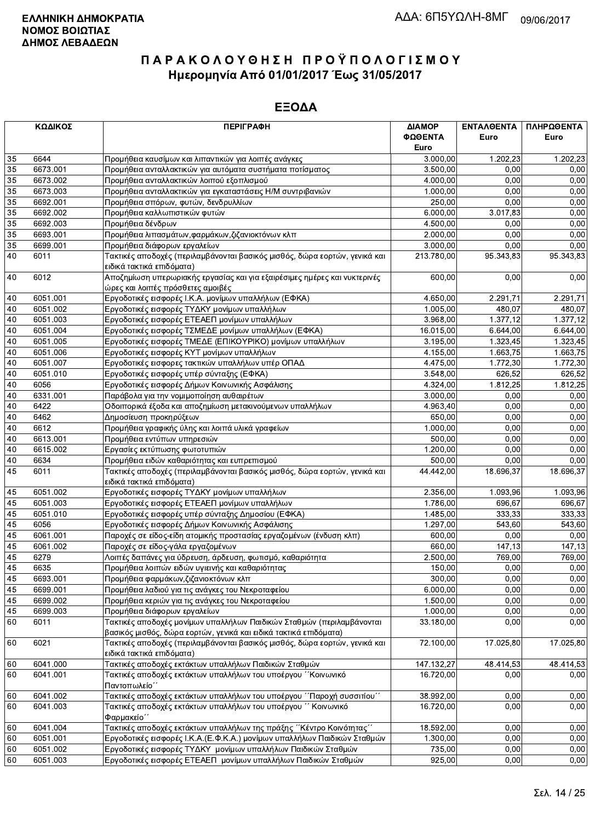| ΚΩΔΙΚΟΣ |          | <b>ПЕРІГРАФН</b>                                                                                                                           | ΔΙΑΜΟΡ     | ΕΝΤΑΛΘΕΝΤΑ | ΠΛΗΡΩΘΕΝΤΑ |
|---------|----------|--------------------------------------------------------------------------------------------------------------------------------------------|------------|------------|------------|
|         |          |                                                                                                                                            | ΦΩΘΕΝΤΑ    | Euro       | Euro       |
|         |          |                                                                                                                                            | Euro       |            |            |
| 35      | 6644     | Προμήθεια καυσίμων και λιπαντικών για λοιπές ανάγκες                                                                                       | 3.000,00   | 1.202,23   | 1.202,23   |
| 35      | 6673.001 | Προμήθεια ανταλλακτικών για αυτόματα συστήματα ποτίσματος                                                                                  | 3.500,00   | 0.00       | 0,00       |
| 35      | 6673.002 | Προμήθεια ανταλλακτικών λοιπού εξοπλισμού                                                                                                  | 4.000,00   | 0.00       | 0,00       |
| 35      | 6673.003 | Προμήθεια ανταλλακτικών για εγκαταστάσεις Η/Μ συντριβανιών                                                                                 | 1.000,00   | 0,00       | 0,00       |
| 35      | 6692.001 | Προμήθεια σπόρων, φυτών, δενδρυλλίων                                                                                                       | 250,00     | 0,00       | 0,00       |
| 35      | 6692.002 | Προμήθεια καλλωπιστικών φυτών                                                                                                              | 6.000,00   | 3.017,83   | 0,00       |
| 35      | 6692.003 | Προμήθεια δένδρων                                                                                                                          | 4.500,00   | 0,00       | 0,00       |
| 35      | 6693.001 | Προμήθεια λιπασμάτων,φαρμάκων,ζιζανιοκτόνων κλπ                                                                                            | 2.000,00   | 0,00       | 0,00       |
| 35      | 6699.001 | Προμήθεια διάφορων εργαλείων                                                                                                               | 3.000,00   | 0,00       | 0,00       |
| 40      | 6011     | Τακτικές αποδοχές (περιλαμβάνονται βασικός μισθός, δώρα εορτών, γενικά και<br>ειδικά τακτικά επιδόματα)                                    | 213.780,00 | 95.343,83  | 95.343,83  |
| 40      | 6012     | Αποζημίωση υπερωριακής εργασίας και για εξαιρέσιμες ημέρες και νυκτερινές<br>ώρες και λοιπές πρόσθετες αμοιβές                             | 600,00     | 0,00       | 0,00       |
| 40      | 6051.001 | Εργοδοτικές εισφορές Ι.Κ.Α. μονίμων υπαλλήλων (ΕΦΚΑ)                                                                                       | 4.650,00   | 2.291,71   | 2.291,71   |
| 40      | 6051.002 | Εργοδοτικές εισφορές ΤΥΔΚΥ μονίμων υπαλλήλων                                                                                               | 1.005,00   | 480,07     | 480,07     |
| 40      | 6051.003 | Εργοδοτικές εισφορές ΕΤΕΑΕΠ μονίμων υπαλλήλων                                                                                              | 3.968,00   | 1.377,12   | 1.377,12   |
| 40      | 6051.004 | Εργοδοτικές εισφορές ΤΣΜΕΔΕ μονίμων υπαλλήλων (ΕΦΚΑ)                                                                                       | 16.015,00  | 6.644,00   | 6.644,00   |
| 40      | 6051.005 | Εργοδοτικές εισφορές ΤΜΕΔΕ (ΕΠΙΚΟΥΡΙΚΟ) μονίμων υπαλλήλων                                                                                  | 3.195,00   | 1.323,45   | 1.323,45   |
| 40      | 6051.006 | Εργοδοτικές εισφορές ΚΥΤ μονίμων υπαλλήλων                                                                                                 | 4.155,00   | 1.663,75   | 1.663,75   |
| 40      | 6051.007 | Εργοδοτικές εισφορες τακτικών υπαλλήλων υπέρ ΟΠΑΔ                                                                                          | 4.475,00   | 1.772.30   | 1.772.30   |
| 40      | 6051.010 | Εργοδοτικές εισφορές υπέρ σύνταξης (ΕΦΚΑ)                                                                                                  | 3.548,00   | 626,52     | 626,52     |
| 40      | 6056     | Εργοδοτικές εισφορές Δήμων Κοινωνικής Ασφάλισης                                                                                            | 4.324,00   | 1.812,25   | 1.812,25   |
| 40      | 6331.001 | Παράβολα για την νομιμοποίηση αυθαιρέτων                                                                                                   | 3.000,00   | 0,00       | 0,00       |
| 40      | 6422     | Οδοιπορικά έξοδα και αποζημίωση μετακινούμενων υπαλλήλων                                                                                   | 4.963,40   | 0,00       | 0,00       |
| 40      | 6462     | Δημοσίευση προκηρύξεων                                                                                                                     | 650,00     | 0.00       | 0,00       |
| 40      | 6612     | Προμήθεια γραφικής ύλης και λοιπά υλικά γραφείων                                                                                           | 1.000,00   | 0,00       | 0,00       |
| 40      | 6613.001 | Προμήθεια εντύπων υπηρεσιών                                                                                                                | 500,00     | 0,00       | 0,00       |
| 40      | 6615.002 | Εργασίες εκτύπωσης φωτοτυπιών                                                                                                              | 1.200,00   | 0,00       | 0,00       |
| 40      | 6634     | Προμήθεια ειδών καθαριότητας και ευπρεπισμού                                                                                               | 500,00     | 0,00       | 0,00       |
| 45      | 6011     | Τακτικές αποδοχές (περιλαμβάνονται βασικός μισθός, δώρα εορτών, γενικά και<br>ειδικά τακτικά επιδόματα)                                    | 44.442,00  | 18.696,37  | 18.696,37  |
| 45      | 6051.002 | Εργοδοτικές εισφορές ΤΥΔΚΥ μονίμων υπαλλήλων                                                                                               | 2.356,00   | 1.093,96   | 1.093,96   |
| 45      | 6051.003 | Εργοδοτικές εισφορές ΕΤΕΑΕΠ μονίμων υπαλλήλων                                                                                              | 1.786,00   | 696,67     | 696,67     |
| 45      | 6051.010 | Εργοδοτικές εισφορές υπέρ σύνταξης Δημοσίου (ΕΦΚΑ)                                                                                         | 1.485,00   | 333,33     | 333,33     |
| 45      | 6056     | Εργοδοτικές εισφορές Δήμων Κοινωνικής Ασφάλισης                                                                                            | 1.297,00   | 543,60     | 543,60     |
| 45      | 6061.001 | Παροχές σε είδος-είδη ατομικής προστασίας εργαζομένων (ένδυση κλπ)                                                                         | 600,00     | 0,00       | 0,00       |
| 45      | 6061.002 | Παροχές σε είδος-γάλα εργαζομένων                                                                                                          | 660,00     | 147.13     | 147,13     |
| 45      | 6279     | Λοιπές δαπάνες για ύδρευση, άρδευση, φωτισμό, καθαριότητα                                                                                  | 2.500,00   | 769,00     | 769,00     |
| 45      | 6635     | Προμήθεια λοιπών ειδών υγιεινής και καθαριότητας                                                                                           | 150,00     | 0,00       | 0,00       |
| 45      | 6693.001 | Προμήθεια φαρμάκων, ζιζανιοκτόνων κλπ                                                                                                      | 300,00     | 0,00       | 0,00       |
| 45      | 6699.001 | Προμήθεια λαδιού για τις ανάγκες του Νεκροταφείου                                                                                          | 6.000,00   | 0,00       | 0,00       |
| 45      | 6699.002 | Προμήθεια κεριών για τις ανάγκες του Νεκροταφείου                                                                                          | 1.500,00   | 0,00       | 0,00       |
| 45      | 6699.003 | Προμήθεια διάφορων εργαλείων                                                                                                               | 1.000,00   | 0,00       | 0,00       |
| 60      | 6011     | Τακτικές αποδοχές μονίμων υπαλλήλων Παιδικών Σταθμών (περιλαμβάνονται<br>βασικός μισθός, δώρα εορτών, γενικά και ειδικά τακτικά επιδόματα) | 33.180,00  | 0,00       | 0,00       |
| 60      | 6021     | Τακτικές αποδοχές (περιλαμβάνονται βασικός μισθός, δώρα εορτών, γενικά και<br>ειδικά τακτικά επιδόματα)                                    | 72.100,00  | 17.025,80  | 17.025,80  |
| 60      | 6041.000 | Τακτικές αποδοχές εκτάκτων υπαλλήλων Παιδικών Σταθμών                                                                                      | 147.132,27 | 48.414,53  | 48.414,53  |
| 60      | 6041.001 | Τακτικές αποδοχές εκτάκτων υπαλλήλων του υποέργου ΄΄Κοινωνικό<br>Παντοπωλείο"                                                              | 16.720,00  | 0,00       | 0,00       |
| 60      | 6041.002 | Τακτικές αποδοχές εκτάκτων υπαλλήλων του υποέργου ΄΄Παροχή συσσιτίου΄΄                                                                     | 38.992,00  | 0,00       | 0,00       |
| 60      | 6041.003 | Τακτικές αποδοχές εκτάκτων υπαλλήλων του υποέργου ΄΄ Κοινωνικό                                                                             | 16.720,00  | 0,00       | 0,00       |
|         |          | Φαρμακείο΄                                                                                                                                 |            |            |            |
| 60      | 6041.004 | Τακτικές αποδοχές εκτάκτων υπαλλήλων της πράξης ΄΄Κέντρο Κοινότητας΄΄                                                                      | 18.592,00  | 0,00       | 0,00       |
| 60      | 6051.001 | Εργοδοτικές εισφορές Ι.Κ.Α. (Ε.Φ.Κ.Α.) μονίμων υπαλλήλων Παιδικών Σταθμών                                                                  | 1.300,00   | 0,00       | 0,00       |
| 60      | 6051.002 | Εργοδοτικές εισφορές ΤΥΔΚΥ μονίμων υπαλλήλων Παιδικών Σταθμών                                                                              | 735,00     | 0,00       | 0,00       |
| 60      | 6051.003 | Εργοδοτικές εισφορές ΕΤΕΑΕΠ μονίμων υπαλλήλων Παιδικών Σταθμών                                                                             | 925,00     | 0,00       | 0,00       |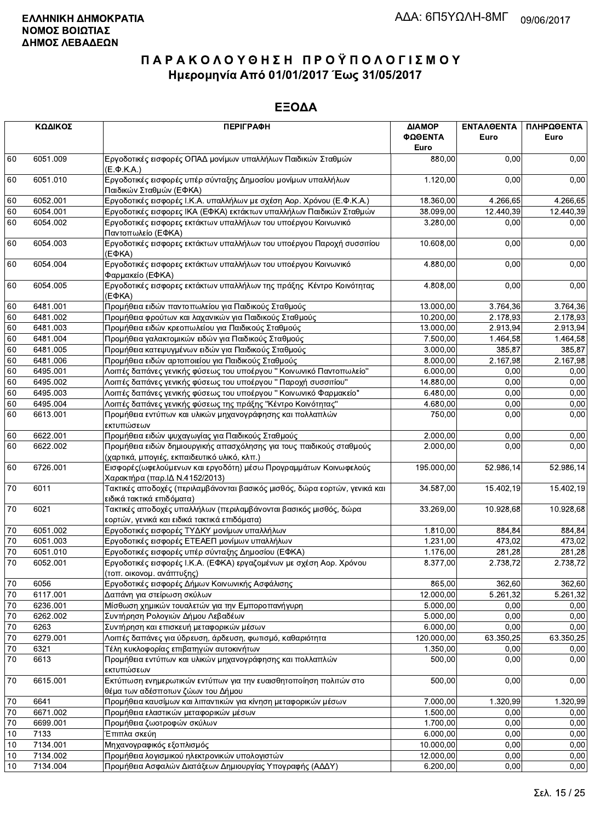|        | ΚΩΔΙΚΟΣ                                                                           | <b>ПЕРІГРАФН</b>                                                                                                     | ΔΙΑΜΟΡ<br>ΦΩΘΕΝΤΑ<br>Euro | <b>ENTAAGENTA</b><br>Euro | ΠΛΗΡΩΘΕΝΤΑ<br>Euro |
|--------|-----------------------------------------------------------------------------------|----------------------------------------------------------------------------------------------------------------------|---------------------------|---------------------------|--------------------|
| 60     | 6051.009                                                                          | Εργοδοτικές εισφορές ΟΠΑΔ μονίμων υπαλλήλων Παιδικών Σταθμών<br>$(E.\Phi.K.A.)$                                      | 880,00                    | 0,00                      | 0,00               |
| 60     | 6051.010                                                                          | Εργοδοτικές εισφορές υπέρ σύνταξης Δημοσίου μονίμων υπαλλήλων<br>Παιδικών Σταθμών (ΕΦΚΑ)                             | 1.120,00                  | 0,00                      | 0,00               |
| 60     | 6052.001<br>Εργοδοτικές εισφορές Ι.Κ.Α. υπαλλήλων με σχέση Αορ. Χρόνου (Ε.Φ.Κ.Α.) |                                                                                                                      | 18.360,00                 | 4.266,65                  | 4.266,65           |
| 60     | 6054.001                                                                          | Εργοδοτικές εισφορες ΙΚΑ (ΕΦΚΑ) εκτάκτων υπαλλήλων Παιδικών Σταθμών                                                  | 38.099,00                 | 12.440,39                 | 12.440,39          |
| 60     | 6054.002                                                                          | Εργοδοτικές εισφορες εκτάκτων υπαλλήλων του υποέργου Κοινωνικό<br>Παντοπωλείο (ΕΦΚΑ)                                 | 3.280,00                  | 0,00                      | 0,00               |
| 60     | 6054.003                                                                          | Εργοδοτικές εισφορες εκτάκτων υπαλλήλων του υποέργου Παροχή συσσιτίου<br>$(E\Phi KA)$                                | 10.608,00                 | 0,00                      | 0,00               |
| 60     | 6054.004                                                                          | Εργοδοτικές εισφορες εκτάκτων υπαλλήλων του υποέργου Κοινωνικό<br>Φαρμακείο (ΕΦΚΑ)                                   | 4.880,00                  | 0,00                      | 0,00               |
| 60     | 6054.005                                                                          | Εργοδοτικές εισφορες εκτάκτων υπαλλήλων της πράξης Κέντρο Κοινότητας<br>(EФKA)                                       | 4.808,00                  | 0,00                      | 0,00               |
| 60     | 6481.001                                                                          | Προμήθεια ειδών παντοπωλείου για Παιδικούς Σταθμούς                                                                  | 13.000,00                 | 3.764,36                  | 3.764,36           |
| 60     | 6481.002                                                                          | Προμήθεια φρούτων και λαχανικών για Παιδικούς Σταθμούς                                                               | 10.200,00                 | 2.178,93                  | 2.178,93           |
| 60     | 6481.003                                                                          | Προμήθεια ειδών κρεοπωλείου για Παιδικούς Σταθμούς                                                                   | 13.000,00                 | 2.913,94                  | 2.913,94           |
| 60     | 6481.004                                                                          | Προμήθεια γαλακτομικών ειδών για Παιδικούς Σταθμούς                                                                  | 7.500,00                  | 1.464,58                  | 1.464,58           |
| 60     | 6481.005                                                                          | Προμήθεια κατεψυγμένων ειδών για Παιδικούς Σταθμούς                                                                  | 3.000,00                  | 385,87                    | 385,87             |
| 60     | 6481.006                                                                          | Προμήθεια ειδών αρτοποιείου για Παιδικούς Σταθμούς                                                                   | 8.000,00                  | 2.167,98                  | 2.167,98           |
| 60     | 6495.001                                                                          | Λοιπές δαπάνες γενικής φύσεως του υποέργου "Κοινωνικό Παντοπωλείο"                                                   | 6.000,00                  | 0.00                      | 0,00               |
| 60     | 6495.002                                                                          | Λοιπές δαπάνες γενικής φύσεως του υποέργου "Παροχή συσσιτίου"                                                        | 14.880,00                 | 0,00                      | 0,00               |
| 60     | 6495.003                                                                          | Λοιπές δαπάνες γενικής φύσεως του υποέργου " Κοινωνικό Φαρμακείο"                                                    | 6.480,00                  | 0,00                      | 0,00               |
| 60     | 6495.004                                                                          | Λοιπές δαπάνες γενικής φύσεως της πράξης "Κέντρο Κοινότητας"                                                         | 4.680,00                  | 0,00                      | 0,00               |
| 60     | 6613.001                                                                          | Προμήθεια εντύπων και υλικών μηχανογράφησης και πολλαπλών<br>εκτυπώσεων                                              | 750,00                    | 0,00                      | 0,00               |
| 60     | 6622.001                                                                          | Προμήθεια ειδών ψυχαγωγίας για Παιδικούς Σταθμούς                                                                    | 2.000,00                  | 0,00                      | 0,00               |
| 60     | 6622.002                                                                          | Προμήθεια ειδών δημιουργικής απασχόλησης για τους παιδικούς σταθμούς<br>(χαρτικά, μπογιές, εκπαιδευτικό υλικό, κλπ.) | 2.000,00                  | 0,00                      | 0,00               |
| 60     | 6726.001                                                                          | Εισφορές (ωφελούμενων και εργοδότη) μέσω Προγραμμάτων Κοινωφελούς<br>Χαρακτήρα (παρ. ΙΔ Ν.4152/2013)                 | 195.000,00                | 52.986,14                 | 52.986,14          |
| $70\,$ | 6011                                                                              | Τακτικές αποδοχές (περιλαμβάνονται βασικός μισθός, δώρα εορτών, γενικά και<br>ειδικά τακτικά επιδόματα)              | 34.587,00                 | 15.402,19                 | 15.402,19          |
| 70     | 6021                                                                              | Τακτικές αποδοχές υπαλλήλων (περιλαμβάνονται βασικός μισθός, δώρα<br>εορτών, γενικά και ειδικά τακτικά επιδόματα)    | 33.269,00                 | 10.928,68                 | 10.928,68          |
| $70\,$ | 6051.002                                                                          | Εργοδοτικές εισφορές ΤΥΔΚΥ μονίμων υπαλλήλων                                                                         | 1.810,00                  | 884.84                    | 884.84             |
| 70     | 6051.003                                                                          | Εργοδοτικές εισφορές ΕΤΕΑΕΠ μονίμων υπαλλήλων                                                                        | 1.231,00                  | 473,02                    | 473,02             |
| 70     | 6051.010                                                                          | Εργοδοτικές εισφορές υπέρ σύνταξης Δημοσίου (ΕΦΚΑ)                                                                   | 1.176,00                  | 281,28                    | 281,28             |
| 70     | 6052.001                                                                          | Εργοδοτικές εισφορές Ι.Κ.Α. (ΕΦΚΑ) εργαζομένων με σχέση Αορ. Χρόνου<br>(τοπ. οικονομ. ανάπτυξης)                     | 8.377,00                  | 2.738,72                  | 2.738,72           |
| 70     | 6056                                                                              | Εργοδοτικές εισφορές Δήμων Κοινωνικής Ασφάλισης                                                                      | 865,00                    | 362,60                    | 362,60             |
| $70\,$ | 6117.001                                                                          | Δαπάνη για στείρωση σκύλων                                                                                           | 12.000,00                 | 5.261,32                  | 5.261,32           |
| $70\,$ | 6236.001                                                                          | Μίσθωση χημικών τουαλετών για την Εμποροπανήγυρη                                                                     | 5.000,00                  | 0,00                      | 0,00               |
| 70     | 6262.002                                                                          | Συντήρηση Ρολογιών Δήμου Λεβαδέων                                                                                    | 5.000,00                  | 0,00                      | 0,00               |
| 70     | 6263                                                                              | Συντήρηση και επισκευή μεταφορικών μέσων                                                                             | 6.000,00                  | 0,00                      | 0,00               |
| 70     | 6279.001                                                                          | Λοιπές δαπάνες για ύδρευση, άρδευση, φωτισμό, καθαριότητα                                                            | 120.000,00                | 63.350,25                 | 63.350,25          |
| 70     | 6321                                                                              | Τέλη κυκλοφορίας επιβατηγών αυτοκινήτων                                                                              | 1.350,00                  | 0,00                      | 0,00               |
| 70     | 6613                                                                              | Προμήθεια εντύπων και υλικών μηχανογράφησης και πολλαπλών<br>εκτυπώσεων                                              | 500.00                    | 0,00                      | 0,00               |
| $70\,$ | 6615.001                                                                          | Εκτύπωση ενημερωτικών εντύπων για την ευαισθητοποίηση πολιτών στο<br>θέμα των αδέσποτων ζώων του Δήμου               | 500,00                    | 0,00                      | 0,00               |
| $70\,$ | 6641                                                                              | Προμήθεια καυσίμων και λιπαντικών για κίνηση μεταφορικών μέσων                                                       | 7.000,00                  | 1.320,99                  | 1.320,99           |
| 70     | 6671.002                                                                          | Προμήθεια ελαστικών μεταφορικών μέσων                                                                                | 1.500,00                  | 0,00                      | 0,00               |
| 70     | 6699.001                                                                          | Προμήθεια ζωοτροφών σκύλων                                                                                           | 1.700,00                  | 0,00                      | 0,00               |
| 10     | 7133                                                                              | Έπιπλα σκεύη                                                                                                         | 6.000,00                  | 0,00                      | 0,00               |
| 10     | 7134.001                                                                          | Μηχανογραφικός εξοπλισμός                                                                                            | 10.000,00                 | 0,00                      | 0,00               |
| 10     | 7134.002                                                                          | Προμήθεια λογισμικού ηλεκτρονικών υπολογιστών                                                                        | 12.000,00                 | 0,00                      | 0,00               |
| 10     | 7134.004                                                                          | Προμήθεια Ασφαλών Διατάξεων Δημιουργίας Υπογραφής (ΑΔΔΥ)                                                             | 6.200,00                  | 0,00                      | 0,00               |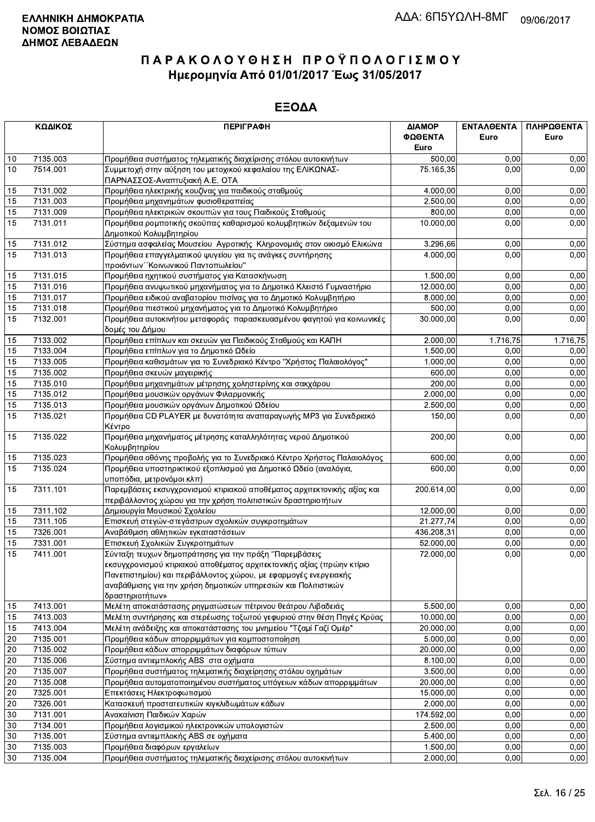|    | ΚΩΔΙΚΟΣ               | <b>ПЕРІГРАФН</b>                                                                                                                                                                                                                                                                          | ΔΙΑΜΟΡ<br>ΦΩΘΕΝΤΑ<br>Euro | <b>ENTAA@ENTA</b><br>Euro | ΠΛΗΡΩΘΕΝΤΑ<br>Euro |
|----|-----------------------|-------------------------------------------------------------------------------------------------------------------------------------------------------------------------------------------------------------------------------------------------------------------------------------------|---------------------------|---------------------------|--------------------|
| 10 | 7135.003              | Προμήθεια συστήματος τηλεματικής διαχείρισης στόλου αυτοκινήτων                                                                                                                                                                                                                           | 500,00                    | 0,00                      | 0,00               |
| 10 | 7514.001              | Συμμετοχή στην αύξηση του μετοχικού κεφαλαίου της ΕΛΙΚΩΝΑΣ-<br>ΠΑΡΝΑΣΣΟΣ-Αναπτυξιακή Α.Ε. ΟΤΑ                                                                                                                                                                                             | 75.165,35                 | 0.00                      | 0,00               |
| 15 | 7131.002              | Προμήθεια ηλεκτρικής κουζίνας για παιδικούς σταθμούς                                                                                                                                                                                                                                      | 4.000,00                  | 0,00                      | 0,00               |
| 15 | 7131.003              | Προμήθεια μηχανημάτων φυσιοθεραπείας                                                                                                                                                                                                                                                      | 2.500,00                  | 0,00                      | 0,00               |
| 15 | 7131.009              | Προμήθεια ηλεκτρικών σκουπών για τους Παιδικούς Σταθμούς                                                                                                                                                                                                                                  | 800,00                    | 0,00                      | 0,00               |
| 15 | 7131.011              | Προμήθεια ρομποτικής σκούπας καθαρισμού κολυμβητικών δεξαμενών του<br>Δημοτικού Κολυμβητηρίου                                                                                                                                                                                             | 10.000,00                 | 0,00                      | 0,00               |
| 15 | 7131.012              | Σύστημα ασφαλείας Μουσείου Αγροτικής Κληρονομιάς στον οικισμό Ελικώνα                                                                                                                                                                                                                     | 3.296,66                  | 0,00                      | 0,00               |
| 15 | $\overline{7131.013}$ | Προμήθεια επαγγελματικού ψυγείου για τις ανάγκες συντήρησης<br>προιόντων "Κοινωνικού Παντοπωλείου"                                                                                                                                                                                        | 4.000,00                  | 0,00                      | 0,00               |
| 15 | 7131.015              | Προμήθεια ηχητικού συστήματος για Κατασκήνωση                                                                                                                                                                                                                                             | 1.500,00                  | 0,00                      | 0,00               |
| 15 | 7131.016              | Προμήθεια ανυψωτικού μηχανήματος για το Δημοτικό Κλειστό Γυμναστήριο                                                                                                                                                                                                                      | 12.000,00                 | 0,00                      | 0,00               |
| 15 | 7131.017              | Προμήθεια ειδικού αναβατορίου πισίνας για το Δημοτικό Κολυμβητήριο                                                                                                                                                                                                                        | 8.000,00                  | 0,00                      | 0,00               |
| 15 | 7131.018              | Προμήθεια πιεστικού μηχανήματος για το Δημοτικό Κολυμβητήριο                                                                                                                                                                                                                              | 500,00                    | 0.00                      | 0,00               |
| 15 | 7132.001              | Προμήθεια αυτοκινήτου μεταφοράς παρασκευασμένου φαγητού για κοινωνικές<br>δομές του Δήμου                                                                                                                                                                                                 | 30.000,00                 | 0,00                      | 0,00               |
| 15 | 7133.002              | Προμήθεια επίπλων και σκευών για Παιδικούς Σταθμούς και ΚΑΠΗ                                                                                                                                                                                                                              | 2.000,00                  | 1.716,75                  | 1.716,75           |
| 15 | 7133.004              | Προμήθεια επίπλων για το Δημοτικό Ωδείο                                                                                                                                                                                                                                                   | 1.500,00                  | 0,00                      | 0,00               |
| 15 | 7133.005              | Προμήθεια καθισμάτων για το Συνεδριακό Κέντρο "Χρήστος Παλαιολόγος"                                                                                                                                                                                                                       | 1.000.00                  | 0,00                      | 0,00               |
| 15 | 7135.002              | Προμήθεια σκευών μαγειρικής                                                                                                                                                                                                                                                               | 600,00                    | 0,00                      | 0,00               |
| 15 | 7135.010              | Προμήθεια μηχανημάτων μέτρησης χοληστερίνης και σακχάρου                                                                                                                                                                                                                                  | 200,00                    | 0,00                      | 0,00               |
| 15 | 7135.012              | Προμήθεια μουσικών οργάνων Φιλαρμονικής                                                                                                                                                                                                                                                   | 2.000,00                  | 0,00                      | 0,00               |
| 15 | 7135.013              | Προμήθεια μουσικών οργάνων Δημοτικού Ωδείου                                                                                                                                                                                                                                               | 2.500,00                  | 0,00                      | 0,00               |
| 15 | 7135.021              | Προμήθεια CD PLAYER με δυνατότητα αναπαραγωγής MP3 για Συνεδριακό<br>Κέντρο                                                                                                                                                                                                               | 150,00                    | 0,00                      | 0,00               |
| 15 | 7135.022              | Προμήθεια μηχανήματος μέτρησης καταλληλότητας νερού Δημοτικού<br>Κολυμβητηρίου                                                                                                                                                                                                            | 200,00                    | 0,00                      | 0,00               |
| 15 | 7135.023              | Προμήθεια οθόνης προβολής για το Συνεδριακό Κέντρο Χρήστος Παλαιολόγος                                                                                                                                                                                                                    | 600,00                    | 0,00                      | 0,00               |
| 15 | 7135.024              | Προμήθεια υποστηρικτικού εξοπλισμού για Δημοτικό Ωδείο (αναλόγια,<br>υποπόδια, μετρονόμοι κλπ)                                                                                                                                                                                            | 600,00                    | 0,00                      | 0,00               |
| 15 | 7311.101              | Παρεμβάσεις εκσυγχρονισμού κτιριακού αποθέματος αρχιτεκτονικής αξίας και<br>περιβάλλοντος χώρου για την χρήση πολιτιστικών δραστηριοτήτων                                                                                                                                                 | 200.614,00                | 0,00                      | 0,00               |
| 15 | 7311.102              | Δημιουργία Μουσικού Σχολείου                                                                                                                                                                                                                                                              | 12.000,00                 | 0,00                      | 0,00               |
| 15 | 7311.105              | Επισκευή στεγών-στεγάστρων σχολικών συγκροτημάτων                                                                                                                                                                                                                                         | 21.277,74                 | 0,00                      | 0,00               |
| 15 | 7326.001              | Αναβάθμιση αθλητικών εγκαταστάσεων                                                                                                                                                                                                                                                        | 436.208,31                | 0,00                      | 0,00               |
| 15 | 7331.001              | Επισκευή Σχολικών Συγκροτημάτων                                                                                                                                                                                                                                                           | 52.000,00                 | 0,00                      | 0,00               |
| 15 | 7411.001              | Σύνταξη τευχων δημοπράτησης για την πράξη "Παρεμβάσεις<br>εκσυγχρονισμού κτιριακού αποθέματος αρχιτεκτονικής αξίας (πρώην κτίριο<br>Πανεπιστημίου) και περιβάλλοντος χώρου, με εφαρμογές ενεργειακής<br>αναβάθμισης για την χρήση δημοτικών υπηρεσιών και Πολιτιστικών<br>δραστηριοτήτων» | 72.000,00                 | 0,00                      | 0,00               |
| 15 | 7413.001              | Μελέτη αποκατάστασης ρηγματώσεων πέτρινου θεάτρου Λιβαδειάς                                                                                                                                                                                                                               | 5.500,00                  | 0,00                      | 0,00               |
| 15 | 7413.003              | Μελέτη συντήρησης και στερέωσης τοξωτού γεφυριού στην θέση Πηγές Κρύας                                                                                                                                                                                                                    | 10.000,00                 | 0,00                      | 0,00               |
| 15 | 7413.004              | Μελέτη ανάδειξης και αποκατάστασης του μνημείου "Τζαμί Γαζί Ομέρ"                                                                                                                                                                                                                         | 20.000,00                 | 0,00                      | 0,00               |
| 20 | 7135.001              | Προμήθεια κάδων απορριμμάτων για κομποστοποίηση                                                                                                                                                                                                                                           | 5.000,00                  | 0,00                      | 0,00               |
| 20 | 7135.002              | Προμήθεια κάδων απορριμμάτων διαφόρων τύπων                                                                                                                                                                                                                                               | 20.000,00                 | 0,00                      | 0,00               |
| 20 | 7135.006              | Σύστημα αντιεμπλοκής ABS στα οχήματα                                                                                                                                                                                                                                                      | 8.100,00                  | 0,00                      | 0,00               |
| 20 | 7135.007              | Προμήθεια συστήματος τηλεματικής διαχείρησης στόλου οχημάτων                                                                                                                                                                                                                              | 3.500,00                  | 0,00                      | 0,00               |
| 20 | 7135.008              | Προμήθεια αυτοματοποιημένου συστήματος υπόγειων κάδων απορριμμάτων                                                                                                                                                                                                                        | 20.000,00                 | 0,00                      | 0,00               |
| 20 | 7325.001              | Επεκτάσεις Ηλεκτροφωτισμού                                                                                                                                                                                                                                                                | 15.000,00                 | 0,00                      | 0,00               |
| 20 | 7326.001              | Κατασκευή προστατευτικών κιγκλιδωμάτων κάδων                                                                                                                                                                                                                                              | 2.000,00                  | 0,00                      | 0,00               |
| 30 | 7131.001              | Ανακαίνιση Παιδικών Χαρών                                                                                                                                                                                                                                                                 | 174.592,00                | 0,00                      | 0,00               |
| 30 | 7134.001              | Προμήθεια λογισμικού ηλεκτρονικών υπολογιστών                                                                                                                                                                                                                                             | 2.500,00                  | 0,00                      | 0,00               |
| 30 | 7135.001              | Σύστημα αντιεμπλοκής ABS σε οχήματα                                                                                                                                                                                                                                                       | 5.400,00                  | 0,00                      | 0,00               |
| 30 | 7135.003              | Προμήθεια διαφόρων εργαλείων                                                                                                                                                                                                                                                              | 1.500,00                  | 0,00                      | 0,00               |
| 30 | 7135.004              | Προμήθεια συστήματος τηλεματικής διαχείρισης στόλου αυτοκινήτων                                                                                                                                                                                                                           | 2.000,00                  | 0,00                      | 0,00               |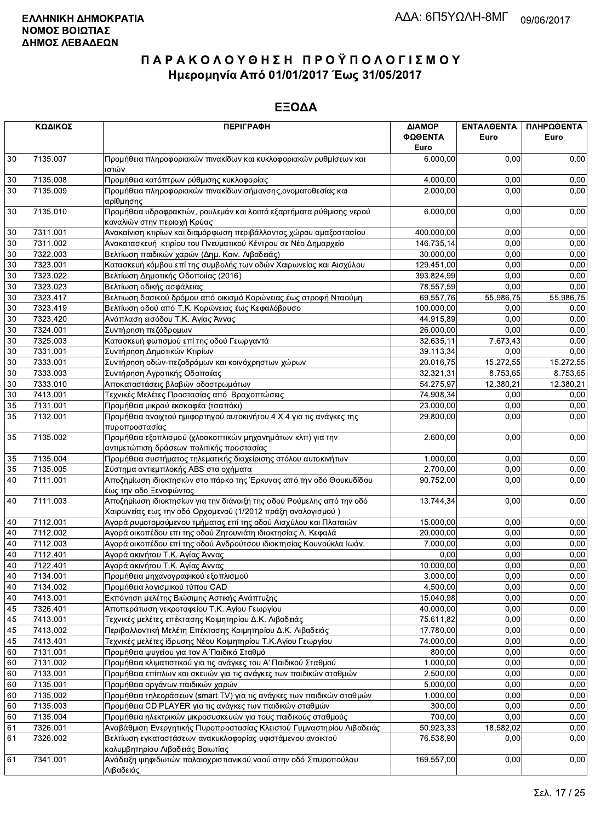|                 | ΚΩΔΙΚΟΣ  | <b>ПЕРІГРАФН</b>                                                                                                                     | ΔΙΑΜΟΡ<br>ΦΩΘΕΝΤΑ | ΕΝΤΑΛΘΕΝΤΑ<br>Euro | ΠΛΗΡΩΘΕΝΤΑ<br>Euro |
|-----------------|----------|--------------------------------------------------------------------------------------------------------------------------------------|-------------------|--------------------|--------------------|
|                 |          |                                                                                                                                      | Euro              |                    |                    |
| 30              | 7135.007 | Προμήθεια πληροφοριακών πινακίδων και κυκλοφοριακών ρυθμίσεων και<br>ιστών                                                           | 6.000,00          | 0,00               | 0,00               |
| 30              | 7135.008 | Προμήθεια κατόπτρων ρύθμισης κυκλοφορίας                                                                                             | 4.000,00          | 0,00               | 0,00               |
| 30              | 7135.009 | Προμήθεια πληροφοριακών πινακίδων σήμανσης, ονοματοθεσίας και<br>αρίθμησης                                                           | 2.000,00          | 0,00               | 0,00               |
| 30              | 7135.010 | Προμήθεια υδροφρακτών, ρουλεμάν και λοιπά εξαρτήματα ρύθμισης νερού<br>καναλιών στην περιοχή Κρύας                                   |                   | 6.000,00<br>0,00   | 0,00               |
| 30              | 7311.001 | Ανακαίνιση κτιρίων και διαμόρφωση περιβάλλοντος χώρου αμαξοστασίου                                                                   | 400.000,00        | 0,00               | 0,00               |
| 30              | 7311.002 | Ανακατασκευή κτιρίου του Πνευματικού Κέντρου σε Νέο Δημαρχείο                                                                        | 146.735,14        | 0,00               | 0,00               |
| 30              | 7322.003 | Βελτίωση παιδικών χαρών (Δημ. Κοιν. Λιβαδειάς)                                                                                       | 30.000,00         | 0,00               | 0,00               |
| $30\,$          | 7323.001 | Κατασκευή κόμβου επί της συμβολής των οδών Χαιρωνείας και Αισχύλου                                                                   | 129.451,00        | 0,00               | 0,00               |
| 30              | 7323.022 | Βελτίωση Δημοτικής Οδοποιίας (2016)                                                                                                  | 393.824,99        | 0,00               | 0,00               |
| 30              | 7323.023 | Βελτίωση οδικής ασφάλειας                                                                                                            | 78.557,59         | 0,00               | 0,00               |
| 30              | 7323.417 | Βελτιωση δασικού δρόμου από οικισμό Κορώνειας έως στροφή Νταούμη                                                                     | 69.557,76         | 55.986,75          | 55.986,75          |
| $30\,$          | 7323.419 | Βελτίωση οδού από Τ.Κ. Κορώνειας έως Κεφαλόβρυσο                                                                                     | 100.000,00        | 0,00               | 0,00               |
| $30\,$          | 7323.420 | Ανάπλαση εισόδου Τ.Κ. Αγίας Άννας                                                                                                    | 44.915,89         | 0,00               | 0,00               |
| 30              | 7324.001 | Συντήρηση πεζόδρομων                                                                                                                 | 26.000,00         | 0,00               | 0,00               |
| $30\,$          | 7325.003 | Κατασκευή φωτισμού επί της οδού Γεωργαντά                                                                                            | 32.635,11         | 7.673,43           | 0,00               |
| 30              | 7331.001 | Συντήρηση Δημοτικών Κτιρίων                                                                                                          | 39.113,34         | 0,00               | 0,00               |
| $30\,$          | 7333.001 | Συντήρηση οδών-πεζοδρόμων και κοινόχρηστων χώρων                                                                                     | 20.016,75         | 15.272,55          | 15.272,55          |
| $30\,$          | 7333.003 | Συντήρηση Αγροτικής Οδοποιίας                                                                                                        | 32.321,31         | 8.753,65           | 8.753,65           |
| $\overline{30}$ | 7333.010 | Αποκαταστάσεις βλαβών οδοστρωμάτων                                                                                                   | 54.275,97         | 12.380,21          | 12.380,21          |
| $30\,$          | 7413.001 | Τεχνικές Μελέτες Προστασίας από Βραχοπτώσεις                                                                                         | 74.908,34         | 0,00               | 0,00               |
| 35              | 7131.001 | Προμήθεια μικρού εκσκαφέα (τσαπάκι)                                                                                                  | 23.000,00         | 0,00               | 0,00               |
| 35              | 7132.001 | Προμήθεια ανοιχτού ημιφορτηγού αυτοκινήτου 4 Χ 4 για τις ανάγκες της<br>πυροπροστασίας                                               | 29.800,00         | 0,00               | 0,00               |
| 35              | 7135.002 | Προμήθεια εξοπλισμού (χλοοκοπτικών μηχανημάτων κλπ) για την<br>αντιμετώπιση δράσεων πολιτικής προστασίας                             | 2.600,00          | 0,00               | 0,00               |
| $35\,$          | 7135.004 | Προμήθεια συστήματος τηλεματικής διαχείρισης στόλου αυτοκινήτων                                                                      | 1.000,00          | 0,00               | 0,00               |
| 35              | 7135.005 | Σύστημα αντιεμπλοκής ABS στα οχήματα                                                                                                 | 2.700,00          | 0,00               | 0,00               |
| $\overline{40}$ | 7111.001 | Αποζημίωση ιδιοκτησιών στο πάρκο της Έρκυνας από την οδό Θουκυδίδου<br>έως την οδο Ξενοφώντος                                        | 90.752,00         | 0,00               | 0,00               |
| 40              | 7111.003 | Αποζημίωση ιδιοκτησίων για την διάνοιξη της οδού Ρούμελης από την οδό<br>Χαιρωνείας εως την οδό Ορχομενού (1/2012 πράξη αναλογισμού) | 13.744,34         | 0,00               | 0,00               |
| 40              | 7112.001 | Αγορά ρυμοτομούμενου τμήματος επί της οδού Αισχύλου και Πλαταιών                                                                     | 15.000,00         | 0.00               | 0,00               |
| 40              | 7112.002 | Αγορά οικοπέδου επι της οδού Ζητουνιάτη ιδιοκτησίας Λ. Κεφαλά                                                                        | 20.000,00         | 0,00               | 0,00               |
| 40              | 7112.003 | Αγορά οικοπέδου επί της οδού Ανδρούτσου ιδιοκτησίας Κουνούκλα Ιωάν.                                                                  | 7.000,00          | 0,00               | 0,00               |
| 40              | 7112.401 | Αγορά ακινήτου Τ.Κ. Αγίας Άννας                                                                                                      | 0,00              | 0,00               | 0,00               |
| 40              | 7122.401 | Αγορά ακινήτου Τ.Κ. Αγίας Αννας                                                                                                      | 10.000,00         | 0.00               | 0,00               |
| $40\,$          | 7134.001 | Προμήθεια μηχανογραφικού εξοπλισμού                                                                                                  | 3.000,00          | 0,00               | 0,00               |
| 40              | 7134.002 | Προμήθεια λογισμικού τύπου CAD                                                                                                       | 4.500,00          | 0,00               | 0,00               |
| 40              | 7413.001 | Εκπόνηση μελέτης Βιώσιμης Αστικής Ανάπτυξης                                                                                          | 15.040,98         | 0,00               | 0,00               |
| 45              | 7326.401 | Αποπεράτωση νεκροταφείου Τ.Κ. Αγίου Γεωργίου                                                                                         | 40.000,00         | 0,00               | 0,00               |
| 45              | 7413.001 | Τεχνικές μελέτες επέκτασης Κοιμητηρίου Δ.Κ. Λιβαδειάς                                                                                | 75.611,82         | 0,00               | 0,00               |
| 45              | 7413.002 | Περιβαλλοντική Μελέτη Επέκτασης Κοιμητηρίου Δ.Κ. Λιβαδειάς                                                                           | 17.780,00         | 0,00               | 0,00               |
| 45              | 7413.401 | Τεχνικές μελέτες ίδρυσης Νέου Κοιμητηρίου Τ.Κ.Αγίου Γεωργίου                                                                         | 74.000,00         | 0,00               | 0,00               |
| 60              | 7131.001 | Προμήθεια ψυγείου για τον Α΄ Παιδικό Σταθμό                                                                                          | 800,00            | 0,00               | 0,00               |
| 60              | 7131.002 | Προμήθεια κλιματιστικού για τις ανάγκες του Α' Παιδικού Σταθμού                                                                      | 1.000,00          | 0,00               | 0,00               |
| 60              | 7133.001 | Προμήθεια επίπλων και σκευών για τις ανάγκες των παιδικών σταθμών                                                                    | 2.500,00          | 0,00               | 0,00               |
| 60              | 7135.001 | Προμήθεια οργάνων παιδικών χαρών                                                                                                     | 5.000,00          | 0,00               | 0,00               |
| 60              | 7135.002 | Προμήθεια τηλεοράσεων (smart TV) για τις ανάγκες των παιδικών σταθμών                                                                | 1.000,00          | 0,00               | 0,00               |
| 60              | 7135.003 | Προμήθεια CD PLAYER για τις ανάγκες των παιδικών σταθμών                                                                             | 300,00            | 0,00               | 0,00               |
| 60              | 7135.004 | Προμήθεια ηλεκτρικών μικροσυσκευών για τους παιδικούς σταθμούς                                                                       | 700,00            | 0,00               | 0,00               |
| 61              | 7326.001 | Αναβάθμιση Ενεργητικής Πυροπροστασίας Κλειστού Γυμναστηρίου Λιβαδειάς                                                                | 50.923,33         | 18.582,02          | 0,00               |
| 61              | 7326.002 | Βελτίωση εγκαταστάσεων ανακυκλοφορίας υφιστάμενου ανοικτού<br>κολυμβητηρίου Λιβαδειάς Βοιωτίας                                       | 76.538,90         | 0,00               | 0,00               |
| 61              | 7341.001 | Ανάδειξη ψηφιδωτών παλαιοχριστιανικού ναού στην οδό Σπυροπούλου<br>Διβαδειάς                                                         | 169.557,00        | 0,00               | 0,00               |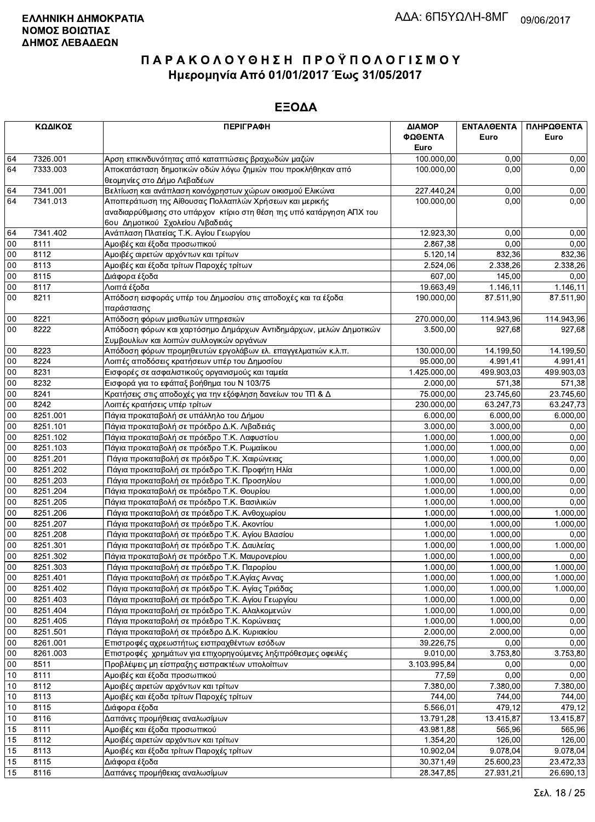|            | ΚΩΔΙΚΟΣ      | <b>ПЕРІГРАФН</b>                                                      | ΔΙΑΜΟΡ<br>ΦΩΘΕΝΤΑ<br>Euro | ΕΝΤΑΛΘΕΝΤΑ<br>Euro | ΠΛΗΡΩΘΕΝΤΑ<br>Euro    |
|------------|--------------|-----------------------------------------------------------------------|---------------------------|--------------------|-----------------------|
| 64         | 7326.001     | Αρση επικινδυνότητας από καταπτώσεις βραχωδών μαζών                   | 100.000,00                | 0,00               | 0,00                  |
| 64         | 7333.003     | Αποκατάσταση δημοτικών οδών λόγω ζημιών που προκλήθηκαν από           | 100.000,00                | 0.00               | 0,00                  |
|            |              | θεομηνίες στο Δήμο Λεβαδέων                                           |                           |                    |                       |
| 64         | 7341.001     | Βελτίωση και ανάπλαση κοινόχρηστων χώρων οικισμού Ελικώνα             | 227.440,24                | 0,00               | 0,00                  |
| 64         | 7341.013     | Αποπεράτωση της Αίθουσας Πολλαπλών Χρήσεων και μερικής                | 100.000,00                | 0,00               | 0,00                  |
|            |              | αναδιαρρύθμισης στο υπάρχον κτίριο στη θέση της υπό κατάργηση ΑΠΧ του |                           |                    |                       |
|            |              | 6ου Δημοτικού Σχολείου Λιβαδειάς                                      |                           |                    |                       |
| 64         | 7341.402     | Ανάπλαση Πλατείας Τ.Κ. Αγίου Γεωργίου                                 | 12.923,30                 | 0,00               | 0,00                  |
| 00         | 8111         | Αμοιβές και έξοδα προσωπικού                                          | 2.867,38                  | 0,00               | 0,00                  |
| $00\,$     | 8112         | Αμοιβές αιρετών αρχόντων και τρίτων                                   | 5.120,14                  | 832,36             | 832,36                |
| 00         | 8113         | Αμοιβές και έξοδα τρίτων Παροχές τρίτων                               | 2.524,06                  | 2.338,26           | 2.338.26              |
| $00\,$     | 8115         | Διάφορα έξοδα                                                         | 607,00                    | 145,00             | 0,00                  |
| $00\,$     | 8117         | Λοιπά έξοδα                                                           | 19.663,49                 | 1.146,11           | 1.146,11              |
| 00         | 8211         | Απόδοση εισφοράς υπέρ του Δημοσίου στις αποδοχές και τα έξοδα         | 190.000,00                | 87.511,90          | 87.511,90             |
|            |              | παράστασης                                                            |                           |                    |                       |
| $00\,$     | 8221         | Απόδοση φόρων μισθωτών υπηρεσιών                                      | 270.000,00                | 114.943,96         | 114.943,96            |
| 00         | 8222         | Απόδοση φόρων και χαρτόσημο Δημάρχων Αντιδημάρχων, μελών Δημοτικών    | 3.500,00                  | 927,68             | 927,68                |
|            |              | Συμβουλίων και λοιπών συλλογικών οργάνων                              |                           |                    |                       |
| 00         | 8223         | Απόδοση φόρων προμηθευτών εργολάβων ελ. επαγγελματιών κ.λ.π.          | 130.000,00                | 14.199,50          | 14.199,50             |
| 00         | 8224         | Λοιπές αποδόσεις κρατήσεων υπέρ του Δημοσίου                          | 95.000.00                 | 4.991.41           | 4.991,41              |
| 00         | 8231         | Εισφορές σε ασφαλιστικούς οργανισμούς και ταμεία                      | 1.425.000,00              | 499.903.03         | 499.903.03            |
| $00\,$     | 8232         | Εισφορά για το εφάπαξ βοήθημα του Ν 103/75                            | 2.000,00                  | 571,38             | 571,38                |
| $00\,$     | 8241         | Κρατήσεις στις αποδοχές για την εξόφληση δανείων του ΤΠ & Δ           | 75.000,00                 | 23.745,60          | 23.745,60             |
| 00         | 8242         | Λοιπές κρατήσεις υπέρ τρίτων                                          | 230.000,00                | 63.247,73          | 63.247,73             |
| $00\,$     | 8251.001     | Πάγια προκαταβολή σε υπάλληλο του Δήμου                               | 6.000,00                  | 6.000,00           | 6.000,00              |
| 00         | 8251.101     | Πάγια προκαταβολή σε πρόεδρο Δ.Κ. Λιβαδειάς                           | 3.000,00                  | 3.000,00           | 0,00                  |
| 00         | 8251.102     | Πάγια προκαταβολή σε πρόεδρο Τ.Κ. Λαφυστίου                           | 1.000,00                  | 1.000,00           | 0,00                  |
| $00\,$     | 8251.103     | Πάγια προκαταβολή σε πρόεδρο Τ.Κ. Ρωμαίικου                           | 1.000,00                  | 1.000,00           | 0,00                  |
| 00         | 8251.201     | Πάγια προκαταβολή σε πρόεδρο Τ.Κ. Χαιρώνειας                          | 1.000,00                  | 1.000,00           | 0,00                  |
| $00\,$     | 8251.202     | Πάγια προκαταβολή σε πρόεδρο Τ.Κ. Προφήτη Ηλία                        | 1.000,00                  | 1.000,00           | 0,00                  |
| $00\,$     | 8251.203     | Πάγια προκαταβολή σε πρόεδρο Τ.Κ. Προσηλίου                           | 1.000,00                  | 1.000,00           | 0,00                  |
| $00\,$     | 8251.204     | Πάγια προκαταβολή σε πρόεδρο Τ.Κ. Θουρίου                             | 1.000,00                  | 1.000,00           | 0,00                  |
| 00         | 8251.205     | Πάγια προκαταβολή σε πρόεδρο Τ.Κ. Βασιλικών                           | 1.000,00                  | 1.000,00           | 0,00                  |
| 00         | 8251.206     | Πάγια προκαταβολή σε πρόεδρο Τ.Κ. Ανθοχωρίου                          | 1.000,00                  | 1.000,00           | 1.000,00              |
| $00\,$     | 8251.207     | Πάγια προκαταβολή σε πρόεδρο Τ.Κ. Ακοντίου                            | 1.000.00                  | 1.000,00           | 1.000.00              |
| $00\,$     | 8251.208     | Πάγια προκαταβολή σε πρόεδρο Τ.Κ. Αγίου Βλασίου                       | 1.000,00                  | 1.000,00           | 0,00                  |
| $00\,$     | 8251.301     | Πάγια προκαταβολή σε πρόεδρο Τ.Κ. Δαυλείας                            | 1.000,00                  | 1.000,00           | 1.000,00              |
| 00         | 8251.302     | Πάγια προκαταβολή σε πρόεδρο Τ.Κ. Μαυρονερίου                         | 1.000,00                  | 1.000,00           | 0,00                  |
| ${\bf 00}$ | 8251.303     | Πάγια προκαταβολή σε πρόεδρο Τ.Κ. Παρορίου                            | 1.000,00                  | 1.000.00           | 1.000,00              |
| 00         | 8251.401     | Πάγια προκαταβολή σε πρόεδρο Τ.Κ.Αγίας Αννας                          | 1.000,00                  | 1.000,00           | 1.000,00              |
| 00         | 8251.402     | Πάγια προκαταβολή σε πρόεδρο Τ.Κ. Αγίας Τριάδας                       | 1.000,00                  | 1.000,00           | 1.000,00              |
| 00         | 8251.403     | Πάγια προκαταβολή σε πρόεδρο Τ.Κ. Αγίου Γεωργίου                      | 1.000,00                  | 1.000,00           | 0,00                  |
| 00         | 8251.404     | Πάγια προκαταβολή σε πρόεδρο Τ.Κ. Αλαλκομενών                         | 1.000,00                  | 1.000,00           | 0,00                  |
| 00         | 8251.405     | Πάγια προκαταβολή σε πρόεδρο Τ.Κ. Κορώνειας                           | 1.000,00                  | 1.000,00           | 0,00                  |
| 00         | 8251.501     | Πάγια προκαταβολή σε πρόεδρο Δ.Κ. Κυριακίου                           | 2.000,00                  | 2.000,00           | 0,00                  |
| 00         | 8261.001     | Επιστροφές αχρεωστήτως εισπραχθέντων εσόδων                           | 39.226,75                 | 0,00               | 0,00                  |
| $00\,$     | 8261.003     | Επιστροφές χρημάτων για επιχορηγούμενες ληξιπρόθεσμες οφειλές         | 9.010,00                  | 3.753,80           | 3.753,80              |
| 00         | 8511         | Προβλέψεις μη είσπραξης εισπρακτέων υπολοίπων                         | 3.103.995,84              | 0,00               | 0,00                  |
| 10         | 8111         | Αμοιβές και έξοδα προσωπικού                                          | 77,59                     | 0,00               | 0,00                  |
| 10         | 8112         | Αμοιβές αιρετών αρχόντων και τρίτων                                   | 7.380,00                  | 7.380,00           | 7.380,00              |
| 10         | 8113         | Αμοιβές και έξοδα τρίτων Παροχές τρίτων                               | 744,00                    | 744,00             | 744,00                |
| 10         | 8115         | Διάφορα έξοδα                                                         | 5.566,01                  | 479,12             | 479,12                |
| 10         | 8116         | Δαπάνες προμήθειας αναλωσίμων                                         | 13.791,28                 | 13.415,87          | 13.415,87             |
| 15         | 8111         | Αμοιβές και έξοδα προσωπικού                                          | 43.981,88                 | 565,96             | 565,96                |
| 15         | 8112         |                                                                       |                           | 126,00             | 126,00                |
|            |              | Αμοιβές αιρετών αρχόντων και τρίτων                                   | 1.354,20<br>10.902,04     | 9.078,04           |                       |
| 15<br>15   | 8113<br>8115 | Αμοιβές και έξοδα τρίτων Παροχές τρίτων                               | 30.371,49                 | 25.600,23          | 9.078,04<br>23.472,33 |
| 15         | 8116         | Διάφορα έξοδα<br>Δαπάνες προμήθειας αναλωσίμων                        | 28.347,85                 | 27.931,21          |                       |
|            |              |                                                                       |                           |                    | 26.690,13             |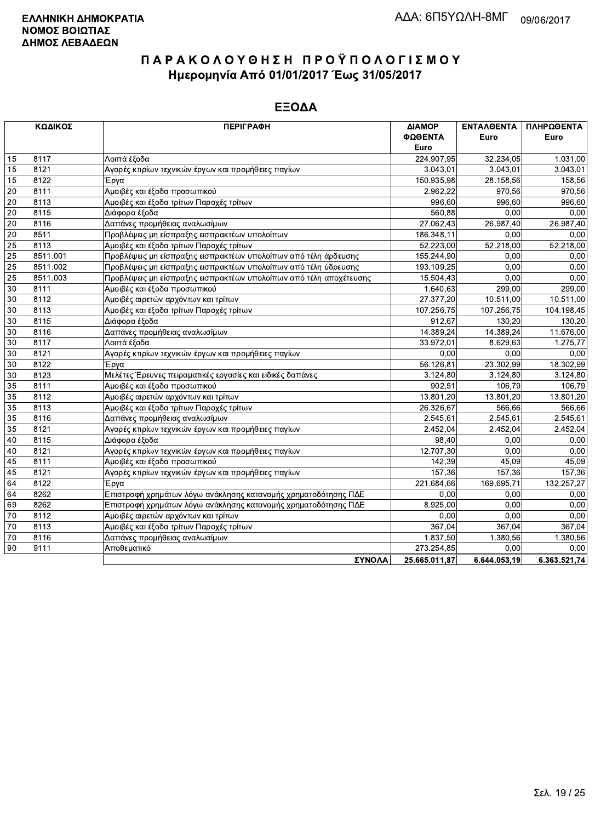|    | ΚΩΔΙΚΟΣ  | <b>ПЕРІГРАФН</b>                                                   | ΔΙΑΜΟΡ<br>ΦΩΘΕΝΤΑ | ΕΝΤΑΛΘΕΝΤΑ<br>Euro | ΠΛΗΡΩΘΕΝΤΑ<br>Euro |
|----|----------|--------------------------------------------------------------------|-------------------|--------------------|--------------------|
|    |          |                                                                    | Euro              |                    |                    |
| 15 | 8117     | Λοιπά έξοδα                                                        | 224.907.95        | 32.234,05          | 1.031,00           |
| 15 | 8121     | Αγορές κτιρίων τεχνικών έργων και προμήθειες παγίων                | 3.043,01          | 3.043.01           | 3.043,01           |
| 15 | 8122     | Έργα                                                               | 150.935,98        | 28.158,56          | 158,56             |
| 20 | 8111     | Αμοιβές και έξοδα προσωπικού                                       | 2.962,22          | 970,56             | 970,56             |
| 20 | 8113     | Αμοιβές και έξοδα τρίτων Παροχές τρίτων                            | 996.60            | 996.60             | 996.60             |
| 20 | 8115     | Διάφορα έξοδα                                                      | 560,88            | 0,00               | 0,00               |
| 20 | 8116     | Δαπάνες προμήθειας αναλωσίμων                                      | 27.062,43         | 26.987,40          | 26.987,40          |
| 20 | 8511     | Προβλέψεις μη είσπραξης εισπρακτέων υπολοίπων                      | 186.348,11        | 0.00               | 0,00               |
| 25 | 8113     | Αμοιβές και έξοδα τρίτων Παροχές τρίτων                            | 52.223,00         | 52.218,00          | 52.218,00          |
| 25 | 8511.001 | Προβλέψεις μη είσπραξης εισπρακτέων υπολοίπων από τέλη άρδευσης    | 155.244,90        | 0,00               | 0,00               |
| 25 | 8511.002 | Προβλέψεις μη είσπραξης εισπρακτέων υπολοίπων από τέλη ύδρευσης    | 193.109,25        | 0.00               | 0.00               |
| 25 | 8511.003 | Προβλέψεις μη είσπραξης εισπρακτέων υπολοίπων από τέλη αποχέτευσης | 15.504,43         | 0,00               | 0,00               |
| 30 | 8111     | Αμοιβές και έξοδα προσωπικού                                       | 1.640,63          | 299,00             | 299.00             |
| 30 | 8112     | Αμοιβές αιρετών αρχόντων και τρίτων                                | 27.377,20         | 10.511,00          | 10.511.00          |
| 30 | 8113     | Αμοιβές και έξοδα τρίτων Παροχές τρίτων                            | 107.256,75        | 107.256,75         | 104.198,45         |
| 30 | 8115     | Διάφορα έξοδα                                                      | 912,67            | 130.20             | 130,20             |
| 30 | 8116     | Δαπάνες προμήθειας αναλωσίμων                                      | 14.389,24         | 14.389,24          | 11.676,00          |
| 30 | 8117     | Λοιπά έξοδα                                                        | 33.972,01         | 8.629,63           | 1.275,77           |
| 30 | 8121     | Αγορές κτιρίων τεχνικών έργων και προμήθειες παγίων                | 0.00              | 0,00               | 0,00               |
| 30 | 8122     | Έργα                                                               | 56.126,81         | 23.302,99          | 18.302,99          |
| 30 | 8123     | Μελέτες Έρευνες πειραματικές εργασίες και ειδικές δαπάνες          | 3.124,80          | 3.124,80           | 3.124,80           |
| 35 | 8111     | Αμοιβές και έξοδα προσωπικού                                       | 902,51            | 106.79             | 106,79             |
| 35 | 8112     | Αμοιβές αιρετών αρχόντων και τρίτων                                | 13.801,20         | 13.801,20          | 13.801,20          |
| 35 | 8113     | Αμοιβές και έξοδα τρίτων Παροχές τρίτων                            | 26.326,67         | 566,66             | 566,66             |
| 35 | 8116     | Δαπάνες προμήθειας αναλωσίμων                                      | 2.545,61          | 2.545,61           | 2.545,61           |
| 35 | 8121     | Αγορές κτιρίων τεχνικών έργων και προμήθειες παγίων                | 2.452,04          | 2.452,04           | 2.452,04           |
| 40 | 8115     | Διάφορα έξοδα                                                      | 98,40             | 0,00               | 0,00               |
| 40 | 8121     | Αγορές κτιρίων τεχνικών έργων και προμήθειες παγίων                | 12.707,30         | 0.00               | 0,00               |
| 45 | 8111     | Αμοιβές και έξοδα προσωπικού                                       | 142,39            | 45.09              | 45,09              |
| 45 | 8121     | Αγορές κτιρίων τεχνικών έργων και προμήθειες παγίων                | 157,36            | 157,36             | 157,36             |
| 64 | 8122     | Έργα                                                               | 221.684,66        | 169.695.71         | 132.257,27         |
| 64 | 8262     | Επιστροφή χρημάτων λόγω ανάκλησης κατανομής χρηματοδότησης ΠΔΕ     | 0.00              | 0,00               | 0.00               |
| 69 | 8262     | Επιστροφή χρημάτων λόγω ανάκλησης κατανομής χρηματοδότησης ΠΔΕ     | 8.925,00          | 0,00               | 0,00               |
| 70 | 8112     | Αμοιβές αιρετών αρχόντων και τρίτων                                | 0,00              | 0.00               | 0,00               |
| 70 | 8113     | Αμοιβές και έξοδα τρίτων Παροχές τρίτων                            | 367,04            | 367,04             | 367,04             |
| 70 | 8116     | Δαπάνες προμήθειας αναλωσίμων                                      | 1.837,50          | 1.380,56           | 1.380,56           |
| 90 | 9111     | Αποθεματικό                                                        | 273.254,85        | 0,00               | 0,00               |
|    |          | <b><i>SYNOAA</i></b>                                               | 25 665 011 87     | 6.644.053.19       | 636352174          |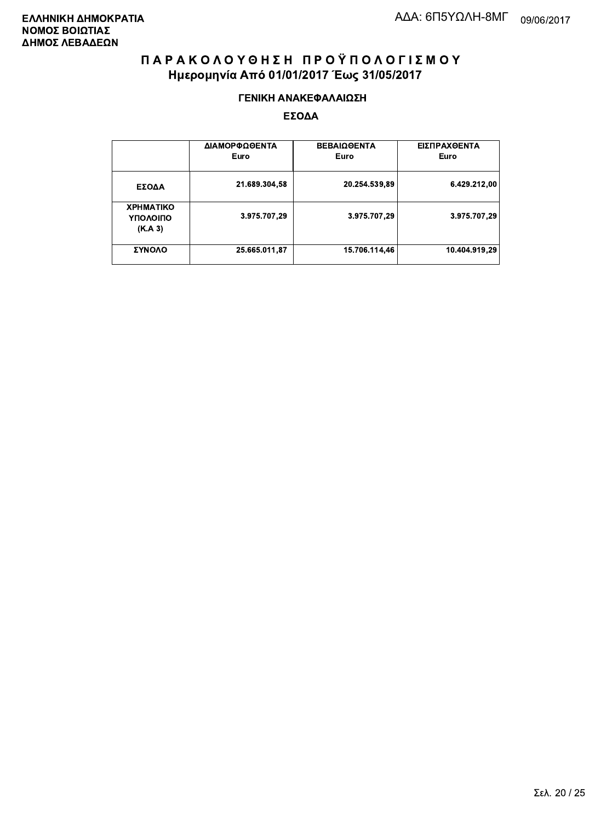#### ΓΕΝΙΚΗ ΑΝΑΚΕΦΑΛΑΙΩΣΗ

|                                         | ΔΙΑΜΟΡΦΩΘΕΝΤΑ<br>Euro | <b>ΒΕΒΑΙΩΘΕΝΤΑ</b><br>Euro | ΕΙΣΠΡΑΧΘΕΝΤΑ<br>Euro |
|-----------------------------------------|-----------------------|----------------------------|----------------------|
| ΕΣΟΔΑ                                   | 21.689.304,58         | 20.254.539,89              | 6.429.212,00         |
| <b>XPHMATIKO</b><br>ΥΠΟΛΟΙΠΟ<br>(K.A.3) | 3.975.707,29          | 3.975.707,29               | 3.975.707,29         |
| ΣΥΝΟΛΟ                                  | 25.665.011,87         | 15.706.114.46              | 10.404.919.29        |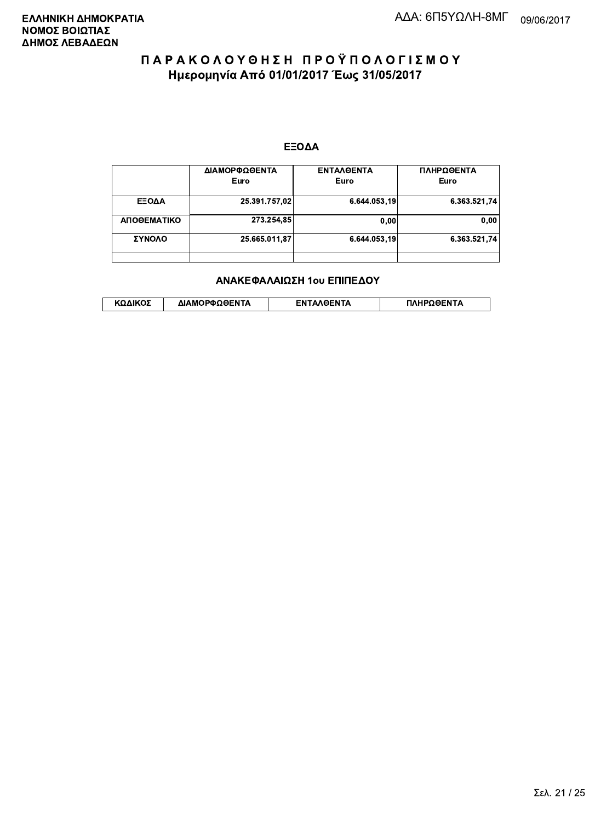#### ΕΞΟΔΑ

|             | ΔΙΑΜΟΡΦΩΘΕΝΤΑ<br>Euro | <b>ENTAAGENTA</b><br>Euro | ΠΛΗΡΩΘΕΝΤΑ<br>Euro |
|-------------|-----------------------|---------------------------|--------------------|
| ΕΞΟΔΑ       | 25.391.757,02         | 6.644.053,19              | 6.363.521.74       |
| ΑΠΟΘΕΜΑΤΙΚΟ | 273.254,85            | 0,00                      | 0.00               |
| ΣΥΝΟΛΟ      | 25.665.011,87         | 6.644.053.19              | 6.363.521.74       |
|             |                       |                           |                    |

#### ΑΝΑΚΕΦΑΛΑΙΩΣΗ 1ου ΕΠΙΠΕΔΟΥ

|  | ΚΩΔΙΚΟΣ | ΔΙΑΜΟΡΦΩΘΕΝΤΑ | <b>AOENTA</b><br>FΝ | ≀OΘFNTA |
|--|---------|---------------|---------------------|---------|
|--|---------|---------------|---------------------|---------|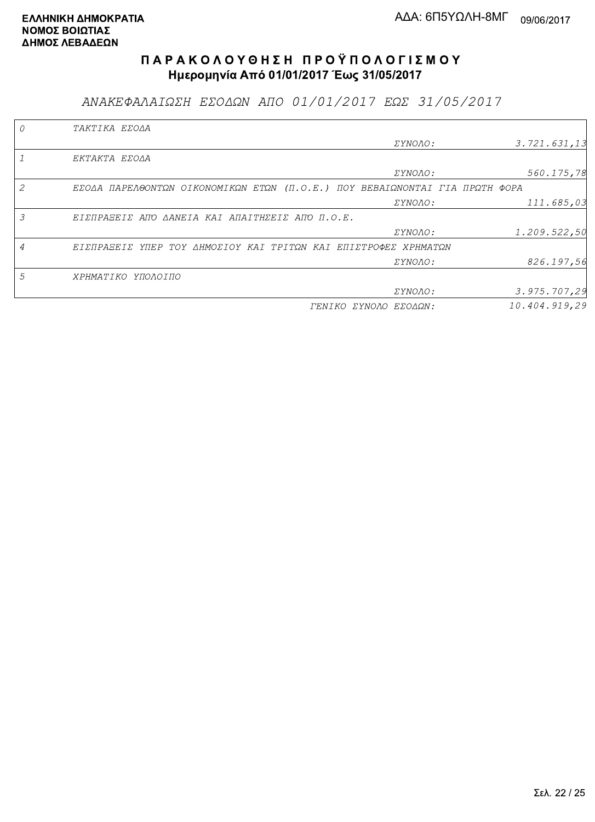ΑΝΑΚΕΦΑΛΑΙΩΣΗ ΕΣΟΔΩΝ ΑΠΟ 01/01/2017 ΕΩΣ 31/05/2017

|                | TAKTIKA EZOAA                                                               |                       |               |
|----------------|-----------------------------------------------------------------------------|-----------------------|---------------|
|                |                                                                             | <i>EYNOAO:</i>        | 3.721.631,13  |
|                | EKTAKTA EZOAA                                                               |                       |               |
|                |                                                                             | ΣΥΝΟΛΟ:               | 560.175,78    |
| $\mathcal{L}$  | EΣΟΔΑ ΠΑΡΕΛΘΟΝΤΩΝ ΟΙΚΟΝΟΜΙΚΩΝ ΕΤΩΝ (Π.Ο.Ε.) ΠΟΥ ΒΕΒΑΙΩΝΟΝΤΑΙ ΓΙΑ ΠΡΩΤΗ ΦΟΡΑ |                       |               |
|                |                                                                             | ΣΥΝΟΛΟ:               | 111.685,03    |
| 3              | EIZNPASEIZ ANO AANEIA KAI ANAITHZEIZ ANO N.O.E.                             |                       |               |
|                |                                                                             | ΣΥΝΟΛΟ:               | 1.209.522,50  |
| $\overline{A}$ | ΕΙΣΠΡΑΞΕΙΣ ΥΠΕΡ ΤΟΥ ΔΗΜΟΣΙΟΥ ΚΑΙ ΤΡΙΤΩΝ ΚΑΙ ΕΠΙΣΤΡΟΦΕΣ ΧΡΗΜΑΤΩΝ             |                       |               |
|                |                                                                             | ΣΥΝΟΛΟ:               | 826.197,56    |
| 5              | <i>XPHMATIKO</i><br>ΥΠΟΛΟΙΠΟ                                                |                       |               |
|                |                                                                             | <i>EYNOAO:</i>        | 3.975.707,29  |
|                |                                                                             | ΓΕΝΙΚΟ ΣΥΝΟΛΟ ΕΣΟΔΩΝ: | 10.404.919.29 |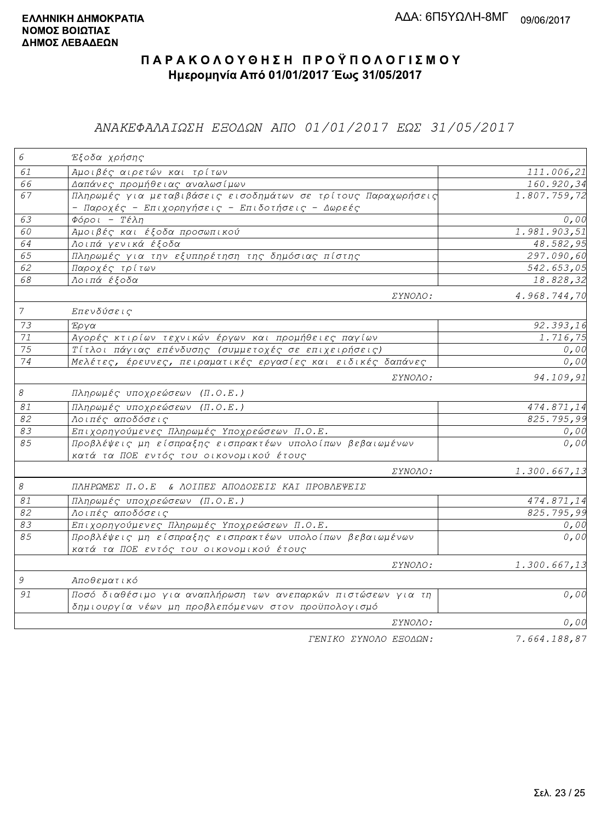### ΑΝΑΚΕΦΑΛΑΙΩΣΗ ΕΞΟΔΩΝ ΑΠΟ 01/01/2017 ΕΩΣ 31/05/2017

| $\epsilon$     | Έξοδα χρήσης                                                                                         |                           |
|----------------|------------------------------------------------------------------------------------------------------|---------------------------|
| 61             | Αμοιβές αιρετών και τρίτων                                                                           | 111.006,21                |
| 66             | Δαπάνες προμήθειας αναλωσίμων                                                                        | 160.920,34                |
| 67             | Πληρωμές για μεταβιβάσεις εισοδημάτων σε τρίτους Παραχωρήσεις                                        | 1.807.759,72              |
| 63             | - Παροχές - Επιχορηγήσεις - Επιδοτήσεις - Δωρεές<br>$Φ$ όροι - Τέλη                                  | 0,00                      |
| 60             | Αμοιβές και έξοδα προσωπικού                                                                         | $\overline{1.981.903,51}$ |
| 64             | Λοιπά γενικά έξοδα                                                                                   | 48.582,95                 |
| 65             | Πληρωμές για την εξυπηρέτηση της δημόσιας πίστης                                                     | 297.090,60                |
| 62             | Παροχές τρίτων                                                                                       | 542.653,05                |
| 68             | Λοιπά έξοδα                                                                                          | 18.828,32                 |
|                | $\Sigma YNOAO$ :                                                                                     | 4.968.744,70              |
| $\overline{7}$ | Επενδύσεις                                                                                           |                           |
| 73             | Έργα                                                                                                 | 92.393,16                 |
| 71             | Αγορές κτιρίων τεχνικών έργων και προμήθειες παγίων                                                  | 1.716,75                  |
| 75             | Τίτλοι πάγιας επένδυσης (συμμετοχές σε επιχειρήσεις)                                                 | 0,00                      |
| 74             | Μελέτες, έρευνες, πειραματικές εργασίες και ειδικές δαπάνες                                          | 0, 00                     |
|                | ΣΥΝΟΛΟ:                                                                                              | 94.109,91                 |
| $\mathcal S$   | Πληρωμές υποχρεώσεων (Π.Ο.Ε.)                                                                        |                           |
| $\mathcal{S}1$ | Πληρωμές υποχρεώσεων (Π.Ο.Ε.)                                                                        | $\overline{4}$ 74.871,14  |
| 82             | Λοιπές αποδόσεις                                                                                     | $\overline{825.795}$ , 99 |
| 83             | Επιχορηγούμενες Πληρωμές Υποχρεώσεων Π.Ο.Ε.                                                          | 0,00                      |
| 85             | Προβλέψεις μη είσπραξης εισπρακτέων υπολοίπων βεβαιωμένων<br>κατά τα ΠΟΕ εντός του οικονομικού έτους | 0,00                      |
|                | ΣΥΝΟΛΟ:                                                                                              | 1.300.667,13              |
| $\mathcal S$   | ΠΛΗΡΩΜΕΣ Π.Ο.Ε & ΛΟΙΠΕΣ ΑΠΟΔΟΣΕΙΣ ΚΑΙ ΠΡΟΒΛΕΨΕΙΣ                                                     |                           |
| 81             | Πληρωμές υποχρεώσεων (Π.Ο.Ε.)                                                                        | 474.871,14                |
| 82             | Λοιπές αποδόσεις                                                                                     | 825.795,99                |
| 83             | Επιχορηγούμενες Πληρωμές Υποχρεώσεων Π.Ο.Ε.                                                          | 0,00                      |
| 85             | Προβλέψεις μη είσπραξης εισπρακτέων υπολοίπων βεβαιωμένων                                            | 0,00                      |
|                | κατά τα ΠΟΕ εντός του οικονομικού έτους                                                              |                           |
|                | <i>EYNOAO:</i>                                                                                       | 1.300.667,13              |
| $\mathcal G$   | Αποθεματικό                                                                                          |                           |
| 91             | Ποσό διαθέσιμο για αναπλήρωση των ανεπαρκών πιστώσεων για τη                                         | 0,00                      |
|                | δημιουργία νέων μη προβλεπόμενων στον προϋπολογισμό                                                  |                           |
|                | ΣΥΝΟΛΟ:                                                                                              | 0,00                      |
|                | FENIKO XYNOAO EEOAON:                                                                                | 7.664.188.87              |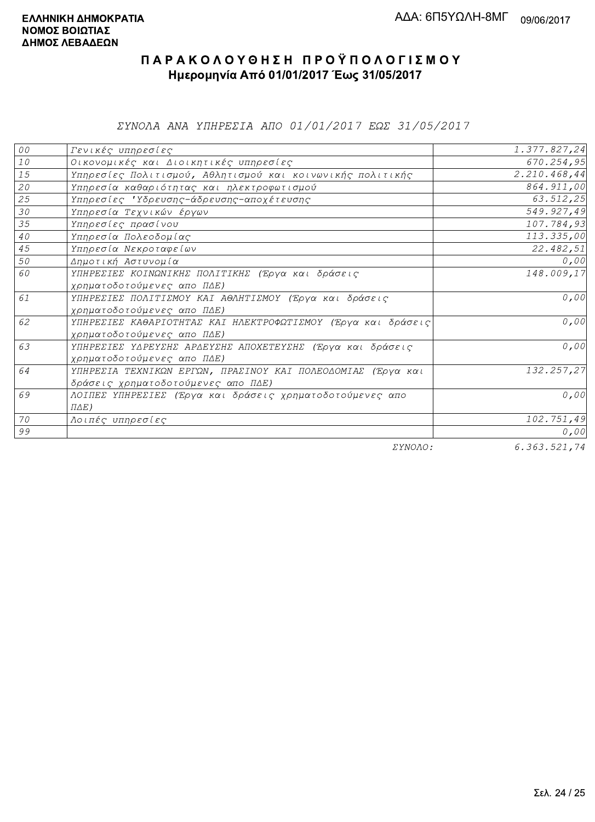ΣΥΝΟΛΑ ΑΝΑ ΥΠΗΡΕΣΙΑ ΑΠΟ 01/01/2017 ΕΩΣ 31/05/2017

| 00              | Γενικές υπηρεσίες                                             | 1.377.827,24          |
|-----------------|---------------------------------------------------------------|-----------------------|
| $10$            | Οικονομικές και Διοικητικές υπηρεσίες                         | 670.254,95            |
| 15              | Υπηρεσίες Πολιτισμού, Αθλητισμού και κοινωνικής πολιτικής     | 2.210.468,44          |
| 20              | Υπηρεσία καθαριότητας και ηλεκτροφωτισμού                     | 864.911,00            |
| 25              | Υπηρεσίες 'Υδρευσης-άδρευσης-αποχέτευσης                      | 63.512,25             |
| 30              | Υπηρεσία Τεχνικών έργων                                       | 549.927,49            |
| 35              | Υπηρεσίες πρασίνου                                            | 107.784,93            |
| 40 <sub>o</sub> | Υπηρεσία Πολεοδομίας                                          | 113.335,00            |
| 45              | Υπηρεσία Νεκροταφείων                                         | 22.482,51             |
| 50              | Δημοτική Αστυνομία                                            | 0,00                  |
| 60              | ΥΠΗΡΕΣΙΕΣ ΚΟΙΝΩΝΙΚΗΣ ΠΟΛΙΤΙΚΗΣ (Έργα και δράσεις              | 148.009,17            |
|                 | χρηματοδοτούμενες απο ΠΔΕ)                                    |                       |
| 61              | ΥΠΗΡΕΣΙΕΣ ΠΟΛΙΤΙΣΜΟΥ ΚΑΙ ΑΘΛΗΤΙΣΜΟΥ (Έργα και δράσεις         | 0,00                  |
|                 | χρηματοδοτούμενες απο ΠΔΕ)                                    |                       |
| 62              | ΥΠΗΡΕΣΙΕΣ ΚΑΘΑΡΙΟΤΗΤΑΣ ΚΑΙ ΗΛΕΚΤΡΟΦΩΤΙΣΜΟΥ (Έργα και δράσεις) | 0,00                  |
|                 | χρηματοδοτούμενες απο ΠΔΕ)                                    |                       |
| 63              | ΥΠΗΡΕΣΙΕΣ ΥΔΡΕΥΣΗΣ ΑΡΔΕΥΣΗΣ ΑΠΟΧΕΤΕΥΣΗΣ (Έργα και δράσεις     | 0,00                  |
|                 | χρηματοδοτούμενες απο ΠΔΕ)                                    |                       |
| 64              | ΥΠΗΡΕΣΙΑ ΤΕΧΝΙΚΩΝ ΕΡΓΩΝ, ΠΡΑΣΙΝΟΥ ΚΑΙ ΠΟΛΕΟΔΟΜΙΑΣ (Έργα και   | 132.257,27            |
|                 | δράσεις χρηματοδοτούμενες απο ΠΔΕ)                            |                       |
| 69              | ΛΟΙΠΕΣ ΥΠΗΡΕΣΙΕΣ (Έργα και δράσεις χρηματοδοτούμενες απο      | 0,00                  |
|                 | $\Pi \Delta E$ )                                              |                       |
| 70              | Λοιπές υπηρεσίες                                              | 102.751,49            |
| 99              |                                                               | 0,00                  |
|                 | $\Box$                                                        | $C = C C C$ $C = C C$ |

ΣΥΝΟΛΟ:

 $6.363.521,74$